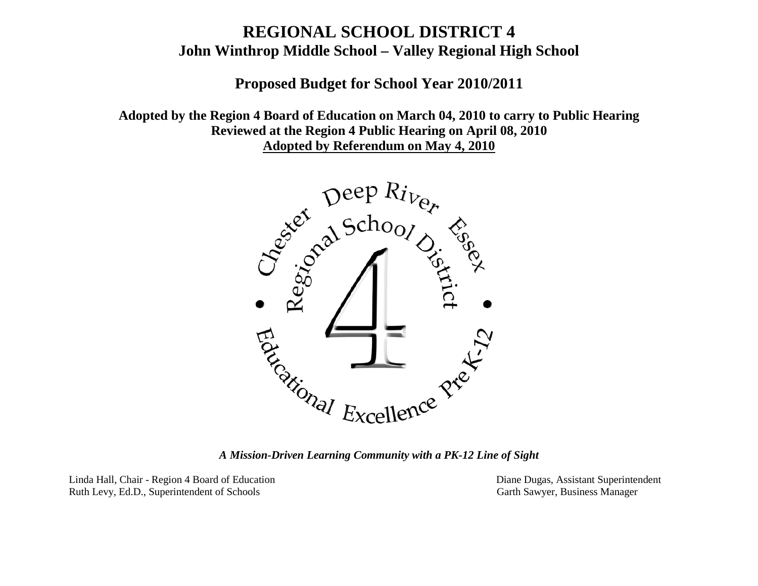# **REGIONAL SCHOOL DISTRICT 4 John Winthrop Middle School – Valley Regional High School**

**Proposed Budget for School Year 2010/2011**

**Adopted by the Region 4 Board of Education on March 04, 2010 to carry to Public Hearing Reviewed at the Region 4 Public Hearing on April 08, 2010 Adopted by Referendum on May 4, 2010**



*A Mission-Driven Learning Community with a PK-12 Line of Sight*

Linda Hall, Chair - Region 4 Board of Education Diane Dugas, Assistant Superintendent Ruth Levy, Ed.D., Superintendent of Schools Garth Sawyer, Business Manager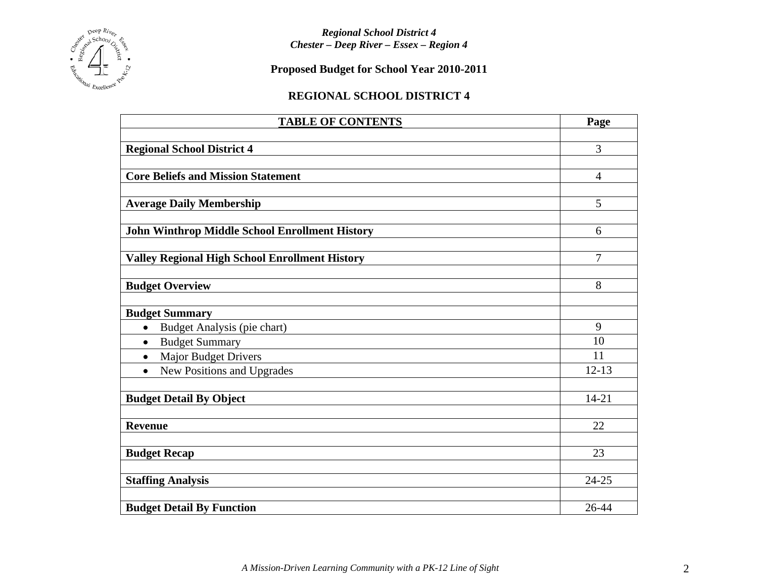

# **Proposed Budget for School Year 2010-2011**

## **REGIONAL SCHOOL DISTRICT 4**

| <b>TABLE OF CONTENTS</b>                              | Page           |
|-------------------------------------------------------|----------------|
|                                                       |                |
| <b>Regional School District 4</b>                     | 3              |
|                                                       |                |
| <b>Core Beliefs and Mission Statement</b>             | $\overline{4}$ |
|                                                       |                |
| <b>Average Daily Membership</b>                       | 5              |
|                                                       |                |
| <b>John Winthrop Middle School Enrollment History</b> | 6              |
|                                                       |                |
| <b>Valley Regional High School Enrollment History</b> | 7              |
|                                                       | 8              |
| <b>Budget Overview</b>                                |                |
| <b>Budget Summary</b>                                 |                |
| Budget Analysis (pie chart)<br>$\bullet$              | 9              |
| <b>Budget Summary</b><br>$\bullet$                    | 10             |
| <b>Major Budget Drivers</b><br>$\bullet$              | 11             |
| New Positions and Upgrades<br>$\bullet$               | $12 - 13$      |
|                                                       |                |
| <b>Budget Detail By Object</b>                        | $14 - 21$      |
|                                                       |                |
| <b>Revenue</b>                                        | 22             |
|                                                       |                |
| <b>Budget Recap</b>                                   | 23             |
|                                                       |                |
| <b>Staffing Analysis</b>                              | $24 - 25$      |
|                                                       |                |
| <b>Budget Detail By Function</b>                      | 26-44          |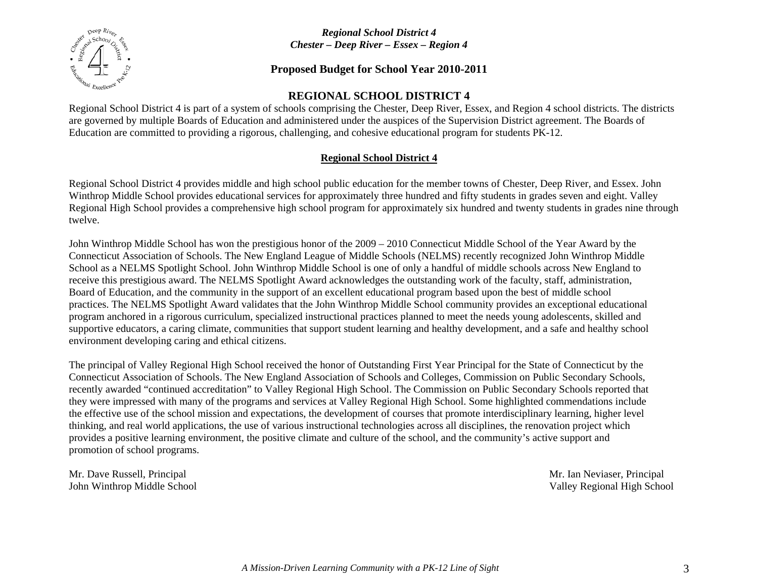

## **Proposed Budget for School Year 2010-2011**

# **REGIONAL SCHOOL DISTRICT 4**

Regional School District 4 is part of a system of schools comprising the Chester, Deep River, Essex, and Region 4 school districts. The districts are governed by multiple Boards of Education and administered under the auspices of the Supervision District agreement. The Boards of Education are committed to providing a rigorous, challenging, and cohesive educational program for students PK-12.

# **Regional School District 4**

Regional School District 4 provides middle and high school public education for the member towns of Chester, Deep River, and Essex. John Winthrop Middle School provides educational services for approximately three hundred and fifty students in grades seven and eight. Valley Regional High School provides a comprehensive high school program for approximately six hundred and twenty students in grades nine through twelve.

John Winthrop Middle School has won the prestigious honor of the 2009 – 2010 Connecticut Middle School of the Year Award by the Connecticut Association of Schools. The New England League of Middle Schools (NELMS) recently recognized John Winthrop Middle School as a NELMS Spotlight School. John Winthrop Middle School is one of only a handful of middle schools across New England to receive this prestigious award. The NELMS Spotlight Award acknowledges the outstanding work of the faculty, staff, administration, Board of Education, and the community in the support of an excellent educational program based upon the best of middle school practices. The NELMS Spotlight Award validates that the John Winthrop Middle School community provides an exceptional educational program anchored in a rigorous curriculum, specialized instructional practices planned to meet the needs young adolescents, skilled and supportive educators, a caring climate, communities that support student learning and healthy development, and a safe and healthy school environment developing caring and ethical citizens.

The principal of Valley Regional High School received the honor of Outstanding First Year Principal for the State of Connecticut by the Connecticut Association of Schools. The New England Association of Schools and Colleges, Commission on Public Secondary Schools, recently awarded "continued accreditation" to Valley Regional High School. The Commission on Public Secondary Schools reported that they were impressed with many of the programs and services at Valley Regional High School. Some highlighted commendations include the effective use of the school mission and expectations, the development of courses that promote interdisciplinary learning, higher level thinking, and real world applications, the use of various instructional technologies across all disciplines, the renovation project which provides a positive learning environment, the positive climate and culture of the school, and the community's active support and promotion of school programs.

Mr. Dave Russell, Principal and Mr. Ian Neviaser, Principal Mr. Ian Neviaser, Principal Mr. Ian Neviaser, Principal John Winthrop Middle School Valley Regional High School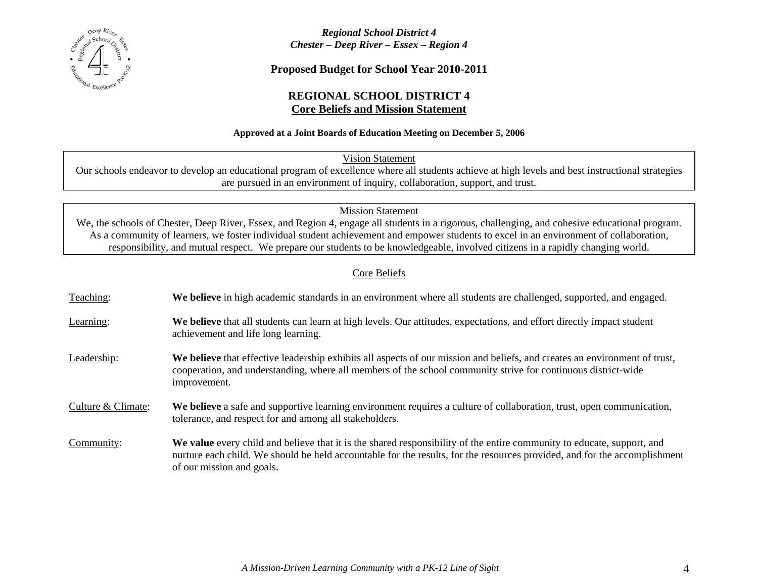

**Proposed Budget for School Year 2010-2011** 

# **REGIONAL SCHOOL DISTRICT 4 Core Beliefs and Mission Statement**

#### **Approved at a Joint Boards of Education Meeting on December 5, 2006**

Vision Statement

Our schools endeavor to develop an educational program of excellence where all students achieve at high levels and best instructional strategies are pursued in an environment of inquiry, collaboration, support, and trust.

Mission Statement

We, the schools of Chester, Deep River, Essex, and Region 4, engage all students in a rigorous, challenging, and cohesive educational program. As a community of learners, we foster individual student achievement and empower students to excel in an environment of collaboration, responsibility, and mutual respect. We prepare our students to be knowledgeable, involved citizens in a rapidly changing world.

# Core Beliefs

| Teaching:          | We believe in high academic standards in an environment where all students are challenged, supported, and engaged.                                                                                                                                                               |
|--------------------|----------------------------------------------------------------------------------------------------------------------------------------------------------------------------------------------------------------------------------------------------------------------------------|
| Learning:          | We believe that all students can learn at high levels. Our attitudes, expectations, and effort directly impact student<br>achievement and life long learning.                                                                                                                    |
| Leadership:        | We believe that effective leadership exhibits all aspects of our mission and beliefs, and creates an environment of trust,<br>cooperation, and understanding, where all members of the school community strive for continuous district-wide<br>improvement.                      |
| Culture & Climate: | We believe a safe and supportive learning environment requires a culture of collaboration, trust, open communication,<br>tolerance, and respect for and among all stakeholders.                                                                                                  |
| Community:         | We value every child and believe that it is the shared responsibility of the entire community to educate, support, and<br>nurture each child. We should be held accountable for the results, for the resources provided, and for the accomplishment<br>of our mission and goals. |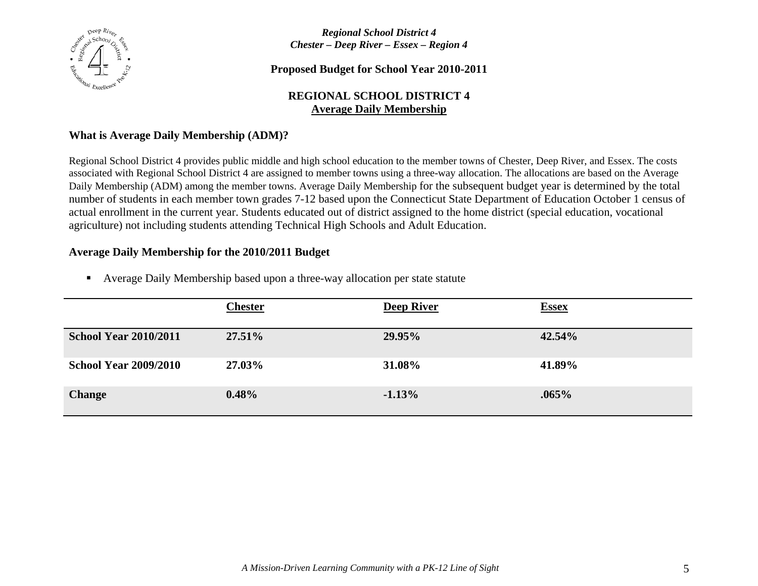

## **Proposed Budget for School Year 2010-2011**

# **REGIONAL SCHOOL DISTRICT 4 Average Daily Membership**

## **What is Average Daily Membership (ADM)?**

Regional School District 4 provides public middle and high school education to the member towns of Chester, Deep River, and Essex. The costs associated with Regional School District 4 are assigned to member towns using a three-way allocation. The allocations are based on the Average Daily Membership (ADM) among the member towns. Average Daily Membership for the subsequent budget year is determined by the total number of students in each member town grades 7-12 based upon the Connecticut State Department of Education October 1 census of actual enrollment in the current year. Students educated out of district assigned to the home district (special education, vocational agriculture) not including students attending Technical High Schools and Adult Education.

### **Average Daily Membership for the 2010/2011 Budget**

 $\blacksquare$ Average Daily Membership based upon a three-way allocation per state statute

|                              | <b>Chester</b> | <b>Deep River</b> | <b>Essex</b> |
|------------------------------|----------------|-------------------|--------------|
| <b>School Year 2010/2011</b> | $27.51\%$      | 29.95%            | 42.54%       |
| <b>School Year 2009/2010</b> | 27.03%         | 31.08%            | 41.89%       |
| <b>Change</b>                | 0.48%          | $-1.13%$          | .065%        |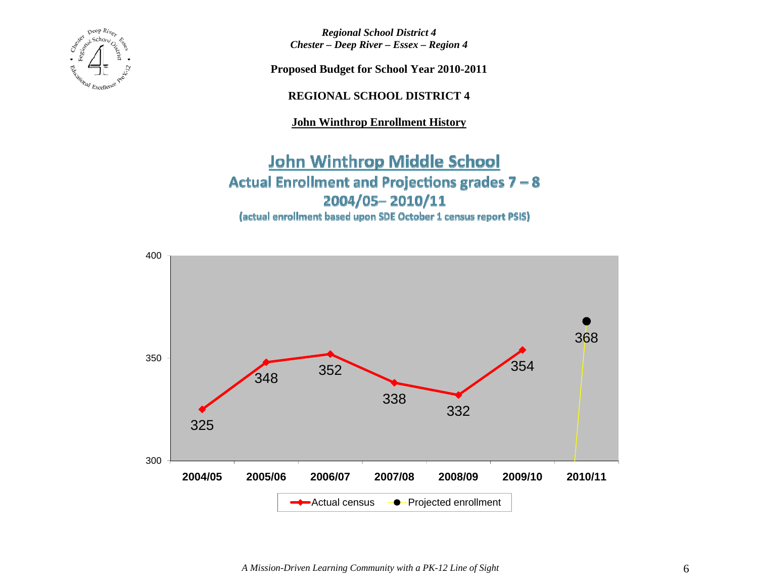

**Proposed Budget for School Year 2010-2011** 

**REGIONAL SCHOOL DISTRICT 4** 

**John Winthrop Enrollment History**

# **John Winthrop Middle School** Actual Enrollment and Projections grades 7 - 8 2004/05-2010/11

(actual enrollment based upon SDE October 1 census report PSIS)

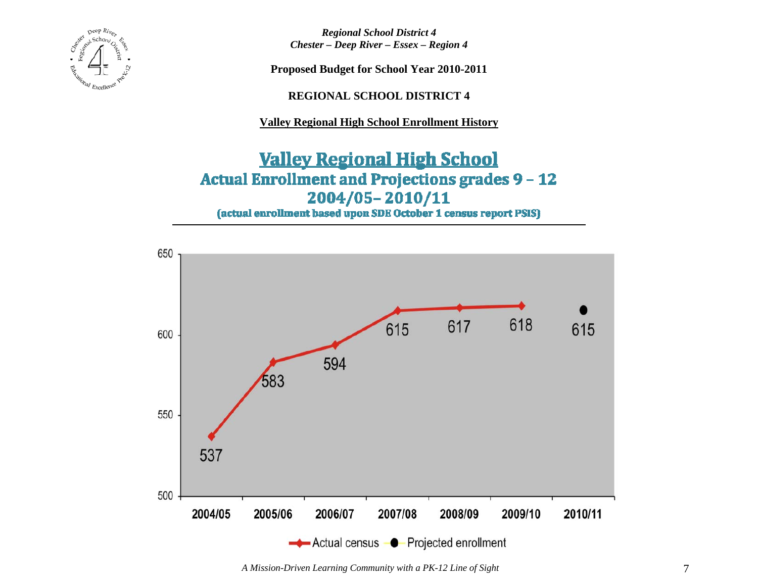

**Proposed Budget for School Year 2010-2011** 

**REGIONAL SCHOOL DISTRICT 4** 

**Valley Regional High School Enrollment History**

# **Valley Regional High School Actual Enrollment and Projections grades 9 - 12** 2004/05-2010/11 (actual enrollment based upon SDE October 1 census report PSIS)



*A Mission-Driven Learning Community with a PK-12 Line of Sight* 7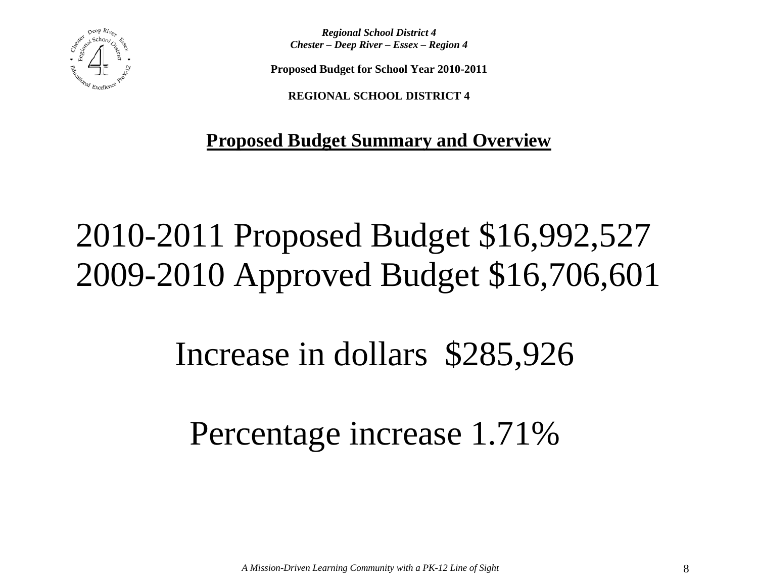

**Proposed Budget for School Year 2010-2011** 

**REGIONAL SCHOOL DISTRICT 4** 

# **Proposed Budget Summary and Overview**

# 2010-2011 Proposed Budget \$16,992,527 2009-2010 Approved Budget \$16,706,601

# Increase in dollars \$285,926

# Percentage increase 1.71%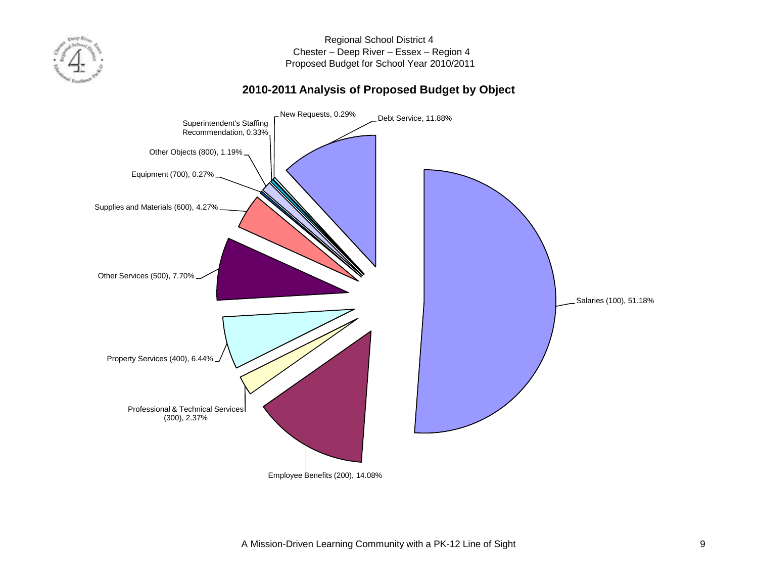

# **2010-2011 Analysis of Proposed Budget by Object**

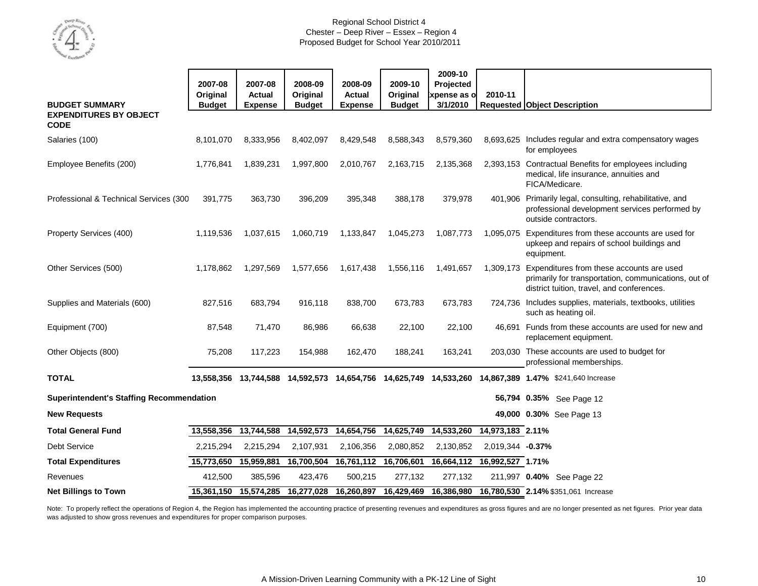

| <b>BUDGET SUMMARY</b>                           | 2007-08<br>Original<br><b>Budget</b> | 2007-08<br><b>Actual</b><br><b>Expense</b> | 2008-09<br>Original<br><b>Budget</b> | 2008-09<br>Actual<br><b>Expense</b> | 2009-10<br>Original<br><b>Budget</b> | 2009-10<br>Projected<br>ixpense as o<br>3/1/2010 | 2010-11          | <b>Requested Object Description</b>                                                                                                                       |
|-------------------------------------------------|--------------------------------------|--------------------------------------------|--------------------------------------|-------------------------------------|--------------------------------------|--------------------------------------------------|------------------|-----------------------------------------------------------------------------------------------------------------------------------------------------------|
| <b>EXPENDITURES BY OBJECT</b><br><b>CODE</b>    |                                      |                                            |                                      |                                     |                                      |                                                  |                  |                                                                                                                                                           |
| Salaries (100)                                  | 8,101,070                            | 8,333,956                                  | 8,402,097                            | 8,429,548                           | 8,588,343                            | 8,579,360                                        |                  | 8,693,625 Includes regular and extra compensatory wages<br>for employees                                                                                  |
| Employee Benefits (200)                         | 1,776,841                            | 1,839,231                                  | 1,997,800                            | 2,010,767                           | 2,163,715                            | 2,135,368                                        |                  | 2,393,153 Contractual Benefits for employees including<br>medical, life insurance, annuities and<br>FICA/Medicare.                                        |
| Professional & Technical Services (300          | 391,775                              | 363,730                                    | 396,209                              | 395,348                             | 388,178                              | 379,978                                          |                  | 401,906 Primarily legal, consulting, rehabilitative, and<br>professional development services performed by<br>outside contractors.                        |
| Property Services (400)                         | 1,119,536                            | 1,037,615                                  | 1,060,719                            | 1,133,847                           | 1,045,273                            | 1,087,773                                        |                  | 1,095,075 Expenditures from these accounts are used for<br>upkeep and repairs of school buildings and<br>equipment.                                       |
| Other Services (500)                            | 1,178,862                            | 1,297,569                                  | 1,577,656                            | 1,617,438                           | 1,556,116                            | 1,491,657                                        |                  | 1,309,173 Expenditures from these accounts are used<br>primarily for transportation, communications, out of<br>district tuition, travel, and conferences. |
| Supplies and Materials (600)                    | 827,516                              | 683,794                                    | 916,118                              | 838,700                             | 673,783                              | 673,783                                          |                  | 724,736 Includes supplies, materials, textbooks, utilities<br>such as heating oil.                                                                        |
| Equipment (700)                                 | 87,548                               | 71,470                                     | 86,986                               | 66,638                              | 22,100                               | 22,100                                           |                  | 46,691 Funds from these accounts are used for new and<br>replacement equipment.                                                                           |
| Other Objects (800)                             | 75,208                               | 117,223                                    | 154,988                              | 162,470                             | 188,241                              | 163,241                                          |                  | 203,030 These accounts are used to budget for<br>professional memberships.                                                                                |
| <b>TOTAL</b>                                    |                                      | 13,558,356 13,744,588                      |                                      |                                     |                                      |                                                  |                  | 14,533,260 14,867,389 1.47% \$241,640 Increase                                                                                                            |
| <b>Superintendent's Staffing Recommendation</b> |                                      |                                            |                                      |                                     |                                      |                                                  |                  | 56,794 0.35% See Page 12                                                                                                                                  |
| <b>New Requests</b>                             |                                      |                                            |                                      |                                     |                                      |                                                  |                  | 49,000 0.30% See Page 13                                                                                                                                  |
| <b>Total General Fund</b>                       | 13,558,356                           | 13,744,588                                 | 14,592,573                           | 14,654,756                          | 14,625,749                           | 14,533,260                                       | 14,973,183 2.11% |                                                                                                                                                           |
| <b>Debt Service</b>                             | 2,215,294                            | 2,215,294                                  | 2,107,931                            | 2,106,356                           | 2,080,852                            | 2,130,852                                        | 2,019,344 -0.37% |                                                                                                                                                           |
| <b>Total Expenditures</b>                       | 15,773,650                           | 15,959,881                                 | 16,700,504                           | 16,761,112                          | 16,706,601                           | 16,664,112                                       | 16,992,527 1.71% |                                                                                                                                                           |
| Revenues                                        | 412,500                              | 385,596                                    | 423,476                              | 500,215                             | 277,132                              | 277,132                                          |                  | 211,997 0.40% See Page 22                                                                                                                                 |
| <b>Net Billings to Town</b>                     | 15,361,150                           | 15,574,285                                 | 16,277,028                           | 16,260,897                          | 16,429,469                           | 16,386,980                                       |                  | 16,780,530 2.14% \$351,061 Increase                                                                                                                       |

Note: To properly reflect the operations of Region 4, the Region has implemented the accounting practice of presenting revenues and expenditures as gross figures and are no longer presented as net figures. Prior year data was adjusted to show gross revenues and expenditures for proper comparison purposes.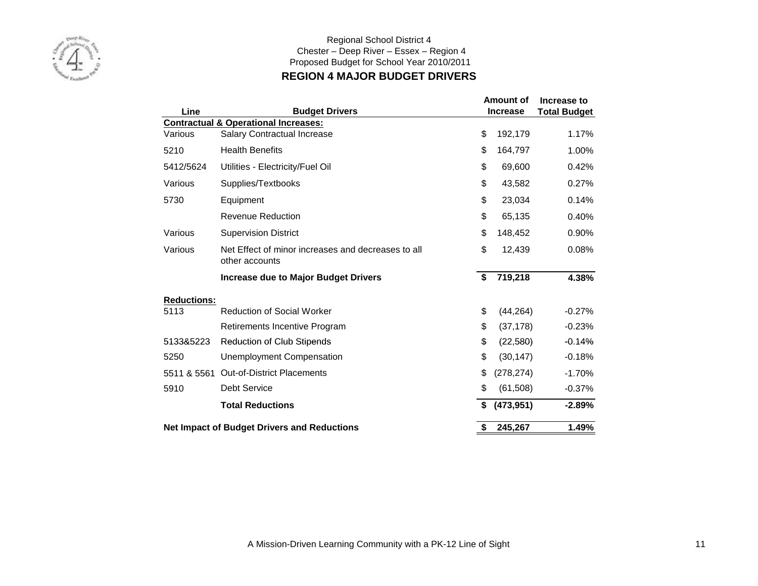

## **REGION 4 MAJOR BUDGET DRIVERS**

|                    | Amount of                                                            |    |                 |                     |  |
|--------------------|----------------------------------------------------------------------|----|-----------------|---------------------|--|
| Line               | <b>Budget Drivers</b>                                                |    | <b>Increase</b> | <b>Total Budget</b> |  |
|                    | <b>Contractual &amp; Operational Increases:</b>                      |    |                 |                     |  |
| Various            | Salary Contractual Increase                                          | \$ | 192,179         | 1.17%               |  |
| 5210               | <b>Health Benefits</b>                                               | \$ | 164,797         | 1.00%               |  |
| 5412/5624          | Utilities - Electricity/Fuel Oil                                     | \$ | 69,600          | 0.42%               |  |
| Various            | Supplies/Textbooks                                                   | \$ | 43,582          | 0.27%               |  |
| 5730               | Equipment                                                            | \$ | 23,034          | 0.14%               |  |
|                    | <b>Revenue Reduction</b>                                             | \$ | 65,135          | 0.40%               |  |
| Various            | <b>Supervision District</b>                                          | \$ | 148,452         | 0.90%               |  |
| Various            | Net Effect of minor increases and decreases to all<br>other accounts | \$ | 12,439          | 0.08%               |  |
|                    | <b>Increase due to Major Budget Drivers</b>                          | \$ | 719,218         | 4.38%               |  |
| <b>Reductions:</b> |                                                                      |    |                 |                     |  |
| 5113               | <b>Reduction of Social Worker</b>                                    | \$ | (44, 264)       | $-0.27%$            |  |
|                    | Retirements Incentive Program                                        | \$ | (37, 178)       | $-0.23%$            |  |
| 5133&5223          | <b>Reduction of Club Stipends</b>                                    | \$ | (22, 580)       | $-0.14%$            |  |
| 5250               | <b>Unemployment Compensation</b>                                     | \$ | (30, 147)       | $-0.18%$            |  |
| 5511 & 5561        | <b>Out-of-District Placements</b>                                    | \$ | (278, 274)      | $-1.70%$            |  |
| 5910               | <b>Debt Service</b>                                                  | \$ | (61, 508)       | $-0.37%$            |  |
|                    | <b>Total Reductions</b>                                              | \$ | (473, 951)      | $-2.89%$            |  |
|                    | <b>Net Impact of Budget Drivers and Reductions</b>                   | \$ | 245,267         | 1.49%               |  |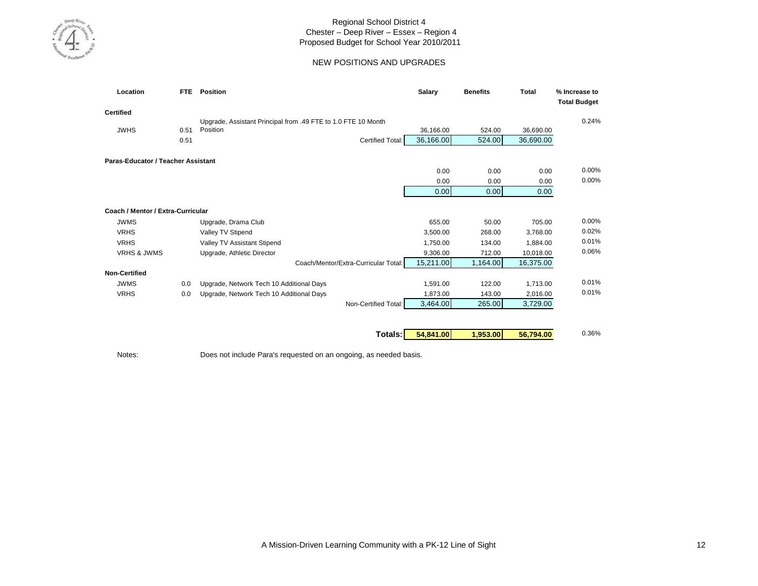

#### NEW POSITIONS AND UPGRADES

| Location                                  | FTE. | <b>Position</b>                                               | <b>Salary</b> | <b>Benefits</b> | <b>Total</b> | % Increase to       |
|-------------------------------------------|------|---------------------------------------------------------------|---------------|-----------------|--------------|---------------------|
| <b>Certified</b>                          |      |                                                               |               |                 |              | <b>Total Budget</b> |
|                                           |      | Upgrade, Assistant Principal from .49 FTE to 1.0 FTE 10 Month |               |                 |              | 0.24%               |
| <b>JWHS</b>                               | 0.51 | Position                                                      | 36,166.00     | 524.00          | 36,690.00    |                     |
|                                           | 0.51 | Certified Total:                                              | 36,166.00     | 524.00          | 36,690.00    |                     |
|                                           |      |                                                               |               |                 |              |                     |
| <b>Paras-Educator / Teacher Assistant</b> |      |                                                               |               |                 |              | 0.00%               |
|                                           |      |                                                               | 0.00          | 0.00            | 0.00         |                     |
|                                           |      |                                                               | 0.00          | 0.00            | 0.00         | 0.00%               |
|                                           |      |                                                               | 0.00          | 0.00            | 0.00         |                     |
| Coach / Mentor / Extra-Curricular         |      |                                                               |               |                 |              |                     |
| <b>JWMS</b>                               |      | Upgrade, Drama Club                                           | 655.00        | 50.00           | 705.00       | 0.00%               |
| <b>VRHS</b>                               |      | Valley TV Stipend                                             | 3,500.00      | 268.00          | 3,768.00     | 0.02%               |
| <b>VRHS</b>                               |      | Valley TV Assistant Stipend                                   | 1,750.00      | 134.00          | 1,884.00     | 0.01%               |
| <b>VRHS &amp; JWMS</b>                    |      | Upgrade, Athletic Director                                    | 9,306.00      | 712.00          | 10,018.00    | 0.06%               |
|                                           |      | Coach/Mentor/Extra-Curricular Total:                          | 15,211.00     | 1,164.00        | 16,375.00    |                     |
| <b>Non-Certified</b>                      |      |                                                               |               |                 |              |                     |
| <b>JWMS</b>                               | 0.0  | Upgrade, Network Tech 10 Additional Days                      | 1,591.00      | 122.00          | 1,713.00     | 0.01%               |
| <b>VRHS</b>                               | 0.0  | Upgrade, Network Tech 10 Additional Days                      | 1,873.00      | 143.00          | 2,016.00     | 0.01%               |
|                                           |      | Non-Certified Total:                                          | 3,464.00      | 265.00          | 3,729.00     |                     |
|                                           |      |                                                               |               |                 |              |                     |
|                                           |      | Totals:                                                       | 54,841.00     | 1,953.00        | 56,794.00    | 0.36%               |

Notes: Does not include Para's requested on an ongoing, as needed basis.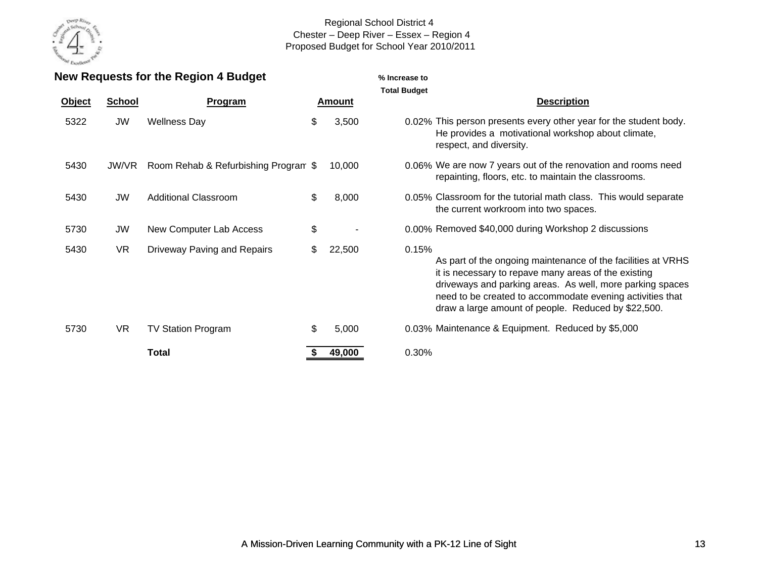

# **New Requests for the Region 4 Budget 1988 8 18 West Structures % Increase to**

|               |               |                                      |    |               | <b>Total Budget</b>                                                                                                                                                                                                                                                                                            |
|---------------|---------------|--------------------------------------|----|---------------|----------------------------------------------------------------------------------------------------------------------------------------------------------------------------------------------------------------------------------------------------------------------------------------------------------------|
| <b>Object</b> | <b>School</b> | <b>Program</b>                       |    | <b>Amount</b> | <b>Description</b>                                                                                                                                                                                                                                                                                             |
| 5322          | <b>JW</b>     | <b>Wellness Day</b>                  | \$ | 3,500         | 0.02% This person presents every other year for the student body.<br>He provides a motivational workshop about climate,<br>respect, and diversity.                                                                                                                                                             |
| 5430          | JW/VR         | Room Rehab & Refurbishing Program \$ |    | 10,000        | 0.06% We are now 7 years out of the renovation and rooms need<br>repainting, floors, etc. to maintain the classrooms.                                                                                                                                                                                          |
| 5430          | <b>JW</b>     | <b>Additional Classroom</b>          | \$ | 8,000         | 0.05% Classroom for the tutorial math class. This would separate<br>the current workroom into two spaces.                                                                                                                                                                                                      |
| 5730          | JW            | New Computer Lab Access              | \$ |               | 0.00% Removed \$40,000 during Workshop 2 discussions                                                                                                                                                                                                                                                           |
| 5430          | VR            | Driveway Paving and Repairs          | S  | 22,500        | 0.15%<br>As part of the ongoing maintenance of the facilities at VRHS<br>it is necessary to repave many areas of the existing<br>driveways and parking areas. As well, more parking spaces<br>need to be created to accommodate evening activities that<br>draw a large amount of people. Reduced by \$22,500. |
| 5730          | <b>VR</b>     | <b>TV Station Program</b>            | \$ | 5,000         | 0.03% Maintenance & Equipment. Reduced by \$5,000                                                                                                                                                                                                                                                              |
|               |               | Total                                |    | 49,000        | 0.30%                                                                                                                                                                                                                                                                                                          |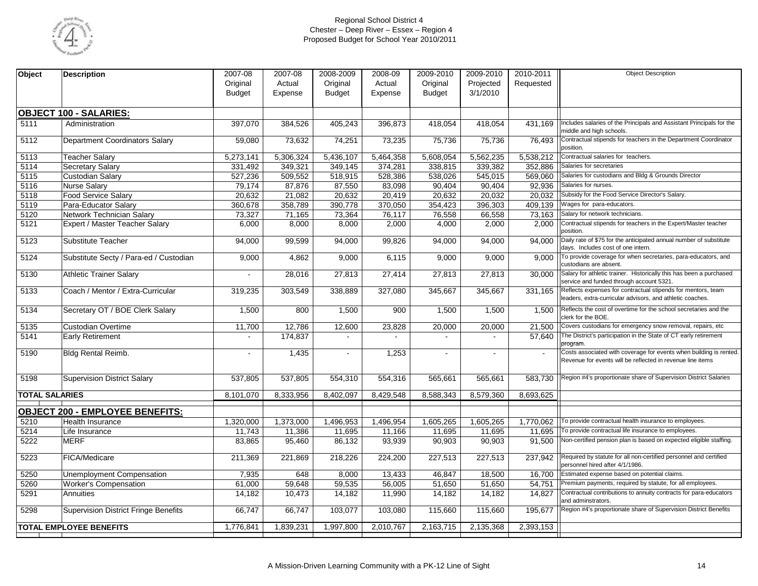

| Original<br>Actual<br>Original<br>Original<br>Projected<br>Actual<br>Requested<br><b>Budget</b><br><b>Budget</b><br>Expense<br>Expense<br><b>Budget</b><br>3/1/2010<br><b>OBJECT 100 - SALARIES:</b><br>5111<br>Includes salaries of the Principals and Assistant Principals for the<br>Administration<br>397,070<br>384,526<br>405,243<br>396,873<br>418,054<br>418,054<br>431.169<br>middle and high schools.<br>5112<br>74,251<br>Contractual stipends for teachers in the Department Coordinator<br><b>Department Coordinators Salary</b><br>59,080<br>73,632<br>73,235<br>75,736<br>75,736<br>76,493<br>position.<br>5113<br>5,306,324<br>5,562,235<br>5,538,212<br>Contractual salaries for teachers.<br>Teacher Salary<br>5,273,141<br>5,436,107<br>5,464,358<br>5,608,054<br>5114<br><b>Secretary Salary</b><br>331,492<br>349,321<br>349,145<br>374,281<br>338,815<br>339,382<br>Salaries for secretaries<br>352,886<br>5115<br>Salaries for custodians and Bldg & Grounds Director<br><b>Custodian Salary</b><br>527,236<br>509,552<br>518,915<br>528,386<br>538,026<br>545,015<br>569,060<br>5116<br>79.174<br>87,876<br>87,550<br>83,098<br>90.404<br>Salaries for nurses.<br><b>Nurse Salarv</b><br>90.404<br>92,936<br>Subsidy for the Food Service Director's Salary.<br>5118<br><b>Food Service Salary</b><br>20,632<br>21,082<br>20,632<br>20,419<br>20,032<br>20,632<br>20,032<br>358,789<br>Wages for para-educators.<br>5119<br>Para-Educator Salary<br>360,678<br>390,778<br>370,050<br>354,423<br>396,303<br>409,139<br>5120<br>Network Technician Salary<br>73,327<br>71,165<br>73,364<br>76,117<br>76,558<br>66,558<br>Salary for network technicians.<br>73,163<br>5121<br>Expert / Master Teacher Salary<br>8,000<br>Contractual stipends for teachers in the Expert/Master teacher<br>6,000<br>8,000<br>2,000<br>4,000<br>2,000<br>2,000<br>position.<br>Daily rate of \$75 for the anticipated annual number of substitute<br>5123<br>99,599<br>99,826<br>Substitute Teacher<br>94,000<br>94,000<br>94,000<br>94,000<br>94.000<br>days. Includes cost of one intern.<br>To provide coverage for when secretaries, para-educators, and<br>5124<br>Substitute Secty / Para-ed / Custodian<br>4,862<br>9,000<br>6,115<br>9,000<br>9,000<br>9.000<br>9,000<br>custodians are absent.<br>Salary for athletic trainer. Historically this has been a purchased<br>5130<br><b>Athletic Trainer Salary</b><br>28,016<br>27,813<br>27,414<br>27,813<br>27.813<br>30.000<br>$\ddot{\phantom{a}}$<br>service and funded through account 5321.<br>Reflects expenses for contractual stipends for mentors, team<br>5133<br>Coach / Mentor / Extra-Curricular<br>319,235<br>303.549<br>338,889<br>327,080<br>345,667<br>345,667<br>331.165<br>leaders, extra-curricular advisors, and athletic coaches.<br>Reflects the cost of overtime for the school secretaries and the<br>5134<br>Secretary OT / BOE Clerk Salary<br>900<br>1,500<br>1,500<br>800<br>1,500<br>1,500<br>1.500<br>clerk for the BOE.<br>Covers custodians for emergency snow removal, repairs, etc<br>5135<br>11,700<br>12,786<br>12,600<br>23,828<br>20,000<br><b>Custodian Overtime</b><br>20,000<br>21,500<br>The District's participation in the State of CT early retirement<br>174,837<br>5141<br><b>Early Retirement</b><br>57,640<br>$\sim$<br>$\overline{\phantom{a}}$<br>program.<br>Costs associated with coverage for events when building is rented.<br>5190<br>Bldg Rental Reimb.<br>1,435<br>1,253<br>$\mathbf{u}$<br>$\sim$<br>$\sim$<br>$\sim$<br>$\blacksquare$<br>Revenue for events will be reflected in revenue line items<br>Region #4's proportionate share of Supervision District Salaries<br>5198<br>Supervision District Salary<br>537,805<br>554,310<br>583.730<br>537,805<br>554,316<br>565,661<br>565,661<br><b>TOTAL SALARIES</b><br>8,101,070<br>8,333,956<br>8,402,097<br>8,429,548<br>8,588,343<br>8,579,360<br>8,693,625<br><b>OBJECT 200 - EMPLOYEE BENEFITS:</b><br>5210<br><b>Health Insurance</b><br>1,496,954<br>1,605,265<br>1,605,265<br>To provide contractual health insurance to employees.<br>1,320,000<br>1,373,000<br>1,496,953<br>1,770,062<br>To provide contractual life insurance to employees.<br>5214<br>11,386<br>11,695<br>11,695<br>11,695<br>Life Insurance<br>11,743<br>11,695<br>11,166<br>5222<br><b>MERF</b><br>Non-certified pension plan is based on expected eligible staffing.<br>83,865<br>95,460<br>93,939<br>90,903<br>90,903<br>91,500<br>86,132<br>Required by statute for all non-certified personnel and certified<br>5223<br>FICA/Medicare<br>211,369<br>221,869<br>218,226<br>224,200<br>227,513<br>227,513<br>237,942<br>personnel hired after 4/1/1986.<br>Estimated expense based on potential claims.<br>5250<br>7,935<br>648<br>8,000<br>13,433<br>46,847<br>18,500<br>16,700<br>Unemployment Compensation<br>Premium payments, required by statute, for all employees.<br>5260<br>61,000<br>56,005<br>51,650<br><b>Worker's Compensation</b><br>59,648<br>59,535<br>51,650<br>54,751<br>Contractual contributions to annuity contracts for para-educators<br>5291<br>14,182<br>10,473<br>14,182<br>11,990<br>14,182<br>14,182<br>14,827<br>Annuities<br>and adminstrators.<br>Region #4's proportionate share of Supervision District Benefits<br>5298<br>66,747<br>66,747<br>103,077<br>103,080<br>Supervision District Fringe Benefits<br>115,660<br>115,660<br>195,677<br><b>TOTAL EMPLOYEE BENEFITS</b><br>1,776,841<br>1,997,800<br>2,010,767<br>2,163,715<br>2,135,368<br>2,393,153<br>1,839,231 | Object | <b>Description</b> | 2007-08 | 2007-08 | 2008-2009 | 2008-09 | 2009-2010 | 2009-2010 | 2010-2011 | <b>Object Description</b> |
|-------------------------------------------------------------------------------------------------------------------------------------------------------------------------------------------------------------------------------------------------------------------------------------------------------------------------------------------------------------------------------------------------------------------------------------------------------------------------------------------------------------------------------------------------------------------------------------------------------------------------------------------------------------------------------------------------------------------------------------------------------------------------------------------------------------------------------------------------------------------------------------------------------------------------------------------------------------------------------------------------------------------------------------------------------------------------------------------------------------------------------------------------------------------------------------------------------------------------------------------------------------------------------------------------------------------------------------------------------------------------------------------------------------------------------------------------------------------------------------------------------------------------------------------------------------------------------------------------------------------------------------------------------------------------------------------------------------------------------------------------------------------------------------------------------------------------------------------------------------------------------------------------------------------------------------------------------------------------------------------------------------------------------------------------------------------------------------------------------------------------------------------------------------------------------------------------------------------------------------------------------------------------------------------------------------------------------------------------------------------------------------------------------------------------------------------------------------------------------------------------------------------------------------------------------------------------------------------------------------------------------------------------------------------------------------------------------------------------------------------------------------------------------------------------------------------------------------------------------------------------------------------------------------------------------------------------------------------------------------------------------------------------------------------------------------------------------------------------------------------------------------------------------------------------------------------------------------------------------------------------------------------------------------------------------------------------------------------------------------------------------------------------------------------------------------------------------------------------------------------------------------------------------------------------------------------------------------------------------------------------------------------------------------------------------------------------------------------------------------------------------------------------------------------------------------------------------------------------------------------------------------------------------------------------------------------------------------------------------------------------------------------------------------------------------------------------------------------------------------------------------------------------------------------------------------------------------------------------------------------------------------------------------------------------------------------------------------------------------------------------------------------------------------------------------------------------------------------------------------------------------------------------------------------------------------------------------------------------------------------------------------------------------------------------------------------------------------------------------------------------------------------------------------------------------------------------------------------------------------------------------------------------------------------------------------------------------------------------------------------------------------------------------------------------------------------------------------------------------------------------------------------------------------------------------------------------------------------------------------------------------------------------------------------------------------------------------------------------------------------------------------------------------------------------------------------------------------------------------------------------------------------------------------------------------------------------|--------|--------------------|---------|---------|-----------|---------|-----------|-----------|-----------|---------------------------|
|                                                                                                                                                                                                                                                                                                                                                                                                                                                                                                                                                                                                                                                                                                                                                                                                                                                                                                                                                                                                                                                                                                                                                                                                                                                                                                                                                                                                                                                                                                                                                                                                                                                                                                                                                                                                                                                                                                                                                                                                                                                                                                                                                                                                                                                                                                                                                                                                                                                                                                                                                                                                                                                                                                                                                                                                                                                                                                                                                                                                                                                                                                                                                                                                                                                                                                                                                                                                                                                                                                                                                                                                                                                                                                                                                                                                                                                                                                                                                                                                                                                                                                                                                                                                                                                                                                                                                                                                                                                                                                                                                                                                                                                                                                                                                                                                                                                                                                                                                                                                                                                                                                                                                                                                                                                                                                                                                                                                                                                                                                                                                                         |        |                    |         |         |           |         |           |           |           |                           |
|                                                                                                                                                                                                                                                                                                                                                                                                                                                                                                                                                                                                                                                                                                                                                                                                                                                                                                                                                                                                                                                                                                                                                                                                                                                                                                                                                                                                                                                                                                                                                                                                                                                                                                                                                                                                                                                                                                                                                                                                                                                                                                                                                                                                                                                                                                                                                                                                                                                                                                                                                                                                                                                                                                                                                                                                                                                                                                                                                                                                                                                                                                                                                                                                                                                                                                                                                                                                                                                                                                                                                                                                                                                                                                                                                                                                                                                                                                                                                                                                                                                                                                                                                                                                                                                                                                                                                                                                                                                                                                                                                                                                                                                                                                                                                                                                                                                                                                                                                                                                                                                                                                                                                                                                                                                                                                                                                                                                                                                                                                                                                                         |        |                    |         |         |           |         |           |           |           |                           |
|                                                                                                                                                                                                                                                                                                                                                                                                                                                                                                                                                                                                                                                                                                                                                                                                                                                                                                                                                                                                                                                                                                                                                                                                                                                                                                                                                                                                                                                                                                                                                                                                                                                                                                                                                                                                                                                                                                                                                                                                                                                                                                                                                                                                                                                                                                                                                                                                                                                                                                                                                                                                                                                                                                                                                                                                                                                                                                                                                                                                                                                                                                                                                                                                                                                                                                                                                                                                                                                                                                                                                                                                                                                                                                                                                                                                                                                                                                                                                                                                                                                                                                                                                                                                                                                                                                                                                                                                                                                                                                                                                                                                                                                                                                                                                                                                                                                                                                                                                                                                                                                                                                                                                                                                                                                                                                                                                                                                                                                                                                                                                                         |        |                    |         |         |           |         |           |           |           |                           |
|                                                                                                                                                                                                                                                                                                                                                                                                                                                                                                                                                                                                                                                                                                                                                                                                                                                                                                                                                                                                                                                                                                                                                                                                                                                                                                                                                                                                                                                                                                                                                                                                                                                                                                                                                                                                                                                                                                                                                                                                                                                                                                                                                                                                                                                                                                                                                                                                                                                                                                                                                                                                                                                                                                                                                                                                                                                                                                                                                                                                                                                                                                                                                                                                                                                                                                                                                                                                                                                                                                                                                                                                                                                                                                                                                                                                                                                                                                                                                                                                                                                                                                                                                                                                                                                                                                                                                                                                                                                                                                                                                                                                                                                                                                                                                                                                                                                                                                                                                                                                                                                                                                                                                                                                                                                                                                                                                                                                                                                                                                                                                                         |        |                    |         |         |           |         |           |           |           |                           |
|                                                                                                                                                                                                                                                                                                                                                                                                                                                                                                                                                                                                                                                                                                                                                                                                                                                                                                                                                                                                                                                                                                                                                                                                                                                                                                                                                                                                                                                                                                                                                                                                                                                                                                                                                                                                                                                                                                                                                                                                                                                                                                                                                                                                                                                                                                                                                                                                                                                                                                                                                                                                                                                                                                                                                                                                                                                                                                                                                                                                                                                                                                                                                                                                                                                                                                                                                                                                                                                                                                                                                                                                                                                                                                                                                                                                                                                                                                                                                                                                                                                                                                                                                                                                                                                                                                                                                                                                                                                                                                                                                                                                                                                                                                                                                                                                                                                                                                                                                                                                                                                                                                                                                                                                                                                                                                                                                                                                                                                                                                                                                                         |        |                    |         |         |           |         |           |           |           |                           |
|                                                                                                                                                                                                                                                                                                                                                                                                                                                                                                                                                                                                                                                                                                                                                                                                                                                                                                                                                                                                                                                                                                                                                                                                                                                                                                                                                                                                                                                                                                                                                                                                                                                                                                                                                                                                                                                                                                                                                                                                                                                                                                                                                                                                                                                                                                                                                                                                                                                                                                                                                                                                                                                                                                                                                                                                                                                                                                                                                                                                                                                                                                                                                                                                                                                                                                                                                                                                                                                                                                                                                                                                                                                                                                                                                                                                                                                                                                                                                                                                                                                                                                                                                                                                                                                                                                                                                                                                                                                                                                                                                                                                                                                                                                                                                                                                                                                                                                                                                                                                                                                                                                                                                                                                                                                                                                                                                                                                                                                                                                                                                                         |        |                    |         |         |           |         |           |           |           |                           |
|                                                                                                                                                                                                                                                                                                                                                                                                                                                                                                                                                                                                                                                                                                                                                                                                                                                                                                                                                                                                                                                                                                                                                                                                                                                                                                                                                                                                                                                                                                                                                                                                                                                                                                                                                                                                                                                                                                                                                                                                                                                                                                                                                                                                                                                                                                                                                                                                                                                                                                                                                                                                                                                                                                                                                                                                                                                                                                                                                                                                                                                                                                                                                                                                                                                                                                                                                                                                                                                                                                                                                                                                                                                                                                                                                                                                                                                                                                                                                                                                                                                                                                                                                                                                                                                                                                                                                                                                                                                                                                                                                                                                                                                                                                                                                                                                                                                                                                                                                                                                                                                                                                                                                                                                                                                                                                                                                                                                                                                                                                                                                                         |        |                    |         |         |           |         |           |           |           |                           |
|                                                                                                                                                                                                                                                                                                                                                                                                                                                                                                                                                                                                                                                                                                                                                                                                                                                                                                                                                                                                                                                                                                                                                                                                                                                                                                                                                                                                                                                                                                                                                                                                                                                                                                                                                                                                                                                                                                                                                                                                                                                                                                                                                                                                                                                                                                                                                                                                                                                                                                                                                                                                                                                                                                                                                                                                                                                                                                                                                                                                                                                                                                                                                                                                                                                                                                                                                                                                                                                                                                                                                                                                                                                                                                                                                                                                                                                                                                                                                                                                                                                                                                                                                                                                                                                                                                                                                                                                                                                                                                                                                                                                                                                                                                                                                                                                                                                                                                                                                                                                                                                                                                                                                                                                                                                                                                                                                                                                                                                                                                                                                                         |        |                    |         |         |           |         |           |           |           |                           |
|                                                                                                                                                                                                                                                                                                                                                                                                                                                                                                                                                                                                                                                                                                                                                                                                                                                                                                                                                                                                                                                                                                                                                                                                                                                                                                                                                                                                                                                                                                                                                                                                                                                                                                                                                                                                                                                                                                                                                                                                                                                                                                                                                                                                                                                                                                                                                                                                                                                                                                                                                                                                                                                                                                                                                                                                                                                                                                                                                                                                                                                                                                                                                                                                                                                                                                                                                                                                                                                                                                                                                                                                                                                                                                                                                                                                                                                                                                                                                                                                                                                                                                                                                                                                                                                                                                                                                                                                                                                                                                                                                                                                                                                                                                                                                                                                                                                                                                                                                                                                                                                                                                                                                                                                                                                                                                                                                                                                                                                                                                                                                                         |        |                    |         |         |           |         |           |           |           |                           |
|                                                                                                                                                                                                                                                                                                                                                                                                                                                                                                                                                                                                                                                                                                                                                                                                                                                                                                                                                                                                                                                                                                                                                                                                                                                                                                                                                                                                                                                                                                                                                                                                                                                                                                                                                                                                                                                                                                                                                                                                                                                                                                                                                                                                                                                                                                                                                                                                                                                                                                                                                                                                                                                                                                                                                                                                                                                                                                                                                                                                                                                                                                                                                                                                                                                                                                                                                                                                                                                                                                                                                                                                                                                                                                                                                                                                                                                                                                                                                                                                                                                                                                                                                                                                                                                                                                                                                                                                                                                                                                                                                                                                                                                                                                                                                                                                                                                                                                                                                                                                                                                                                                                                                                                                                                                                                                                                                                                                                                                                                                                                                                         |        |                    |         |         |           |         |           |           |           |                           |
|                                                                                                                                                                                                                                                                                                                                                                                                                                                                                                                                                                                                                                                                                                                                                                                                                                                                                                                                                                                                                                                                                                                                                                                                                                                                                                                                                                                                                                                                                                                                                                                                                                                                                                                                                                                                                                                                                                                                                                                                                                                                                                                                                                                                                                                                                                                                                                                                                                                                                                                                                                                                                                                                                                                                                                                                                                                                                                                                                                                                                                                                                                                                                                                                                                                                                                                                                                                                                                                                                                                                                                                                                                                                                                                                                                                                                                                                                                                                                                                                                                                                                                                                                                                                                                                                                                                                                                                                                                                                                                                                                                                                                                                                                                                                                                                                                                                                                                                                                                                                                                                                                                                                                                                                                                                                                                                                                                                                                                                                                                                                                                         |        |                    |         |         |           |         |           |           |           |                           |
|                                                                                                                                                                                                                                                                                                                                                                                                                                                                                                                                                                                                                                                                                                                                                                                                                                                                                                                                                                                                                                                                                                                                                                                                                                                                                                                                                                                                                                                                                                                                                                                                                                                                                                                                                                                                                                                                                                                                                                                                                                                                                                                                                                                                                                                                                                                                                                                                                                                                                                                                                                                                                                                                                                                                                                                                                                                                                                                                                                                                                                                                                                                                                                                                                                                                                                                                                                                                                                                                                                                                                                                                                                                                                                                                                                                                                                                                                                                                                                                                                                                                                                                                                                                                                                                                                                                                                                                                                                                                                                                                                                                                                                                                                                                                                                                                                                                                                                                                                                                                                                                                                                                                                                                                                                                                                                                                                                                                                                                                                                                                                                         |        |                    |         |         |           |         |           |           |           |                           |
|                                                                                                                                                                                                                                                                                                                                                                                                                                                                                                                                                                                                                                                                                                                                                                                                                                                                                                                                                                                                                                                                                                                                                                                                                                                                                                                                                                                                                                                                                                                                                                                                                                                                                                                                                                                                                                                                                                                                                                                                                                                                                                                                                                                                                                                                                                                                                                                                                                                                                                                                                                                                                                                                                                                                                                                                                                                                                                                                                                                                                                                                                                                                                                                                                                                                                                                                                                                                                                                                                                                                                                                                                                                                                                                                                                                                                                                                                                                                                                                                                                                                                                                                                                                                                                                                                                                                                                                                                                                                                                                                                                                                                                                                                                                                                                                                                                                                                                                                                                                                                                                                                                                                                                                                                                                                                                                                                                                                                                                                                                                                                                         |        |                    |         |         |           |         |           |           |           |                           |
|                                                                                                                                                                                                                                                                                                                                                                                                                                                                                                                                                                                                                                                                                                                                                                                                                                                                                                                                                                                                                                                                                                                                                                                                                                                                                                                                                                                                                                                                                                                                                                                                                                                                                                                                                                                                                                                                                                                                                                                                                                                                                                                                                                                                                                                                                                                                                                                                                                                                                                                                                                                                                                                                                                                                                                                                                                                                                                                                                                                                                                                                                                                                                                                                                                                                                                                                                                                                                                                                                                                                                                                                                                                                                                                                                                                                                                                                                                                                                                                                                                                                                                                                                                                                                                                                                                                                                                                                                                                                                                                                                                                                                                                                                                                                                                                                                                                                                                                                                                                                                                                                                                                                                                                                                                                                                                                                                                                                                                                                                                                                                                         |        |                    |         |         |           |         |           |           |           |                           |
|                                                                                                                                                                                                                                                                                                                                                                                                                                                                                                                                                                                                                                                                                                                                                                                                                                                                                                                                                                                                                                                                                                                                                                                                                                                                                                                                                                                                                                                                                                                                                                                                                                                                                                                                                                                                                                                                                                                                                                                                                                                                                                                                                                                                                                                                                                                                                                                                                                                                                                                                                                                                                                                                                                                                                                                                                                                                                                                                                                                                                                                                                                                                                                                                                                                                                                                                                                                                                                                                                                                                                                                                                                                                                                                                                                                                                                                                                                                                                                                                                                                                                                                                                                                                                                                                                                                                                                                                                                                                                                                                                                                                                                                                                                                                                                                                                                                                                                                                                                                                                                                                                                                                                                                                                                                                                                                                                                                                                                                                                                                                                                         |        |                    |         |         |           |         |           |           |           |                           |
|                                                                                                                                                                                                                                                                                                                                                                                                                                                                                                                                                                                                                                                                                                                                                                                                                                                                                                                                                                                                                                                                                                                                                                                                                                                                                                                                                                                                                                                                                                                                                                                                                                                                                                                                                                                                                                                                                                                                                                                                                                                                                                                                                                                                                                                                                                                                                                                                                                                                                                                                                                                                                                                                                                                                                                                                                                                                                                                                                                                                                                                                                                                                                                                                                                                                                                                                                                                                                                                                                                                                                                                                                                                                                                                                                                                                                                                                                                                                                                                                                                                                                                                                                                                                                                                                                                                                                                                                                                                                                                                                                                                                                                                                                                                                                                                                                                                                                                                                                                                                                                                                                                                                                                                                                                                                                                                                                                                                                                                                                                                                                                         |        |                    |         |         |           |         |           |           |           |                           |
|                                                                                                                                                                                                                                                                                                                                                                                                                                                                                                                                                                                                                                                                                                                                                                                                                                                                                                                                                                                                                                                                                                                                                                                                                                                                                                                                                                                                                                                                                                                                                                                                                                                                                                                                                                                                                                                                                                                                                                                                                                                                                                                                                                                                                                                                                                                                                                                                                                                                                                                                                                                                                                                                                                                                                                                                                                                                                                                                                                                                                                                                                                                                                                                                                                                                                                                                                                                                                                                                                                                                                                                                                                                                                                                                                                                                                                                                                                                                                                                                                                                                                                                                                                                                                                                                                                                                                                                                                                                                                                                                                                                                                                                                                                                                                                                                                                                                                                                                                                                                                                                                                                                                                                                                                                                                                                                                                                                                                                                                                                                                                                         |        |                    |         |         |           |         |           |           |           |                           |
|                                                                                                                                                                                                                                                                                                                                                                                                                                                                                                                                                                                                                                                                                                                                                                                                                                                                                                                                                                                                                                                                                                                                                                                                                                                                                                                                                                                                                                                                                                                                                                                                                                                                                                                                                                                                                                                                                                                                                                                                                                                                                                                                                                                                                                                                                                                                                                                                                                                                                                                                                                                                                                                                                                                                                                                                                                                                                                                                                                                                                                                                                                                                                                                                                                                                                                                                                                                                                                                                                                                                                                                                                                                                                                                                                                                                                                                                                                                                                                                                                                                                                                                                                                                                                                                                                                                                                                                                                                                                                                                                                                                                                                                                                                                                                                                                                                                                                                                                                                                                                                                                                                                                                                                                                                                                                                                                                                                                                                                                                                                                                                         |        |                    |         |         |           |         |           |           |           |                           |
|                                                                                                                                                                                                                                                                                                                                                                                                                                                                                                                                                                                                                                                                                                                                                                                                                                                                                                                                                                                                                                                                                                                                                                                                                                                                                                                                                                                                                                                                                                                                                                                                                                                                                                                                                                                                                                                                                                                                                                                                                                                                                                                                                                                                                                                                                                                                                                                                                                                                                                                                                                                                                                                                                                                                                                                                                                                                                                                                                                                                                                                                                                                                                                                                                                                                                                                                                                                                                                                                                                                                                                                                                                                                                                                                                                                                                                                                                                                                                                                                                                                                                                                                                                                                                                                                                                                                                                                                                                                                                                                                                                                                                                                                                                                                                                                                                                                                                                                                                                                                                                                                                                                                                                                                                                                                                                                                                                                                                                                                                                                                                                         |        |                    |         |         |           |         |           |           |           |                           |
|                                                                                                                                                                                                                                                                                                                                                                                                                                                                                                                                                                                                                                                                                                                                                                                                                                                                                                                                                                                                                                                                                                                                                                                                                                                                                                                                                                                                                                                                                                                                                                                                                                                                                                                                                                                                                                                                                                                                                                                                                                                                                                                                                                                                                                                                                                                                                                                                                                                                                                                                                                                                                                                                                                                                                                                                                                                                                                                                                                                                                                                                                                                                                                                                                                                                                                                                                                                                                                                                                                                                                                                                                                                                                                                                                                                                                                                                                                                                                                                                                                                                                                                                                                                                                                                                                                                                                                                                                                                                                                                                                                                                                                                                                                                                                                                                                                                                                                                                                                                                                                                                                                                                                                                                                                                                                                                                                                                                                                                                                                                                                                         |        |                    |         |         |           |         |           |           |           |                           |
|                                                                                                                                                                                                                                                                                                                                                                                                                                                                                                                                                                                                                                                                                                                                                                                                                                                                                                                                                                                                                                                                                                                                                                                                                                                                                                                                                                                                                                                                                                                                                                                                                                                                                                                                                                                                                                                                                                                                                                                                                                                                                                                                                                                                                                                                                                                                                                                                                                                                                                                                                                                                                                                                                                                                                                                                                                                                                                                                                                                                                                                                                                                                                                                                                                                                                                                                                                                                                                                                                                                                                                                                                                                                                                                                                                                                                                                                                                                                                                                                                                                                                                                                                                                                                                                                                                                                                                                                                                                                                                                                                                                                                                                                                                                                                                                                                                                                                                                                                                                                                                                                                                                                                                                                                                                                                                                                                                                                                                                                                                                                                                         |        |                    |         |         |           |         |           |           |           |                           |
|                                                                                                                                                                                                                                                                                                                                                                                                                                                                                                                                                                                                                                                                                                                                                                                                                                                                                                                                                                                                                                                                                                                                                                                                                                                                                                                                                                                                                                                                                                                                                                                                                                                                                                                                                                                                                                                                                                                                                                                                                                                                                                                                                                                                                                                                                                                                                                                                                                                                                                                                                                                                                                                                                                                                                                                                                                                                                                                                                                                                                                                                                                                                                                                                                                                                                                                                                                                                                                                                                                                                                                                                                                                                                                                                                                                                                                                                                                                                                                                                                                                                                                                                                                                                                                                                                                                                                                                                                                                                                                                                                                                                                                                                                                                                                                                                                                                                                                                                                                                                                                                                                                                                                                                                                                                                                                                                                                                                                                                                                                                                                                         |        |                    |         |         |           |         |           |           |           |                           |
|                                                                                                                                                                                                                                                                                                                                                                                                                                                                                                                                                                                                                                                                                                                                                                                                                                                                                                                                                                                                                                                                                                                                                                                                                                                                                                                                                                                                                                                                                                                                                                                                                                                                                                                                                                                                                                                                                                                                                                                                                                                                                                                                                                                                                                                                                                                                                                                                                                                                                                                                                                                                                                                                                                                                                                                                                                                                                                                                                                                                                                                                                                                                                                                                                                                                                                                                                                                                                                                                                                                                                                                                                                                                                                                                                                                                                                                                                                                                                                                                                                                                                                                                                                                                                                                                                                                                                                                                                                                                                                                                                                                                                                                                                                                                                                                                                                                                                                                                                                                                                                                                                                                                                                                                                                                                                                                                                                                                                                                                                                                                                                         |        |                    |         |         |           |         |           |           |           |                           |
|                                                                                                                                                                                                                                                                                                                                                                                                                                                                                                                                                                                                                                                                                                                                                                                                                                                                                                                                                                                                                                                                                                                                                                                                                                                                                                                                                                                                                                                                                                                                                                                                                                                                                                                                                                                                                                                                                                                                                                                                                                                                                                                                                                                                                                                                                                                                                                                                                                                                                                                                                                                                                                                                                                                                                                                                                                                                                                                                                                                                                                                                                                                                                                                                                                                                                                                                                                                                                                                                                                                                                                                                                                                                                                                                                                                                                                                                                                                                                                                                                                                                                                                                                                                                                                                                                                                                                                                                                                                                                                                                                                                                                                                                                                                                                                                                                                                                                                                                                                                                                                                                                                                                                                                                                                                                                                                                                                                                                                                                                                                                                                         |        |                    |         |         |           |         |           |           |           |                           |
|                                                                                                                                                                                                                                                                                                                                                                                                                                                                                                                                                                                                                                                                                                                                                                                                                                                                                                                                                                                                                                                                                                                                                                                                                                                                                                                                                                                                                                                                                                                                                                                                                                                                                                                                                                                                                                                                                                                                                                                                                                                                                                                                                                                                                                                                                                                                                                                                                                                                                                                                                                                                                                                                                                                                                                                                                                                                                                                                                                                                                                                                                                                                                                                                                                                                                                                                                                                                                                                                                                                                                                                                                                                                                                                                                                                                                                                                                                                                                                                                                                                                                                                                                                                                                                                                                                                                                                                                                                                                                                                                                                                                                                                                                                                                                                                                                                                                                                                                                                                                                                                                                                                                                                                                                                                                                                                                                                                                                                                                                                                                                                         |        |                    |         |         |           |         |           |           |           |                           |
|                                                                                                                                                                                                                                                                                                                                                                                                                                                                                                                                                                                                                                                                                                                                                                                                                                                                                                                                                                                                                                                                                                                                                                                                                                                                                                                                                                                                                                                                                                                                                                                                                                                                                                                                                                                                                                                                                                                                                                                                                                                                                                                                                                                                                                                                                                                                                                                                                                                                                                                                                                                                                                                                                                                                                                                                                                                                                                                                                                                                                                                                                                                                                                                                                                                                                                                                                                                                                                                                                                                                                                                                                                                                                                                                                                                                                                                                                                                                                                                                                                                                                                                                                                                                                                                                                                                                                                                                                                                                                                                                                                                                                                                                                                                                                                                                                                                                                                                                                                                                                                                                                                                                                                                                                                                                                                                                                                                                                                                                                                                                                                         |        |                    |         |         |           |         |           |           |           |                           |
|                                                                                                                                                                                                                                                                                                                                                                                                                                                                                                                                                                                                                                                                                                                                                                                                                                                                                                                                                                                                                                                                                                                                                                                                                                                                                                                                                                                                                                                                                                                                                                                                                                                                                                                                                                                                                                                                                                                                                                                                                                                                                                                                                                                                                                                                                                                                                                                                                                                                                                                                                                                                                                                                                                                                                                                                                                                                                                                                                                                                                                                                                                                                                                                                                                                                                                                                                                                                                                                                                                                                                                                                                                                                                                                                                                                                                                                                                                                                                                                                                                                                                                                                                                                                                                                                                                                                                                                                                                                                                                                                                                                                                                                                                                                                                                                                                                                                                                                                                                                                                                                                                                                                                                                                                                                                                                                                                                                                                                                                                                                                                                         |        |                    |         |         |           |         |           |           |           |                           |
|                                                                                                                                                                                                                                                                                                                                                                                                                                                                                                                                                                                                                                                                                                                                                                                                                                                                                                                                                                                                                                                                                                                                                                                                                                                                                                                                                                                                                                                                                                                                                                                                                                                                                                                                                                                                                                                                                                                                                                                                                                                                                                                                                                                                                                                                                                                                                                                                                                                                                                                                                                                                                                                                                                                                                                                                                                                                                                                                                                                                                                                                                                                                                                                                                                                                                                                                                                                                                                                                                                                                                                                                                                                                                                                                                                                                                                                                                                                                                                                                                                                                                                                                                                                                                                                                                                                                                                                                                                                                                                                                                                                                                                                                                                                                                                                                                                                                                                                                                                                                                                                                                                                                                                                                                                                                                                                                                                                                                                                                                                                                                                         |        |                    |         |         |           |         |           |           |           |                           |
|                                                                                                                                                                                                                                                                                                                                                                                                                                                                                                                                                                                                                                                                                                                                                                                                                                                                                                                                                                                                                                                                                                                                                                                                                                                                                                                                                                                                                                                                                                                                                                                                                                                                                                                                                                                                                                                                                                                                                                                                                                                                                                                                                                                                                                                                                                                                                                                                                                                                                                                                                                                                                                                                                                                                                                                                                                                                                                                                                                                                                                                                                                                                                                                                                                                                                                                                                                                                                                                                                                                                                                                                                                                                                                                                                                                                                                                                                                                                                                                                                                                                                                                                                                                                                                                                                                                                                                                                                                                                                                                                                                                                                                                                                                                                                                                                                                                                                                                                                                                                                                                                                                                                                                                                                                                                                                                                                                                                                                                                                                                                                                         |        |                    |         |         |           |         |           |           |           |                           |
|                                                                                                                                                                                                                                                                                                                                                                                                                                                                                                                                                                                                                                                                                                                                                                                                                                                                                                                                                                                                                                                                                                                                                                                                                                                                                                                                                                                                                                                                                                                                                                                                                                                                                                                                                                                                                                                                                                                                                                                                                                                                                                                                                                                                                                                                                                                                                                                                                                                                                                                                                                                                                                                                                                                                                                                                                                                                                                                                                                                                                                                                                                                                                                                                                                                                                                                                                                                                                                                                                                                                                                                                                                                                                                                                                                                                                                                                                                                                                                                                                                                                                                                                                                                                                                                                                                                                                                                                                                                                                                                                                                                                                                                                                                                                                                                                                                                                                                                                                                                                                                                                                                                                                                                                                                                                                                                                                                                                                                                                                                                                                                         |        |                    |         |         |           |         |           |           |           |                           |
|                                                                                                                                                                                                                                                                                                                                                                                                                                                                                                                                                                                                                                                                                                                                                                                                                                                                                                                                                                                                                                                                                                                                                                                                                                                                                                                                                                                                                                                                                                                                                                                                                                                                                                                                                                                                                                                                                                                                                                                                                                                                                                                                                                                                                                                                                                                                                                                                                                                                                                                                                                                                                                                                                                                                                                                                                                                                                                                                                                                                                                                                                                                                                                                                                                                                                                                                                                                                                                                                                                                                                                                                                                                                                                                                                                                                                                                                                                                                                                                                                                                                                                                                                                                                                                                                                                                                                                                                                                                                                                                                                                                                                                                                                                                                                                                                                                                                                                                                                                                                                                                                                                                                                                                                                                                                                                                                                                                                                                                                                                                                                                         |        |                    |         |         |           |         |           |           |           |                           |
|                                                                                                                                                                                                                                                                                                                                                                                                                                                                                                                                                                                                                                                                                                                                                                                                                                                                                                                                                                                                                                                                                                                                                                                                                                                                                                                                                                                                                                                                                                                                                                                                                                                                                                                                                                                                                                                                                                                                                                                                                                                                                                                                                                                                                                                                                                                                                                                                                                                                                                                                                                                                                                                                                                                                                                                                                                                                                                                                                                                                                                                                                                                                                                                                                                                                                                                                                                                                                                                                                                                                                                                                                                                                                                                                                                                                                                                                                                                                                                                                                                                                                                                                                                                                                                                                                                                                                                                                                                                                                                                                                                                                                                                                                                                                                                                                                                                                                                                                                                                                                                                                                                                                                                                                                                                                                                                                                                                                                                                                                                                                                                         |        |                    |         |         |           |         |           |           |           |                           |
|                                                                                                                                                                                                                                                                                                                                                                                                                                                                                                                                                                                                                                                                                                                                                                                                                                                                                                                                                                                                                                                                                                                                                                                                                                                                                                                                                                                                                                                                                                                                                                                                                                                                                                                                                                                                                                                                                                                                                                                                                                                                                                                                                                                                                                                                                                                                                                                                                                                                                                                                                                                                                                                                                                                                                                                                                                                                                                                                                                                                                                                                                                                                                                                                                                                                                                                                                                                                                                                                                                                                                                                                                                                                                                                                                                                                                                                                                                                                                                                                                                                                                                                                                                                                                                                                                                                                                                                                                                                                                                                                                                                                                                                                                                                                                                                                                                                                                                                                                                                                                                                                                                                                                                                                                                                                                                                                                                                                                                                                                                                                                                         |        |                    |         |         |           |         |           |           |           |                           |
|                                                                                                                                                                                                                                                                                                                                                                                                                                                                                                                                                                                                                                                                                                                                                                                                                                                                                                                                                                                                                                                                                                                                                                                                                                                                                                                                                                                                                                                                                                                                                                                                                                                                                                                                                                                                                                                                                                                                                                                                                                                                                                                                                                                                                                                                                                                                                                                                                                                                                                                                                                                                                                                                                                                                                                                                                                                                                                                                                                                                                                                                                                                                                                                                                                                                                                                                                                                                                                                                                                                                                                                                                                                                                                                                                                                                                                                                                                                                                                                                                                                                                                                                                                                                                                                                                                                                                                                                                                                                                                                                                                                                                                                                                                                                                                                                                                                                                                                                                                                                                                                                                                                                                                                                                                                                                                                                                                                                                                                                                                                                                                         |        |                    |         |         |           |         |           |           |           |                           |
|                                                                                                                                                                                                                                                                                                                                                                                                                                                                                                                                                                                                                                                                                                                                                                                                                                                                                                                                                                                                                                                                                                                                                                                                                                                                                                                                                                                                                                                                                                                                                                                                                                                                                                                                                                                                                                                                                                                                                                                                                                                                                                                                                                                                                                                                                                                                                                                                                                                                                                                                                                                                                                                                                                                                                                                                                                                                                                                                                                                                                                                                                                                                                                                                                                                                                                                                                                                                                                                                                                                                                                                                                                                                                                                                                                                                                                                                                                                                                                                                                                                                                                                                                                                                                                                                                                                                                                                                                                                                                                                                                                                                                                                                                                                                                                                                                                                                                                                                                                                                                                                                                                                                                                                                                                                                                                                                                                                                                                                                                                                                                                         |        |                    |         |         |           |         |           |           |           |                           |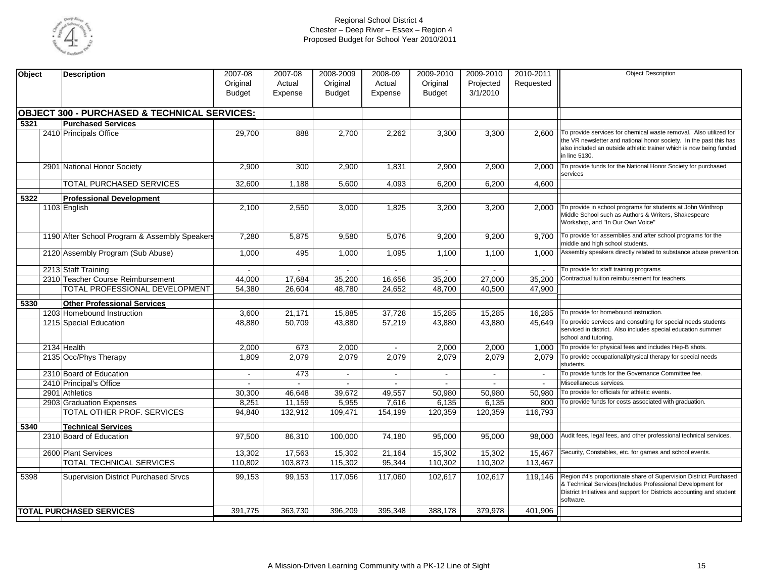

| <b>Object</b> | <b>Description</b>                                      | 2007-08       | 2007-08           | 2008-2009     | 2008-09           | 2009-2010     | 2009-2010             | 2010-2011 | <b>Object Description</b>                                                                                                                 |
|---------------|---------------------------------------------------------|---------------|-------------------|---------------|-------------------|---------------|-----------------------|-----------|-------------------------------------------------------------------------------------------------------------------------------------------|
|               |                                                         | Original      | Actual<br>Expense | Original      | Actual<br>Expense | Original      | Projected<br>3/1/2010 | Requested |                                                                                                                                           |
|               |                                                         | <b>Budget</b> |                   | <b>Budget</b> |                   | <b>Budget</b> |                       |           |                                                                                                                                           |
|               | <b>OBJECT 300 - PURCHASED &amp; TECHNICAL SERVICES:</b> |               |                   |               |                   |               |                       |           |                                                                                                                                           |
| 5321          | <b>Purchased Services</b>                               |               |                   |               |                   |               |                       |           |                                                                                                                                           |
|               | 2410 Principals Office                                  | 29,700        | 888               | 2.700         | 2.262             | 3,300         | 3,300                 | 2.600     | To provide services for chemical waste removal. Also utilized for                                                                         |
|               |                                                         |               |                   |               |                   |               |                       |           | the VR newsletter and national honor society. In the past this has<br>also included an outside athletic trainer which is now being funded |
|               |                                                         |               |                   |               |                   |               |                       |           | in line 5130.                                                                                                                             |
|               | 2901 National Honor Society                             | 2,900         | 300               | 2,900         | 1,831             | 2,900         | 2,900                 | 2,000     | To provide funds for the National Honor Society for purchased                                                                             |
|               |                                                         |               |                   |               |                   |               |                       |           | services                                                                                                                                  |
|               | TOTAL PURCHASED SERVICES                                | 32,600        | 1,188             | 5.600         | 4,093             | 6,200         | 6.200                 | 4,600     |                                                                                                                                           |
| 5322          | <b>Professional Development</b>                         |               |                   |               |                   |               |                       |           |                                                                                                                                           |
|               | 1103 English                                            | 2,100         | 2,550             | 3,000         | 1,825             | 3,200         | 3,200                 | 2.000     | To provide in school programs for students at John Winthrop                                                                               |
|               |                                                         |               |                   |               |                   |               |                       |           | Middle School such as Authors & Writers, Shakespeare<br>Workshop, and "In Our Own Voice"                                                  |
|               | 1190 After School Program & Assembly Speakers           | 7.280         | 5.875             | 9,580         | 5.076             | 9,200         | 9,200                 | 9.700     | To provide for assemblies and after school programs for the                                                                               |
|               |                                                         |               |                   |               |                   |               |                       |           | middle and high school students.                                                                                                          |
|               | 2120 Assembly Program (Sub Abuse)                       | 1,000         | 495               | 1,000         | 1,095             | 1,100         | 1,100                 | 1,000     | Assembly speakers directly related to substance abuse prevention.                                                                         |
|               | 2213 Staff Training                                     |               | $\sim$            |               |                   |               |                       | $\sim$    | To provide for staff training programs                                                                                                    |
|               | 2310 Teacher Course Reimbursement                       | 44,000        | 17,684            | 35,200        | 16,656            | 35,200        | 27,000                | 35,200    | Contractual tuition reimbursement for teachers.                                                                                           |
|               | TOTAL PROFESSIONAL DEVELOPMENT                          | 54,380        | 26,604            | 48,780        | 24,652            | 48,700        | 40,500                |           |                                                                                                                                           |
|               |                                                         |               |                   |               |                   |               |                       | 47,900    |                                                                                                                                           |
| 5330          | <b>Other Professional Services</b>                      |               |                   |               |                   |               |                       |           |                                                                                                                                           |
|               | 1203 Homebound Instruction                              | 3,600         | 21,171            | 15,885        | 37,728            | 15,285        | 15,285                | 16,285    | To provide for homebound instruction.                                                                                                     |
|               | 1215 Special Education                                  | 48,880        | 50,709            | 43,880        | 57,219            | 43,880        | 43,880                | 45,649    | To provide services and consulting for special needs students                                                                             |
|               |                                                         |               |                   |               |                   |               |                       |           | serviced in district. Also includes special education summer<br>school and tutoring.                                                      |
|               | 2134 Health                                             | 2,000         | 673               | 2,000         | $\sim$            | 2,000         | 2,000                 | 1,000     | To provide for physical fees and includes Hep-B shots.                                                                                    |
|               | 2135 Occ/Phys Therapy                                   | 1,809         | 2,079             | 2,079         | 2,079             | 2,079         | 2,079                 | 2,079     | To provide occupational/physical therapy for special needs                                                                                |
|               |                                                         |               |                   |               |                   |               |                       |           | students.                                                                                                                                 |
|               | 2310 Board of Education                                 | $\sim$        | 473               | $\sim$        | $\sim$            | $\sim$        | $\sim$                | $\sim$    | To provide funds for the Governance Committee fee.                                                                                        |
|               | 2410 Principal's Office                                 | $\sim$        | $\sim$            | $\sim$        | $\sim$            | $\sim$        | $\sim$                | $\sim$    | Miscellaneous services.                                                                                                                   |
|               | 2901 Athletics                                          | 30,300        | 46,648            | 39,672        | 49,557            | 50,980        | 50,980                | 50.980    | To provide for officials for athletic events.                                                                                             |
|               | 2903 Graduation Expenses<br>TOTAL OTHER PROF. SERVICES  | 8,251         | 11,159<br>132,912 | 5,955         | 7,616             | 6,135         | 6,135                 | 800       | To provide funds for costs associated with graduation.                                                                                    |
|               |                                                         | 94,840        |                   | 109,471       | 154,199           | 120,359       | 120,359               | 116,793   |                                                                                                                                           |
| 5340          | <b>Technical Services</b>                               |               |                   |               |                   |               |                       |           |                                                                                                                                           |
|               | 2310 Board of Education                                 | 97,500        | 86,310            | 100,000       | 74,180            | 95,000        | 95,000                | 98,000    | Audit fees, legal fees, and other professional technical services.                                                                        |
|               | 2600 Plant Services                                     | 13,302        | 17,563            | 15,302        | 21,164            | 15,302        | 15,302                | 15,467    | Security, Constables, etc. for games and school events.                                                                                   |
|               | TOTAL TECHNICAL SERVICES                                | 110,802       | 103,873           | 115,302       | 95,344            | 110,302       | 110,302               | 113,467   |                                                                                                                                           |
| 5398          | Supervision District Purchased Srvcs                    | 99,153        | 99,153            | 117,056       | 117,060           | 102,617       | 102,617               | 119,146   | Region #4's proportionate share of Supervision District Purchased                                                                         |
|               |                                                         |               |                   |               |                   |               |                       |           | & Technical Services(Includes Professional Development for                                                                                |
|               |                                                         |               |                   |               |                   |               |                       |           | District Initiatives and support for Districts accounting and student                                                                     |
|               |                                                         |               |                   |               |                   |               |                       |           | software.                                                                                                                                 |
|               | <b>TOTAL PURCHASED SERVICES</b>                         | 391,775       | 363,730           | 396,209       | 395,348           | 388,178       | 379,978               | 401,906   |                                                                                                                                           |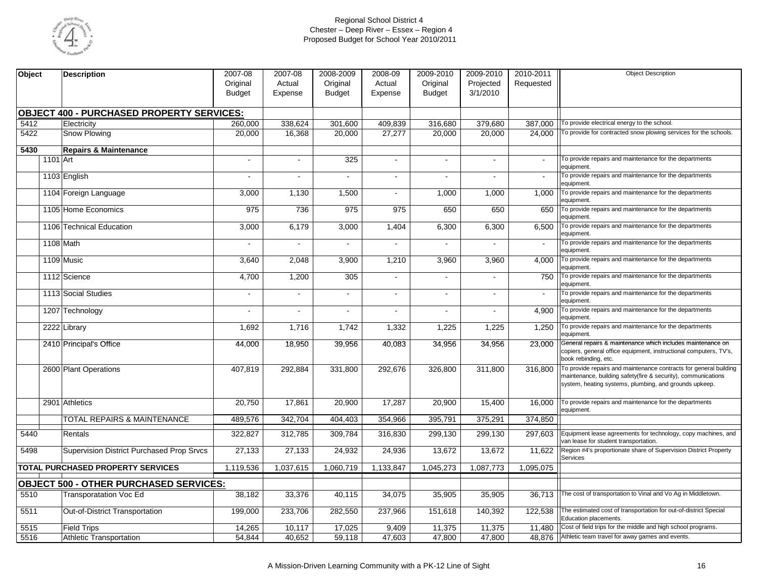

| Object   | <b>Description</b>                               | 2007-08       | 2007-08        | 2008-2009      | 2008-09        | 2009-2010      | 2009-2010 | 2010-2011 | <b>Object Description</b>                                                                                                                                                                    |
|----------|--------------------------------------------------|---------------|----------------|----------------|----------------|----------------|-----------|-----------|----------------------------------------------------------------------------------------------------------------------------------------------------------------------------------------------|
|          |                                                  | Original      | Actual         | Original       | Actual         | Original       | Projected | Requested |                                                                                                                                                                                              |
|          |                                                  | <b>Budget</b> | Expense        | <b>Budget</b>  | Expense        | <b>Budget</b>  | 3/1/2010  |           |                                                                                                                                                                                              |
|          |                                                  |               |                |                |                |                |           |           |                                                                                                                                                                                              |
|          | <b>OBJECT 400 - PURCHASED PROPERTY SERVICES:</b> |               |                |                |                |                |           |           |                                                                                                                                                                                              |
| 5412     | Electricity                                      | 260,000       | 338,624        | 301,600        | 409,839        | 316,680        | 379,680   | 387,000   | To provide electrical energy to the school.                                                                                                                                                  |
| 5422     | <b>Snow Plowing</b>                              | 20,000        | 16,368         | 20,000         | 27,277         | 20,000         | 20,000    | 24,000    | To provide for contracted snow plowing services for the schools.                                                                                                                             |
| 5430     | <b>Repairs &amp; Maintenance</b>                 |               |                |                |                |                |           |           |                                                                                                                                                                                              |
| 1101 Art |                                                  |               | $\blacksquare$ | 325            | $\blacksquare$ | $\sim$         |           | $\sim$    | To provide repairs and maintenance for the departments<br>equipment.                                                                                                                         |
|          | 1103 English                                     |               | $\blacksquare$ | $\blacksquare$ | $\blacksquare$ | $\sim$         | $\sim$    | $\sim$    | To provide repairs and maintenance for the departments<br>equipment.                                                                                                                         |
|          | 1104 Foreign Language                            | 3,000         | 1,130          | 1,500          | $\mathbf{r}$   | 1,000          | 1,000     | 1,000     | To provide repairs and maintenance for the departments<br>equipment.                                                                                                                         |
|          | 1105 Home Economics                              | 975           | 736            | 975            | 975            | 650            | 650       | 650       | To provide repairs and maintenance for the departments<br>equipment.                                                                                                                         |
|          | 1106 Technical Education                         | 3,000         | 6,179          | 3,000          | 1,404          | 6,300          | 6,300     | 6,500     | To provide repairs and maintenance for the departments<br>equipment.                                                                                                                         |
|          | 1108 Math                                        |               | $\blacksquare$ | $\blacksquare$ | $\blacksquare$ | $\blacksquare$ |           | $\omega$  | To provide repairs and maintenance for the departments<br>equipment.                                                                                                                         |
|          | 1109 Music                                       | 3,640         | 2,048          | 3,900          | 1,210          | 3,960          | 3,960     | 4,000     | To provide repairs and maintenance for the departments<br>equipment.                                                                                                                         |
|          | 1112 Science                                     | 4,700         | 1,200          | 305            | $\blacksquare$ | $\sim$         |           | 750       | To provide repairs and maintenance for the departments<br>equipment.                                                                                                                         |
|          | 1113 Social Studies                              | $\sim$        | $\mathbf{r}$   | $\sim$         | L.             | $\sim$         | $\sim$    | $\omega$  | To provide repairs and maintenance for the departments<br>equipment.                                                                                                                         |
|          | 1207 Technology                                  |               | $\sim$         | $\mathbf{r}$   | $\sim$         | $\sim$         | $\sim$    | 4.900     | To provide repairs and maintenance for the departments<br>equipment.                                                                                                                         |
|          | 2222 Library                                     | 1,692         | 1,716          | 1,742          | 1,332          | 1,225          | 1,225     | 1,250     | To provide repairs and maintenance for the departments<br>equipment.                                                                                                                         |
|          | 2410 Principal's Office                          | 44,000        | 18,950         | 39,956         | 40,083         | 34,956         | 34,956    | 23,000    | General repairs & maintenance which includes maintenance on<br>copiers, general office equipment, instructional computers, TV's,<br>book rebinding, etc.                                     |
|          | 2600 Plant Operations                            | 407,819       | 292,884        | 331,800        | 292,676        | 326,800        | 311,800   | 316,800   | To provide repairs and maintenance contracts for general building<br>maintenance, building safety(fire & security), communications<br>system, heating systems, plumbing, and grounds upkeep. |
|          | 2901 Athletics                                   | 20,750        | 17,861         | 20.900         | 17,287         | 20,900         | 15,400    | 16.000    | To provide repairs and maintenance for the departments<br>equipment.                                                                                                                         |
|          | TOTAL REPAIRS & MAINTENANCE                      | 489,576       | 342,704        | 404,403        | 354,966        | 395,791        | 375,291   | 374,850   |                                                                                                                                                                                              |
| 5440     | Rentals                                          | 322,827       | 312,785        | 309,784        | 316,830        | 299,130        | 299,130   | 297,603   | Equipment lease agreements for technology, copy machines, and<br>van lease for student transportation.                                                                                       |
| 5498     | Supervision District Purchased Prop Srvcs        | 27,133        | 27,133         | 24,932         | 24,936         | 13,672         | 13,672    | 11.622    | Region #4's proportionate share of Supervision District Property<br>Services                                                                                                                 |
|          | <b>TOTAL PURCHASED PROPERTY SERVICES</b>         | 1,119,536     | 1,037,615      | 1,060,719      | 1,133,847      | 1,045,273      | 1,087,773 | 1,095,075 |                                                                                                                                                                                              |
|          | <b>OBJECT 500 - OTHER PURCHASED SERVICES:</b>    |               |                |                |                |                |           |           |                                                                                                                                                                                              |
| 5510     | <b>Transporatation Voc Ed</b>                    | 38,182        | 33,376         | 40,115         | 34,075         | 35,905         | 35,905    | 36,713    | The cost of transportation to Vinal and Vo Ag in Middletown.                                                                                                                                 |
|          |                                                  |               |                |                |                |                |           |           |                                                                                                                                                                                              |
| 5511     | Out-of-District Transportation                   | 199,000       | 233,706        | 282,550        | 237,966        | 151,618        | 140,392   | 122,538   | The estimated cost of transportation for out-of-district Special<br>Education placements.                                                                                                    |
| 5515     | <b>Field Trips</b>                               | 14,265        | 10,117         | 17,025         | 9,409          | 11,375         | 11,375    | 11,480    | Cost of field trips for the middle and high school programs.                                                                                                                                 |
| 5516     | <b>Athletic Transportation</b>                   | 54,844        | 40,652         | 59,118         | 47,603         | 47,800         | 47,800    | 48.876    | Athletic team travel for away games and events.                                                                                                                                              |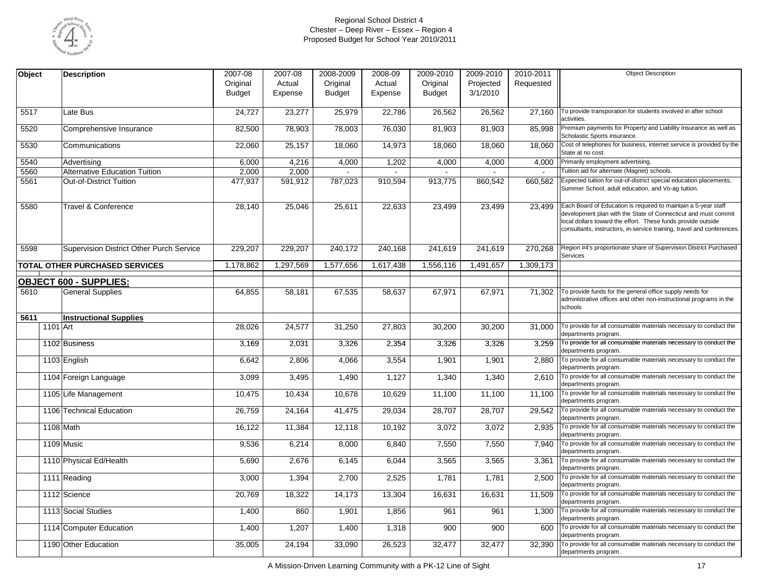

| Object   | Description                              | 2007-08       | 2007-08   | 2008-2009     | 2008-09   | 2009-2010     | 2009-2010 | 2010-2011 | <b>Object Description</b>                                                                                                                                                                                                                                                  |
|----------|------------------------------------------|---------------|-----------|---------------|-----------|---------------|-----------|-----------|----------------------------------------------------------------------------------------------------------------------------------------------------------------------------------------------------------------------------------------------------------------------------|
|          |                                          | Original      | Actual    | Original      | Actual    | Original      | Projected | Requested |                                                                                                                                                                                                                                                                            |
|          |                                          | <b>Budget</b> | Expense   | <b>Budget</b> | Expense   | <b>Budget</b> | 3/1/2010  |           |                                                                                                                                                                                                                                                                            |
|          |                                          |               |           |               |           |               |           |           |                                                                                                                                                                                                                                                                            |
| 5517     | Late Bus                                 | 24,727        | 23,277    | 25,979        | 22,786    | 26,562        | 26,562    | 27,160    | To provide transporation for students involved in after school<br>activities.                                                                                                                                                                                              |
| 5520     | Comprehensive Insurance                  | 82,500        | 78,903    | 78,003        | 76,030    | 81,903        | 81,903    | 85,998    | Premium payments for Property and Liability Insurance as well as<br>Scholastic Sports insurance.                                                                                                                                                                           |
| 5530     | Communications                           | 22,060        | 25,157    | 18,060        | 14,973    | 18,060        | 18,060    | 18.060    | Cost of telephones for business, internet service is provided by the<br>State at no cost.                                                                                                                                                                                  |
| 5540     | Advertising                              | 6,000         | 4,216     | 4,000         | 1,202     | 4,000         | 4,000     | 4,000     | Primarily employment advertising.                                                                                                                                                                                                                                          |
| 5560     | Alternative Education Tuition            | 2,000         | 2,000     |               |           |               |           |           | Tuition aid for alternate (Magnet) schools.                                                                                                                                                                                                                                |
| 5561     | Out-of-District Tuition                  | 477,937       | 591,912   | 787,023       | 910,594   | 913,775       | 860,542   | 660,582   | Expected tuition for out-of-district special education placements,<br>Summer School, adult education, and Vo-ag tuition.                                                                                                                                                   |
| 5580     | Travel & Conference                      | 28,140        | 25,046    | 25,611        | 22,633    | 23,499        | 23,499    | 23.499    | Each Board of Education is required to maintain a 5-year staff<br>development plan with the State of Connecticut and must commit<br>local dollars toward the effort. These funds provide outside<br>consultants, instructors, in-service training, travel and conferences. |
| 5598     | Supervision District Other Purch Service | 229,207       | 229,207   | 240,172       | 240,168   | 241,619       | 241,619   | 270,268   | Region #4's proportionate share of Supervision District Purchased<br><b>Services</b>                                                                                                                                                                                       |
|          | <b>TOTAL OTHER PURCHASED SERVICES</b>    | 1,178,862     | 1,297,569 | 1,577,656     | 1,617,438 | 1,556,116     | 1,491,657 | 1,309,173 |                                                                                                                                                                                                                                                                            |
|          |                                          |               |           |               |           |               |           |           |                                                                                                                                                                                                                                                                            |
|          | <b>OBJECT 600 - SUPPLIES:</b>            |               |           |               |           |               |           |           |                                                                                                                                                                                                                                                                            |
| 5610     | <b>General Supplies</b>                  | 64,855        | 58,181    | 67,535        | 58,637    | 67,971        | 67,971    | 71.302    | To provide funds for the general office supply needs for<br>administrative offices and other non-instructional programs in the<br>schools                                                                                                                                  |
| 5611     | <b>Instructional Supplies</b>            |               |           |               |           |               |           |           |                                                                                                                                                                                                                                                                            |
| 1101 Art |                                          | 28,026        | 24,577    | 31,250        | 27,803    | 30,200        | 30,200    | 31,000    | To provide for all consumable materials necessary to conduct the<br>departments program.                                                                                                                                                                                   |
|          | 1102 Business                            | 3,169         | 2,031     | 3,326         | 2,354     | 3,326         | 3,326     | 3,259     | To provide for all consumable materials necessary to conduct the<br>departments program.                                                                                                                                                                                   |
|          | 1103 English                             | 6,642         | 2,806     | 4,066         | 3,554     | 1,901         | 1,901     | 2,880     | To provide for all consumable materials necessary to conduct the<br>departments program.                                                                                                                                                                                   |
|          | 1104 Foreign Language                    | 3,099         | 3,495     | 1,490         | 1,127     | 1,340         | 1,340     | 2,610     | To provide for all consumable materials necessary to conduct the<br>departments program.                                                                                                                                                                                   |
|          | 1105 Life Management                     | 10,475        | 10,434    | 10,678        | 10,629    | 11,100        | 11,100    | 11,100    | To provide for all consumable materials necessary to conduct the<br>departments program.                                                                                                                                                                                   |
|          | 1106 Technical Education                 | 26,759        | 24,164    | 41,475        | 29,034    | 28,707        | 28,707    | 29,542    | To provide for all consumable materials necessary to conduct the<br>departments program.                                                                                                                                                                                   |
|          | 1108 Math                                | 16,122        | 11,384    | 12,118        | 10,192    | 3,072         | 3,072     | 2.935     | To provide for all consumable materials necessary to conduct the<br>departments program.                                                                                                                                                                                   |
|          | 1109 Music                               | 9,536         | 6,214     | 8,000         | 6,840     | 7,550         | 7,550     | 7,940     | To provide for all consumable materials necessary to conduct the<br>departments program.                                                                                                                                                                                   |
|          | 1110 Physical Ed/Health                  | 5,690         | 2,676     | 6,145         | 6,044     | 3,565         | 3,565     | 3,361     | To provide for all consumable materials necessary to conduct the<br>departments program.                                                                                                                                                                                   |
|          | 1111 Reading                             | 3,000         | 1,394     | 2,700         | 2,525     | 1,781         | 1,781     | 2,500     | To provide for all consumable materials necessary to conduct the<br>departments program.                                                                                                                                                                                   |
|          | 1112 Science                             | 20,769        | 18,322    | 14,173        | 13,304    | 16,631        | 16,631    | 11,509    | To provide for all consumable materials necessary to conduct the<br>departments program.                                                                                                                                                                                   |
|          | 1113 Social Studies                      | 1,400         | 860       | 1,901         | 1,856     | 961           | 961       | 1,300     | To provide for all consumable materials necessary to conduct the<br>departments program.                                                                                                                                                                                   |
|          | 1114 Computer Education                  | 1,400         | 1,207     | 1,400         | 1,318     | 900           | 900       | 600       | To provide for all consumable materials necessary to conduct the<br>departments program.                                                                                                                                                                                   |
|          | 1190 Other Education                     | 35,005        | 24,194    | 33,090        | 26,523    | 32,477        | 32,477    | 32,390    | To provide for all consumable materials necessary to conduct the<br>departments program.                                                                                                                                                                                   |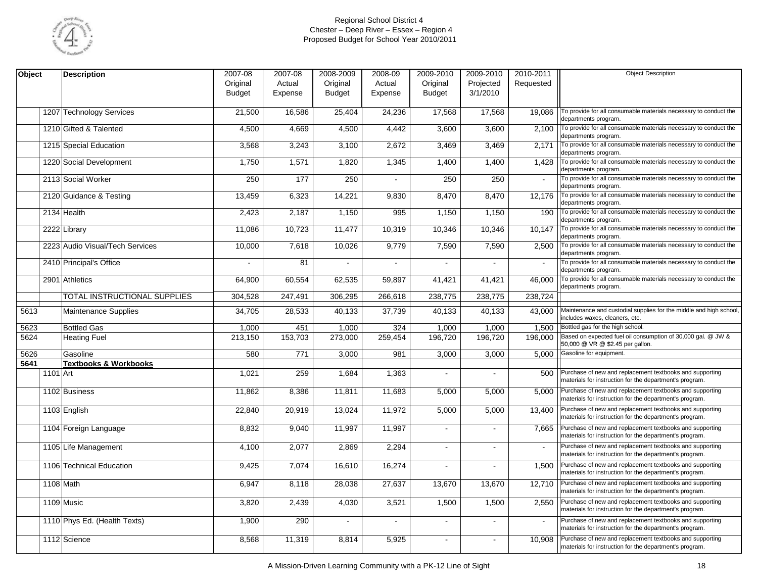

| <b>Object</b> |          | <b>Description</b>               | 2007-08        | 2007-08 | 2008-2009     | 2008-09        | 2009-2010      | 2009-2010                | 2010-2011      | <b>Object Description</b>                                                                                           |
|---------------|----------|----------------------------------|----------------|---------|---------------|----------------|----------------|--------------------------|----------------|---------------------------------------------------------------------------------------------------------------------|
|               |          |                                  | Original       | Actual  | Original      | Actual         | Original       | Projected                | Requested      |                                                                                                                     |
|               |          |                                  | <b>Budget</b>  | Expense | <b>Budget</b> | Expense        | <b>Budget</b>  | 3/1/2010                 |                |                                                                                                                     |
|               |          |                                  |                |         |               |                |                |                          |                |                                                                                                                     |
|               |          | 1207 Technology Services         | 21,500         | 16,586  | 25,404        | 24,236         | 17,568         | 17,568                   | 19,086         | To provide for all consumable materials necessary to conduct the<br>departments program.                            |
|               |          | 1210 Gifted & Talented           | 4,500          | 4,669   | 4,500         | 4,442          | 3,600          | 3,600                    | 2,100          | To provide for all consumable materials necessary to conduct the<br>departments program.                            |
|               |          | 1215 Special Education           | 3,568          | 3,243   | 3,100         | 2,672          | 3,469          | 3,469                    | 2.171          | To provide for all consumable materials necessary to conduct the<br>departments program.                            |
|               |          | 1220 Social Development          | 1,750          | 1,571   | 1,820         | 1,345          | 1,400          | 1,400                    | 1,428          | To provide for all consumable materials necessary to conduct the<br>departments program.                            |
|               |          | 2113 Social Worker               | 250            | 177     | 250           | $\mathbf{r}$   | 250            | 250                      | $\blacksquare$ | To provide for all consumable materials necessary to conduct the<br>departments program.                            |
|               |          | 2120 Guidance & Testing          | 13,459         | 6,323   | 14,221        | 9,830          | 8,470          | 8,470                    | 12,176         | To provide for all consumable materials necessary to conduct the<br>departments program.                            |
|               |          | 2134 Health                      | 2,423          | 2,187   | 1,150         | 995            | 1,150          | 1,150                    | 190            | To provide for all consumable materials necessary to conduct the<br>departments program.                            |
|               |          | 2222 Library                     | 11,086         | 10,723  | 11,477        | 10,319         | 10,346         | 10,346                   | 10,147         | To provide for all consumable materials necessary to conduct the<br>departments program.                            |
|               |          | 2223 Audio Visual/Tech Services  | 10,000         | 7,618   | 10,026        | 9,779          | 7,590          | 7,590                    | 2,500          | To provide for all consumable materials necessary to conduct the<br>departments program.                            |
|               |          | 2410 Principal's Office          | $\blacksquare$ | 81      | $\sim$        | $\blacksquare$ | $\overline{a}$ | $\ddot{\phantom{a}}$     | $\sim$         | To provide for all consumable materials necessary to conduct the<br>departments program.                            |
|               |          | 2901 Athletics                   | 64,900         | 60,554  | 62,535        | 59,897         | 41,421         | 41,421                   | 46,000         | To provide for all consumable materials necessary to conduct the<br>departments program.                            |
|               |          | TOTAL INSTRUCTIONAL SUPPLIES     | 304,528        | 247,491 | 306,295       | 266,618        | 238,775        | 238,775                  | 238,724        |                                                                                                                     |
| 5613          |          | Maintenance Supplies             | 34,705         | 28,533  | 40,133        | 37,739         | 40,133         | 40,133                   | 43,000         | Maintenance and custodial supplies for the middle and high school,<br>includes waxes, cleaners, etc.                |
| 5623          |          | <b>Bottled Gas</b>               | 1.000          | 451     | 1,000         | 324            | 1,000          | 1,000                    | 1,500          | Bottled gas for the high school.                                                                                    |
| 5624          |          | <b>Heating Fuel</b>              | 213,150        | 153,703 | 273,000       | 259,454        | 196,720        | 196,720                  | 196,000        | Based on expected fuel oil consumption of 30,000 gal. @ JW &<br>50,000 @ VR @ \$2.45 per gallon.                    |
| 5626          |          | Gasoline                         | 580            | 771     | 3,000         | 981            | 3,000          | 3,000                    | 5,000          | Gasoline for equipment.                                                                                             |
| 5641          |          | <b>Textbooks &amp; Workbooks</b> |                |         |               |                |                |                          |                |                                                                                                                     |
|               | 1101 Art |                                  | 1,021          | 259     | 1,684         | 1,363          | $\blacksquare$ | $\sim$                   | 500            | Purchase of new and replacement textbooks and supporting<br>materials for instruction for the department's program. |
|               |          | 1102 Business                    | 11,862         | 8,386   | 11,811        | 11,683         | 5,000          | 5,000                    | 5.000          | Purchase of new and replacement textbooks and supporting<br>materials for instruction for the department's program. |
|               |          | 1103 English                     | 22,840         | 20,919  | 13,024        | 11,972         | 5,000          | 5,000                    | 13,400         | Purchase of new and replacement textbooks and supporting<br>materials for instruction for the department's program. |
|               |          | 1104 Foreign Language            | 8,832          | 9,040   | 11,997        | 11,997         | $\blacksquare$ | $\overline{\phantom{a}}$ | 7,665          | Purchase of new and replacement textbooks and supporting<br>materials for instruction for the department's program. |
|               |          | 1105 Life Management             | 4,100          | 2,077   | 2,869         | 2,294          | $\sim$         | $\sim$                   |                | Purchase of new and replacement textbooks and supporting<br>materials for instruction for the department's program. |
|               |          | 1106 Technical Education         | 9,425          | 7,074   | 16,610        | 16,274         | $\overline{a}$ | $\overline{a}$           | 1,500          | Purchase of new and replacement textbooks and supporting<br>materials for instruction for the department's program. |
|               |          | 1108 Math                        | 6,947          | 8.118   | 28,038        | 27,637         | 13,670         | 13.670                   | 12.710         | Purchase of new and replacement textbooks and supporting<br>materials for instruction for the department's program. |
|               |          | 1109 Music                       | 3,820          | 2,439   | 4,030         | 3,521          | 1,500          | 1,500                    | 2,550          | Purchase of new and replacement textbooks and supporting<br>materials for instruction for the department's program. |
|               |          |                                  |                | 290     | $\sim$        | $\blacksquare$ | $\sim$         | $\mathbf{r}$             | $\blacksquare$ | Purchase of new and replacement textbooks and supporting                                                            |
|               |          | 1110 Phys Ed. (Health Texts)     | 1,900          |         |               |                |                |                          |                | materials for instruction for the department's program.                                                             |
|               |          | 1112 Science                     | 8,568          | 11,319  | 8,814         | 5,925          | $\blacksquare$ | $\overline{\phantom{a}}$ | 10,908         | Purchase of new and replacement textbooks and supporting<br>materials for instruction for the department's program. |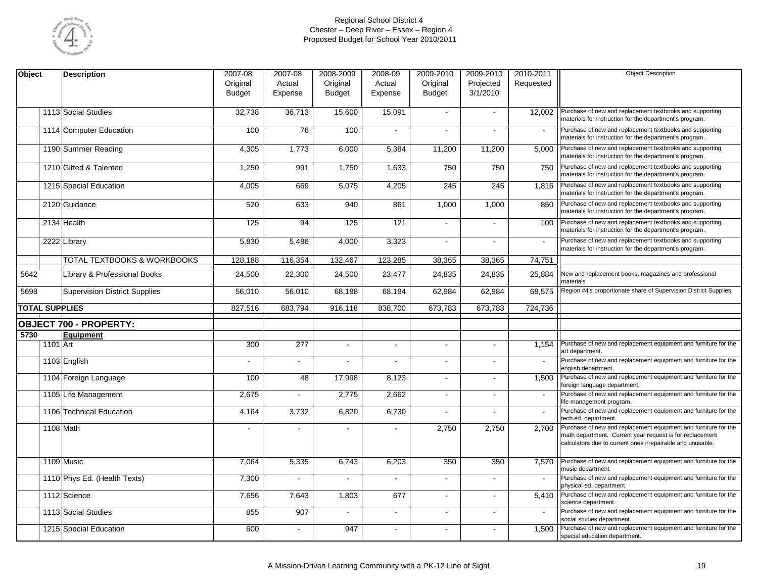

| Object |          | <b>Description</b>                   | 2007-08       | 2007-08        | 2008-2009      | 2008-09        | 2009-2010      | 2009-2010      | 2010-2011 | <b>Object Description</b>                                                                                                                                                                 |
|--------|----------|--------------------------------------|---------------|----------------|----------------|----------------|----------------|----------------|-----------|-------------------------------------------------------------------------------------------------------------------------------------------------------------------------------------------|
|        |          |                                      | Original      | Actual         | Original       | Actual         | Original       | Projected      | Requested |                                                                                                                                                                                           |
|        |          |                                      | <b>Budget</b> | Expense        | <b>Budget</b>  | Expense        | <b>Budget</b>  | 3/1/2010       |           |                                                                                                                                                                                           |
|        |          |                                      |               |                |                |                |                |                |           |                                                                                                                                                                                           |
|        |          | 1113 Social Studies                  | 32,738        | 36,713         | 15,600         | 15,091         | $\sim$         | $\blacksquare$ | 12,002    | Purchase of new and replacement textbooks and supporting<br>materials for instruction for the department's program.                                                                       |
|        |          | 1114 Computer Education              | 100           | 76             | 100            |                |                |                | $\sim$    | Purchase of new and replacement textbooks and supporting<br>materials for instruction for the department's program.                                                                       |
|        |          | 1190 Summer Reading                  | 4,305         | 1,773          | 6,000          | 5,384          | 11,200         | 11,200         | 5,000     | Purchase of new and replacement textbooks and supporting<br>materials for instruction for the department's program.                                                                       |
|        |          | 1210 Gifted & Talented               | 1,250         | 991            | 1,750          | 1,633          | 750            | 750            | 750       | Purchase of new and replacement textbooks and supporting<br>materials for instruction for the department's program.                                                                       |
|        |          | 1215 Special Education               | 4,005         | 669            | 5,075          | 4,205          | 245            | 245            | 1,816     | Purchase of new and replacement textbooks and supporting<br>materials for instruction for the department's program.                                                                       |
|        |          | 2120 Guidance                        | 520           | 633            | 940            | 861            | 1,000          | 1,000          | 850       | Purchase of new and replacement textbooks and supporting<br>materials for instruction for the department's program.                                                                       |
|        |          | 2134 Health                          | 125           | 94             | 125            | 121            | $\sim$         | $\blacksquare$ | 100       | Purchase of new and replacement textbooks and supporting<br>materials for instruction for the department's program.                                                                       |
|        |          | 2222 Library                         | 5,830         | 5,486          | 4,000          | 3,323          | $\sim$         | $\sim$         | $\sim$    | Purchase of new and replacement textbooks and supporting<br>materials for instruction for the department's program.                                                                       |
|        |          | TOTAL TEXTBOOKS & WORKBOOKS          | 128,188       | 116,354        | 132,467        | 123,285        | 38,365         | 38,365         | 74,751    |                                                                                                                                                                                           |
| 5642   |          | Library & Professional Books         | 24,500        | 22,300         | 24,500         | 23,477         | 24,835         | 24,835         | 25.884    | New and replacement books, magazines and professional<br>materials                                                                                                                        |
| 5698   |          | <b>Supervision District Supplies</b> | 56,010        | 56,010         | 68,188         | 68,184         | 62,984         | 62,984         | 68,575    | Region #4's proportionate share of Supervision District Supplies                                                                                                                          |
|        |          | <b>TOTAL SUPPLIES</b>                | 827,516       | 683,794        | 916,118        | 838,700        | 673,783        | 673,783        | 724,736   |                                                                                                                                                                                           |
|        |          |                                      |               |                |                |                |                |                |           |                                                                                                                                                                                           |
|        |          | <b>OBJECT 700 - PROPERTY:</b>        |               |                |                |                |                |                |           |                                                                                                                                                                                           |
| 5730   |          | <b>Equipment</b>                     |               |                |                |                |                |                |           |                                                                                                                                                                                           |
|        | 1101 Art |                                      | 300           | 277            | $\sim$         | $\mathbf{r}$   | $\mathbf{u}$   |                | 1.154     | Purchase of new and replacement equipment and furniture for the<br>art department.                                                                                                        |
|        |          | 1103 English                         |               | $\sim$         | $\blacksquare$ | $\blacksquare$ | $\sim$         | $\sim$         | $\sim$    | Purchase of new and replacement equipment and furniture for the<br>english department.                                                                                                    |
|        |          | 1104 Foreign Language                | 100           | 48             | 17,998         | 8,123          | $\sim$         | $\sim$         | 1.500     | Purchase of new and replacement equipment and furniture for the<br>foreign language department.                                                                                           |
|        |          | 1105 Life Management                 | 2,675         | $\blacksquare$ | 2,775          | 2,662          | $\sim$         | $\blacksquare$ | $\sim$    | Purchase of new and replacement equipment and furniture for the<br>life management program.                                                                                               |
|        |          | 1106 Technical Education             | 4,164         | 3,732          | 6,820          | 6,730          | $\sim$         | $\sim$         | $\sim$    | Purchase of new and replacement equipment and furniture for the<br>tech ed. department.                                                                                                   |
|        |          | 1108 Math                            | $\sim$        | $\blacksquare$ | $\sim$         | $\mathbf{r}$   | 2,750          | 2,750          | 2.700     | Purchase of new and replacement equipment and furniture for the<br>math department. Current year request is for replacement<br>calculators due to current ones irrepairable and unusable. |
|        |          | 1109 Music                           | 7,064         | 5,335          | 6,743          | 6,203          | 350            | 350            | 7.570     | Purchase of new and replacement equipment and furniture for the<br>music department.                                                                                                      |
|        |          | 1110 Phys Ed. (Health Texts)         | 7,300         | $\sim$         | $\sim$         | $\sim$         | $\sim$         | $\sim$         | $\sim$    | Purchase of new and replacement equipment and furniture for the<br>physical ed. department.                                                                                               |
|        |          | 1112 Science                         | 7,656         | 7,643          | 1,803          | 677            | $\blacksquare$ | $\sim$         | 5.410     | Purchase of new and replacement equipment and furniture for the<br>science department.                                                                                                    |
|        |          | 1113 Social Studies                  | 855           | 907            | $\blacksquare$ | $\mathbf{r}$   | $\sim$         | $\sim$         | $\sim$    | Purchase of new and replacement equipment and furniture for the<br>social studies department.                                                                                             |
|        |          | 1215 Special Education               | 600           | ٠.             | 947            | $\sim$         | $\sim$         | $\sim$         | 1.500     | Purchase of new and replacement equipment and furniture for the<br>special education department.                                                                                          |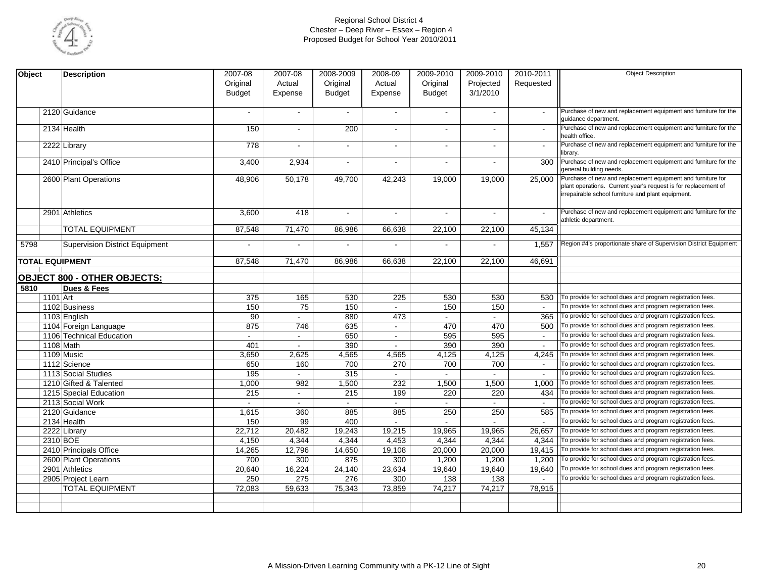

| Object                 |          | <b>Description</b>                 | 2007-08       | 2007-08                   | 2008-2009      | 2008-09                  | 2009-2010     | 2009-2010      | 2010-2011 | <b>Object Description</b>                                                                                                                                                           |
|------------------------|----------|------------------------------------|---------------|---------------------------|----------------|--------------------------|---------------|----------------|-----------|-------------------------------------------------------------------------------------------------------------------------------------------------------------------------------------|
|                        |          |                                    | Original      | Actual                    | Original       | Actual                   | Original      | Projected      | Requested |                                                                                                                                                                                     |
|                        |          |                                    | <b>Budget</b> | Expense                   | <b>Budget</b>  | Expense                  | <b>Budget</b> | 3/1/2010       |           |                                                                                                                                                                                     |
|                        |          |                                    |               |                           |                |                          |               |                |           |                                                                                                                                                                                     |
|                        |          | 2120 Guidance                      | $\sim$        | $\sim$                    | $\sim$         | $\sim$                   | $\sim$        | $\sim$         | $\sim$    | Purchase of new and replacement equipment and furniture for the<br>quidance department.                                                                                             |
|                        |          | 2134 Health                        | 150           | $\sim$                    | 200            | $\sim$                   | $\sim$        | $\sim$         | $\sim$    | Purchase of new and replacement equipment and furniture for the<br>health office.                                                                                                   |
|                        |          | 2222 Library                       | 778           | $\sim$                    | $\blacksquare$ | $\blacksquare$           | $\sim$        | $\sim$         | $\sim$    | Purchase of new and replacement equipment and furniture for the<br>library.                                                                                                         |
|                        |          | 2410 Principal's Office            | 3,400         | 2,934                     | $\blacksquare$ | $\blacksquare$           |               | $\blacksquare$ | 300       | Purchase of new and replacement equipment and furniture for the<br>general building needs.                                                                                          |
|                        |          | 2600 Plant Operations              | 48,906        | 50,178                    | 49,700         | 42,243                   | 19,000        | 19,000         | 25,000    | Purchase of new and replacement equipment and furniture for<br>plant operations. Current year's request is for replacement of<br>irrepairable school furniture and plant equipment. |
|                        |          | 2901 Athletics                     | 3,600         | 418                       | $\sim$         | $\overline{\phantom{a}}$ |               | $\sim$         | $\sim$    | Purchase of new and replacement equipment and furniture for the<br>athletic department.                                                                                             |
|                        |          | <b>TOTAL EQUIPMENT</b>             | 87,548        | 71,470                    | 86,986         | 66,638                   | 22,100        | 22,100         | 45,134    |                                                                                                                                                                                     |
| 5798                   |          | Supervision District Equipment     |               |                           |                |                          |               |                | 1.557     | Region #4's proportionate share of Supervision District Equipment                                                                                                                   |
| <b>TOTAL EQUIPMENT</b> |          |                                    | 87,548        | 71,470                    | 86,986         | 66,638                   | 22,100        | 22,100         | 46,691    |                                                                                                                                                                                     |
|                        |          | <b>OBJECT 800 - OTHER OBJECTS:</b> |               |                           |                |                          |               |                |           |                                                                                                                                                                                     |
| 5810                   |          | <b>Dues &amp; Fees</b>             |               |                           |                |                          |               |                |           |                                                                                                                                                                                     |
|                        | 1101 Art |                                    | 375           | 165                       | 530            | 225                      | 530           | 530            | 530       | To provide for school dues and program registration fees.                                                                                                                           |
|                        |          | 1102 Business                      | 150           | 75                        | 150            | $\sim$                   | 150           | 150            | $\sim$    | To provide for school dues and program registration fees.                                                                                                                           |
|                        |          | 1103 English                       | 90            | $\mathbb{Z}^{\mathbb{Z}}$ | 880            | 473                      | $\sim$        | $\mathbf{r}$   | 365       | To provide for school dues and program registration fees.                                                                                                                           |
|                        |          | 1104 Foreign Language              | 875           | 746                       | 635            | $\blacksquare$           | 470           | 470            | 500       | To provide for school dues and program registration fees.                                                                                                                           |
|                        |          | 1106 Technical Education           | $\sim$        | $\sim$                    | 650            | $\sim$                   | 595           | 595            | $\sim$    | To provide for school dues and program registration fees.                                                                                                                           |
|                        |          | 1108 Math                          | 401           | $\sim$                    | 390            | $\sim$                   | 390           | 390            | $\omega$  | To provide for school dues and program registration fees.                                                                                                                           |
|                        |          | 1109 Music                         | 3,650         | 2,625                     | 4,565          | 4,565                    | 4,125         | 4,125          | 4,245     | To provide for school dues and program registration fees.                                                                                                                           |
|                        |          | 1112 Science                       | 650           | 160                       | 700            | 270                      | 700           | 700            | $\sim$    | To provide for school dues and program registration fees.                                                                                                                           |
|                        |          | 1113 Social Studies                | 195           | $\blacksquare$            | 315            | $\mathbf{r}$             |               |                | $\sim$    | To provide for school dues and program registration fees.                                                                                                                           |
|                        |          | 1210 Gifted & Talented             | 1,000         | 982                       | 1,500          | 232                      | 1,500         | 1,500          | 1,000     | To provide for school dues and program registration fees.                                                                                                                           |
|                        |          | 1215 Special Education             | 215           | $\sim$                    | 215            | 199                      | 220           | 220            | 434       | To provide for school dues and program registration fees.                                                                                                                           |
|                        |          | 2113 Social Work                   | $\sim$        | $\sim$                    | $\sim$         | $\sim$                   | $\sim$        | $\sim$         | $\sim$    | To provide for school dues and program registration fees.                                                                                                                           |
|                        |          | 2120 Guidance                      | 1,615         | 360                       | 885            | 885                      | 250           | 250            | 585       | To provide for school dues and program registration fees.                                                                                                                           |
|                        |          | 2134 Health                        | 150           | 99                        | 400            | $\overline{\phantom{a}}$ |               |                | $\sim$    | To provide for school dues and program registration fees.                                                                                                                           |
|                        |          | 2222 Library                       | 22,712        | 20,482                    | 19,243         | 19,215                   | 19,965        | 19,965         | 26,657    | To provide for school dues and program registration fees.                                                                                                                           |
|                        |          | 2310 BOE                           | 4,150         | 4,344                     | 4,344          | 4,453                    | 4,344         | 4,344          | 4,344     | To provide for school dues and program registration fees.                                                                                                                           |
|                        |          | 2410 Principals Office             | 14,265        | 12,796                    | 14,650         | 19,108                   | 20,000        | 20,000         | 19,415    | To provide for school dues and program registration fees.                                                                                                                           |
|                        |          | 2600 Plant Operations              | 700           | 300                       | 875            | 300                      | 1,200         | 1,200          | 1,200     | To provide for school dues and program registration fees.                                                                                                                           |
|                        |          | 2901 Athletics                     | 20,640        | 16,224                    | 24,140         | 23,634                   | 19,640        | 19,640         | 19,640    | To provide for school dues and program registration fees.                                                                                                                           |
|                        |          | 2905 Project Learn                 | 250           | 275                       | 276            | 300                      | 138           | 138            |           | To provide for school dues and program registration fees.                                                                                                                           |
|                        |          | <b>TOTAL EQUIPMENT</b>             | 72,083        | 59,633                    | 75,343         | 73,859                   | 74,217        | 74,217         | 78,915    |                                                                                                                                                                                     |
|                        |          |                                    |               |                           |                |                          |               |                |           |                                                                                                                                                                                     |
|                        |          |                                    |               |                           |                |                          |               |                |           |                                                                                                                                                                                     |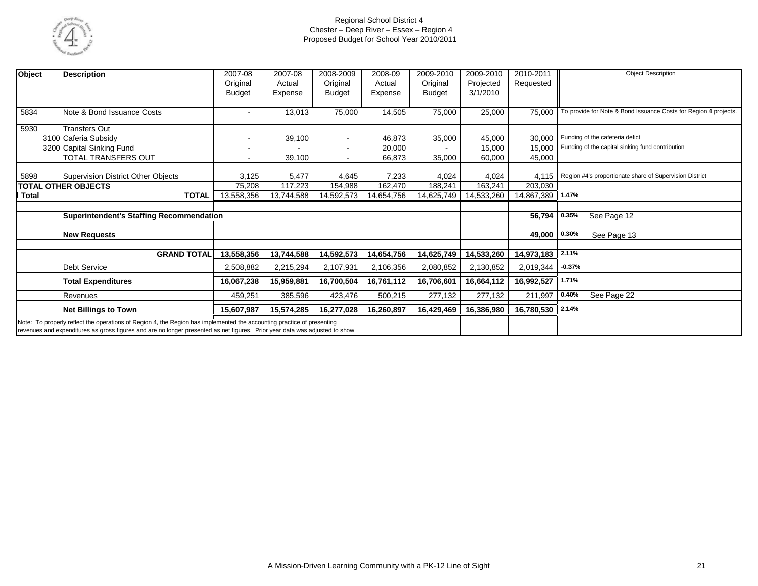

| <b>Object</b> |                      | <b>Description</b>                                                                                                          | 2007-08                  | 2007-08    | 2008-2009     | 2008-09    | 2009-2010     | 2009-2010  | 2010-2011  |          | <b>Object Description</b>                                        |
|---------------|----------------------|-----------------------------------------------------------------------------------------------------------------------------|--------------------------|------------|---------------|------------|---------------|------------|------------|----------|------------------------------------------------------------------|
|               |                      |                                                                                                                             | Original                 | Actual     | Original      | Actual     | Original      | Projected  | Requested  |          |                                                                  |
|               |                      |                                                                                                                             | <b>Budget</b>            | Expense    | <b>Budget</b> | Expense    | <b>Budget</b> | 3/1/2010   |            |          |                                                                  |
|               |                      |                                                                                                                             |                          |            |               |            |               |            |            |          |                                                                  |
| 5834          |                      | Note & Bond Issuance Costs                                                                                                  | $\sim$                   | 13,013     | 75,000        | 14,505     | 75,000        | 25,000     | 75,000     |          | To provide for Note & Bond Issuance Costs for Region 4 projects. |
| 5930          | <b>Transfers Out</b> |                                                                                                                             |                          |            |               |            |               |            |            |          |                                                                  |
|               |                      | 3100 Caferia Subsidy                                                                                                        | $\overline{\phantom{0}}$ | 39,100     | $\sim$        | 46,873     | 35,000        | 45,000     | 30,000     |          | Funding of the cafeteria defict                                  |
|               |                      | 3200 Capital Sinking Fund                                                                                                   | $\overline{\phantom{0}}$ |            | $\sim$        | 20,000     |               | 15,000     | 15.000     |          | Funding of the capital sinking fund contribution                 |
|               |                      | <b>TOTAL TRANSFERS OUT</b>                                                                                                  | $\overline{\phantom{0}}$ | 39,100     |               | 66,873     | 35,000        | 60,000     | 45,000     |          |                                                                  |
|               |                      |                                                                                                                             |                          |            |               |            |               |            |            |          |                                                                  |
| 5898          |                      | Supervision District Other Objects                                                                                          | 3,125                    | 5,477      | 4,645         | 7,233      | 4,024         | 4,024      | 4,115      |          | Region #4's proportionate share of Supervision District          |
|               |                      | <b>TOTAL OTHER OBJECTS</b>                                                                                                  | 75,208                   | 117,223    | 154,988       | 162.470    | 188,241       | 163,241    | 203,030    |          |                                                                  |
| <b>Total</b>  |                      | <b>TOTAL</b>                                                                                                                | 13,558,356               | 13,744,588 | 14,592,573    | 14,654,756 | 14,625,749    | 14,533,260 | 14,867,389 | 1.47%    |                                                                  |
|               |                      |                                                                                                                             |                          |            |               |            |               |            |            |          |                                                                  |
|               |                      | <b>Superintendent's Staffing Recommendation</b>                                                                             |                          |            |               |            |               |            | 56,794     | 0.35%    | See Page 12                                                      |
|               |                      |                                                                                                                             |                          |            |               |            |               |            |            |          |                                                                  |
|               |                      | <b>New Requests</b>                                                                                                         |                          |            |               |            |               |            | 49,000     | 0.30%    | See Page 13                                                      |
|               |                      |                                                                                                                             |                          |            |               |            |               |            |            |          |                                                                  |
|               |                      | <b>GRAND TOTAL</b>                                                                                                          | 13,558,356               | 13,744,588 | 14,592,573    | 14,654,756 | 14,625,749    | 14,533,260 | 14,973,183 | 2.11%    |                                                                  |
|               |                      | Debt Service                                                                                                                | 2,508,882                | 2,215,294  | 2,107,931     | 2,106,356  | 2,080,852     | 2,130,852  | 2,019,344  | $-0.37%$ |                                                                  |
|               |                      | <b>Total Expenditures</b>                                                                                                   | 16,067,238               | 15,959,881 | 16,700,504    | 16,761,112 | 16,706,601    | 16,664,112 | 16,992,527 | 1.71%    |                                                                  |
|               |                      |                                                                                                                             |                          |            |               |            |               |            |            |          |                                                                  |
|               |                      | Revenues                                                                                                                    | 459,251                  | 385,596    | 423,476       | 500,215    | 277,132       | 277,132    | 211,997    | 0.40%    | See Page 22                                                      |
|               |                      | <b>Net Billings to Town</b>                                                                                                 | 15,607,987               | 15,574,285 | 16,277,028    | 16,260,897 | 16,429,469    | 16,386,980 | 16,780,530 | 2.14%    |                                                                  |
|               |                      | Note: To properly reflect the operations of Region 4, the Region has implemented the accounting practice of presenting      |                          |            |               |            |               |            |            |          |                                                                  |
|               |                      | revenues and expenditures as gross figures and are no longer presented as net figures. Prior year data was adjusted to show |                          |            |               |            |               |            |            |          |                                                                  |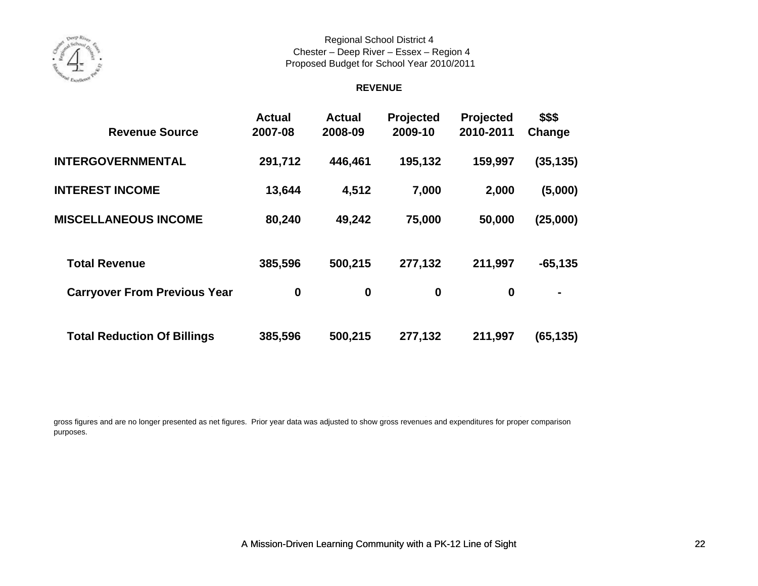

#### **REVENUE**

| <b>Revenue Source</b>                                       | <b>Actual</b><br>2007-08    | <b>Actual</b><br>2008-09    | Projected<br>2009-10        | <b>Projected</b><br>2010-2011 | \$\$\$<br>Change |
|-------------------------------------------------------------|-----------------------------|-----------------------------|-----------------------------|-------------------------------|------------------|
| <b>INTERGOVERNMENTAL</b>                                    | 291,712                     | 446,461                     | 195,132                     | 159,997                       | (35, 135)        |
| <b>INTEREST INCOME</b>                                      | 13,644                      | 4,512                       | 7,000                       | 2,000                         | (5,000)          |
| <b>MISCELLANEOUS INCOME</b>                                 | 80,240                      | 49,242                      | 75,000                      | 50,000                        | (25,000)         |
| <b>Total Revenue</b><br><b>Carryover From Previous Year</b> | 385,596<br>$\boldsymbol{0}$ | 500,215<br>$\boldsymbol{0}$ | 277,132<br>$\boldsymbol{0}$ | 211,997<br>$\mathbf 0$        | $-65, 135$       |
| <b>Total Reduction Of Billings</b>                          | 385,596                     | 500,215                     | 277,132                     | 211,997                       | (65, 135)        |

p p y p g g p gp p g p gross figures and are no longer presented as net figures. Prior year data was adjusted to show gross revenues and expenditures for proper comparison purposes.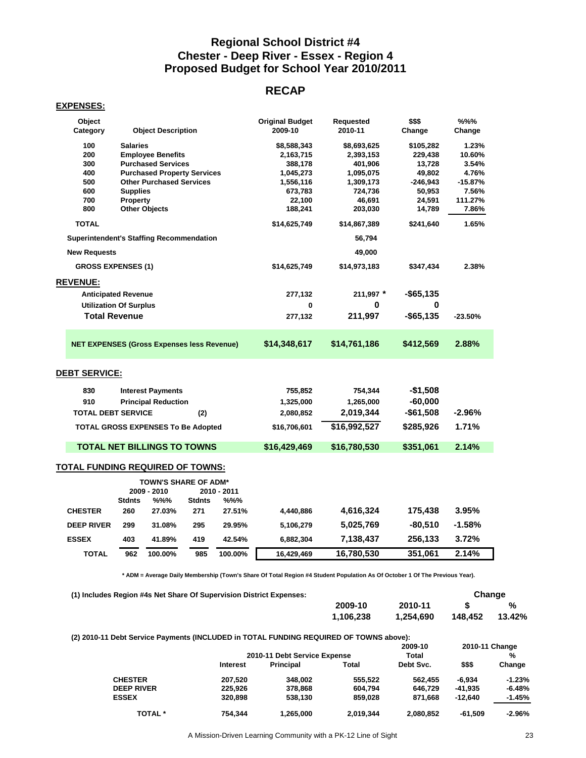# **RECAP**

#### **EXPENSES:**

| Object                                            |                                                                 |                                    |               |                    | <b>Original Budget</b><br>2009-10 | Requested<br>2010-11                                                                                                       | \$\$\$<br>Change     | %%%<br>Change   |         |              |           |
|---------------------------------------------------|-----------------------------------------------------------------|------------------------------------|---------------|--------------------|-----------------------------------|----------------------------------------------------------------------------------------------------------------------------|----------------------|-----------------|---------|--------------|-----------|
|                                                   | Category<br><b>Object Description</b><br>100<br><b>Salaries</b> |                                    |               |                    |                                   |                                                                                                                            |                      |                 |         |              |           |
| 200                                               |                                                                 | <b>Employee Benefits</b>           |               |                    | \$8,588,343<br>2,163,715          | \$8,693,625<br>2,393,153                                                                                                   | \$105,282<br>229,438 | 1.23%<br>10.60% |         |              |           |
| 300                                               |                                                                 | <b>Purchased Services</b>          |               |                    | 388,178                           | 401,906                                                                                                                    | 13,728               | 3.54%           |         |              |           |
| 400                                               |                                                                 | <b>Purchased Property Services</b> |               |                    | 1,045,273                         | 1,095,075                                                                                                                  | 49,802               | 4.76%           |         |              |           |
| 500                                               |                                                                 | <b>Other Purchased Services</b>    |               |                    | 1,556,116                         | 1,309,173                                                                                                                  | $-246,943$           | $-15.87%$       |         |              |           |
| 600                                               | <b>Supplies</b>                                                 |                                    |               |                    | 673,783                           | 724,736                                                                                                                    | 50,953               | 7.56%           |         |              |           |
| 700                                               | Property                                                        |                                    |               |                    | 22,100                            | 46,691                                                                                                                     | 24,591               | 111.27%         |         |              |           |
| 800                                               | <b>Other Objects</b>                                            |                                    |               |                    | 188,241                           | 203,030                                                                                                                    | 14,789               | 7.86%           |         |              |           |
| <b>TOTAL</b>                                      |                                                                 |                                    |               |                    | \$14,625,749                      | \$14,867,389                                                                                                               | \$241,640            | 1.65%           |         |              |           |
| <b>Superintendent's Staffing Recommendation</b>   |                                                                 |                                    |               |                    |                                   | 56,794                                                                                                                     |                      |                 |         |              |           |
|                                                   | <b>New Requests</b><br><b>GROSS EXPENSES (1)</b>                |                                    |               |                    | 49,000                            |                                                                                                                            |                      |                 |         |              |           |
|                                                   |                                                                 |                                    |               | \$14,625,749       | \$14,973,183                      | \$347,434                                                                                                                  | 2.38%                |                 |         |              |           |
| <b>REVENUE:</b>                                   |                                                                 |                                    |               |                    |                                   |                                                                                                                            |                      |                 |         |              |           |
|                                                   |                                                                 |                                    |               |                    | 277,132                           | 211,997 *                                                                                                                  | $-$ \$65,135         |                 |         |              |           |
|                                                   | <b>Anticipated Revenue</b><br><b>Utilization Of Surplus</b>     |                                    |               |                    | 0                                 | 0                                                                                                                          | 0                    |                 |         |              |           |
|                                                   | <b>Total Revenue</b>                                            |                                    |               |                    |                                   |                                                                                                                            |                      | 277,132         | 211,997 | $-$ \$65,135 | $-23.50%$ |
|                                                   |                                                                 |                                    |               |                    |                                   |                                                                                                                            |                      |                 |         |              |           |
| <b>NET EXPENSES (Gross Expenses less Revenue)</b> |                                                                 |                                    |               |                    | \$14,348,617                      | \$14,761,186                                                                                                               | \$412,569            | 2.88%           |         |              |           |
| <b>DEBT SERVICE:</b>                              |                                                                 |                                    |               |                    |                                   |                                                                                                                            |                      |                 |         |              |           |
| 830                                               |                                                                 | <b>Interest Payments</b>           |               |                    | 755,852                           | 754,344                                                                                                                    | -\$1,508             |                 |         |              |           |
| 910                                               |                                                                 | <b>Principal Reduction</b>         |               |                    | 1,325,000                         | 1,265,000                                                                                                                  | $-60,000$            |                 |         |              |           |
| <b>TOTAL DEBT SERVICE</b>                         |                                                                 |                                    | (2)           |                    | 2,080,852                         | 2,019,344                                                                                                                  | $-$61,508$           | $-2.96%$        |         |              |           |
|                                                   |                                                                 |                                    |               |                    |                                   |                                                                                                                            |                      |                 |         |              |           |
|                                                   |                                                                 | TOTAL GROSS EXPENSES To Be Adopted |               |                    | \$16,706,601                      | \$16,992,527                                                                                                               | \$285,926            | 1.71%           |         |              |           |
|                                                   |                                                                 | <b>TOTAL NET BILLINGS TO TOWNS</b> |               |                    | \$16,429,469                      | \$16,780,530                                                                                                               | \$351,061            | 2.14%           |         |              |           |
| TOTAL FUNDING REQUIRED OF TOWNS:                  |                                                                 |                                    |               |                    |                                   |                                                                                                                            |                      |                 |         |              |           |
|                                                   |                                                                 |                                    |               |                    |                                   |                                                                                                                            |                      |                 |         |              |           |
|                                                   |                                                                 | <b>TOWN'S SHARE OF ADM*</b>        |               |                    |                                   |                                                                                                                            |                      |                 |         |              |           |
|                                                   | <b>Stdnts</b>                                                   | 2009 - 2010<br>%%%                 | <b>Stdnts</b> | 2010 - 2011<br>%%% |                                   |                                                                                                                            |                      |                 |         |              |           |
|                                                   |                                                                 |                                    |               | 27.51%             |                                   |                                                                                                                            | 175,438              | 3.95%           |         |              |           |
| <b>CHESTER</b>                                    | 260                                                             | 27.03%                             | 271           |                    | 4,440,886                         | 4,616,324                                                                                                                  | $-80,510$            |                 |         |              |           |
| <b>DEEP RIVER</b>                                 | 299                                                             | 31.08%                             | 295           | 29.95%             | 5,106,279                         | 5,025,769                                                                                                                  |                      | $-1.58%$        |         |              |           |
| <b>ESSEX</b>                                      | 403                                                             | 41.89%                             | 419           | 42.54%             | 6,882,304                         | 7,138,437                                                                                                                  | 256,133              | 3.72%           |         |              |           |
| <b>TOTAL</b>                                      | 962                                                             | 100.00%                            | 985           | 100.00%            | 16,429,469                        | 16,780,530                                                                                                                 | 351,061              | 2.14%           |         |              |           |
|                                                   |                                                                 |                                    |               |                    |                                   | * ADM = Average Daily Membershin (Town's Share Of Total Region #4 Student Population As Of October 1 Of The Previous Year) |                      |                 |         |              |           |

**\* ADM = Average Daily Membership (Town's Share Of Total Region #4 Student Population As Of October 1 Of The Previous Year).**

| (1) Includes Region #4s Net Share Of Supervision District Expenses: |           |           | Change  |        |
|---------------------------------------------------------------------|-----------|-----------|---------|--------|
|                                                                     | 2009-10   | 2010-11   |         | %      |
|                                                                     | 1.106.238 | 1.254.690 | 148.452 | 13.42% |

 **(2) 2010-11 Debt Service Payments (INCLUDED in TOTAL FUNDING REQUIRED OF TOWNS above):**

|                   |                 |                              |           | 2009-10   | 2010-11 Change |          |
|-------------------|-----------------|------------------------------|-----------|-----------|----------------|----------|
|                   |                 | 2010-11 Debt Service Expense |           | Total     |                | %        |
|                   | <b>Interest</b> | <b>Principal</b>             | Total     | Debt Svc. | \$\$\$         | Change   |
| <b>CHESTER</b>    | 207.520         | 348.002                      | 555.522   | 562.455   | -6.934         | $-1.23%$ |
| <b>DEEP RIVER</b> | 225.926         | 378,868                      | 604.794   | 646.729   | $-41.935$      | $-6.48%$ |
| <b>ESSEX</b>      | 320,898         | 538.130                      | 859.028   | 871.668   | $-12.640$      | $-1.45%$ |
| <b>TOTAL *</b>    | 754.344         | 1.265.000                    | 2.019.344 | 2.080.852 | $-61.509$      | $-2.96%$ |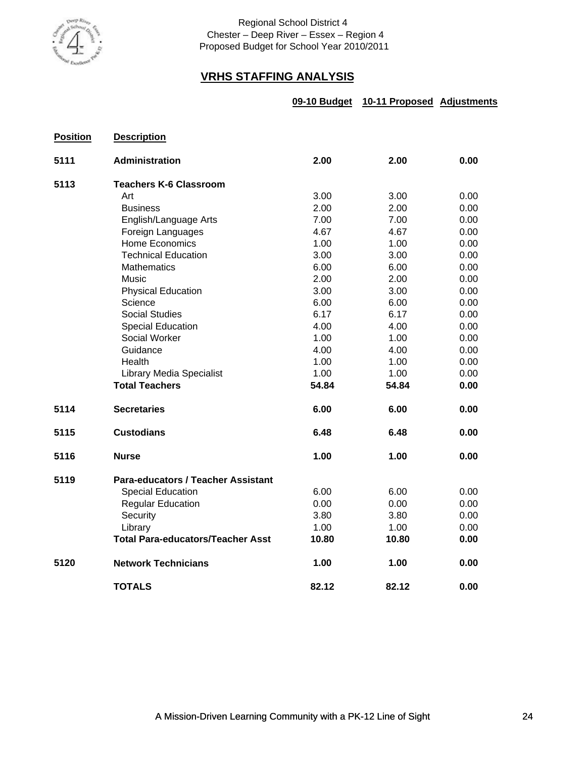

# **VRHS STAFFING ANALYSIS**

|                 |                                           | 09-10 Budget | 10-11 Proposed Adjustments |      |
|-----------------|-------------------------------------------|--------------|----------------------------|------|
| <b>Position</b> | <b>Description</b>                        |              |                            |      |
| 5111            | <b>Administration</b>                     | 2.00         | 2.00                       | 0.00 |
| 5113            | <b>Teachers K-6 Classroom</b>             |              |                            |      |
|                 | Art                                       | 3.00         | 3.00                       | 0.00 |
|                 | <b>Business</b>                           | 2.00         | 2.00                       | 0.00 |
|                 | English/Language Arts                     | 7.00         | 7.00                       | 0.00 |
|                 | Foreign Languages                         | 4.67         | 4.67                       | 0.00 |
|                 | <b>Home Economics</b>                     | 1.00         | 1.00                       | 0.00 |
|                 | <b>Technical Education</b>                | 3.00         | 3.00                       | 0.00 |
|                 | <b>Mathematics</b>                        | 6.00         | 6.00                       | 0.00 |
|                 | Music                                     | 2.00         | 2.00                       | 0.00 |
|                 | <b>Physical Education</b>                 | 3.00         | 3.00                       | 0.00 |
|                 | Science                                   | 6.00         | 6.00                       | 0.00 |
|                 | <b>Social Studies</b>                     | 6.17         | 6.17                       | 0.00 |
|                 | <b>Special Education</b>                  | 4.00         | 4.00                       | 0.00 |
|                 | Social Worker                             | 1.00         | 1.00                       | 0.00 |
|                 | Guidance                                  | 4.00         | 4.00                       | 0.00 |
|                 | Health                                    | 1.00         | 1.00                       | 0.00 |
|                 | <b>Library Media Specialist</b>           | 1.00         | 1.00                       | 0.00 |
|                 | <b>Total Teachers</b>                     | 54.84        | 54.84                      | 0.00 |
| 5114            | <b>Secretaries</b>                        | 6.00         | 6.00                       | 0.00 |
| 5115            | <b>Custodians</b>                         | 6.48         | 6.48                       | 0.00 |
| 5116            | <b>Nurse</b>                              | 1.00         | 1.00                       | 0.00 |
| 5119            | <b>Para-educators / Teacher Assistant</b> |              |                            |      |
|                 | <b>Special Education</b>                  | 6.00         | 6.00                       | 0.00 |
|                 | <b>Regular Education</b>                  | 0.00         | 0.00                       | 0.00 |
|                 | Security                                  | 3.80         | 3.80                       | 0.00 |
|                 | Library                                   | 1.00         | 1.00                       | 0.00 |
|                 | <b>Total Para-educators/Teacher Asst</b>  | 10.80        | 10.80                      | 0.00 |
| 5120            | <b>Network Technicians</b>                | 1.00         | 1.00                       | 0.00 |
|                 | <b>TOTALS</b>                             | 82.12        | 82.12                      | 0.00 |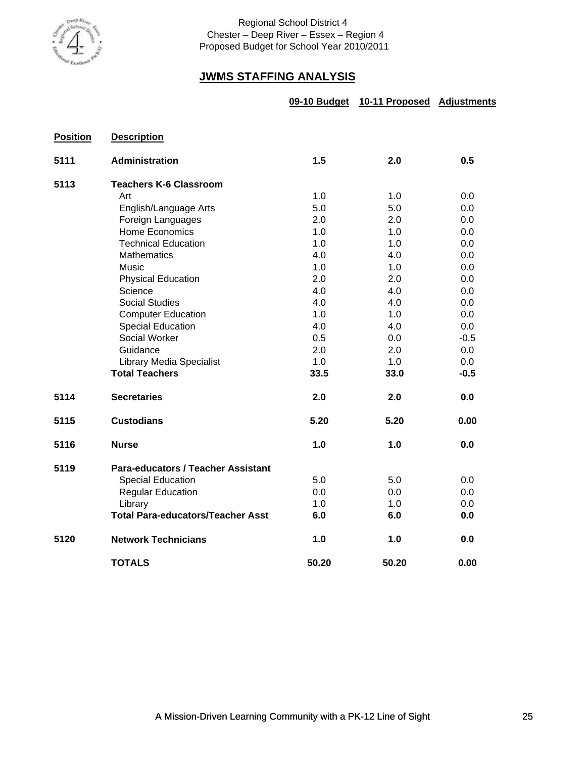

# **JWMS STAFFING ANALYSIS**

|                 |                                           | 09-10 Budget | 10-11 Proposed Adjustments |        |
|-----------------|-------------------------------------------|--------------|----------------------------|--------|
| <b>Position</b> | <b>Description</b>                        |              |                            |        |
| 5111            | <b>Administration</b>                     | 1.5          | 2.0                        | 0.5    |
| 5113            | <b>Teachers K-6 Classroom</b>             |              |                            |        |
|                 | Art                                       | 1.0          | 1.0                        | 0.0    |
|                 | English/Language Arts                     | 5.0          | 5.0                        | 0.0    |
|                 | Foreign Languages                         | 2.0          | 2.0                        | 0.0    |
|                 | <b>Home Economics</b>                     | 1.0          | 1.0                        | 0.0    |
|                 | <b>Technical Education</b>                | 1.0          | 1.0                        | 0.0    |
|                 | <b>Mathematics</b>                        | 4.0          | 4.0                        | 0.0    |
|                 | Music                                     | 1.0          | 1.0                        | 0.0    |
|                 | <b>Physical Education</b>                 | 2.0          | 2.0                        | 0.0    |
|                 | Science                                   | 4.0          | 4.0                        | 0.0    |
|                 | <b>Social Studies</b>                     | 4.0          | 4.0                        | 0.0    |
|                 | <b>Computer Education</b>                 | 1.0          | 1.0                        | 0.0    |
|                 | <b>Special Education</b>                  | 4.0          | 4.0                        | 0.0    |
|                 | Social Worker                             | 0.5          | 0.0                        | $-0.5$ |
|                 | Guidance                                  | 2.0          | 2.0                        | 0.0    |
|                 | <b>Library Media Specialist</b>           | 1.0          | 1.0                        | 0.0    |
|                 | <b>Total Teachers</b>                     | 33.5         | 33.0                       | $-0.5$ |
| 5114            | <b>Secretaries</b>                        | 2.0          | 2.0                        | 0.0    |
| 5115            | <b>Custodians</b>                         | 5.20         | 5.20                       | 0.00   |
| 5116            | <b>Nurse</b>                              | 1.0          | 1.0                        | 0.0    |
| 5119            | <b>Para-educators / Teacher Assistant</b> |              |                            |        |
|                 | <b>Special Education</b>                  | 5.0          | 5.0                        | 0.0    |
|                 | <b>Regular Education</b>                  | 0.0          | 0.0                        | 0.0    |
|                 | Library                                   | 1.0          | 1.0                        | 0.0    |
|                 | <b>Total Para-educators/Teacher Asst</b>  | 6.0          | 6.0                        | 0.0    |
| 5120            | <b>Network Technicians</b>                | 1.0          | 1.0                        | 0.0    |
|                 | <b>TOTALS</b>                             | 50.20        | 50.20                      | 0.00   |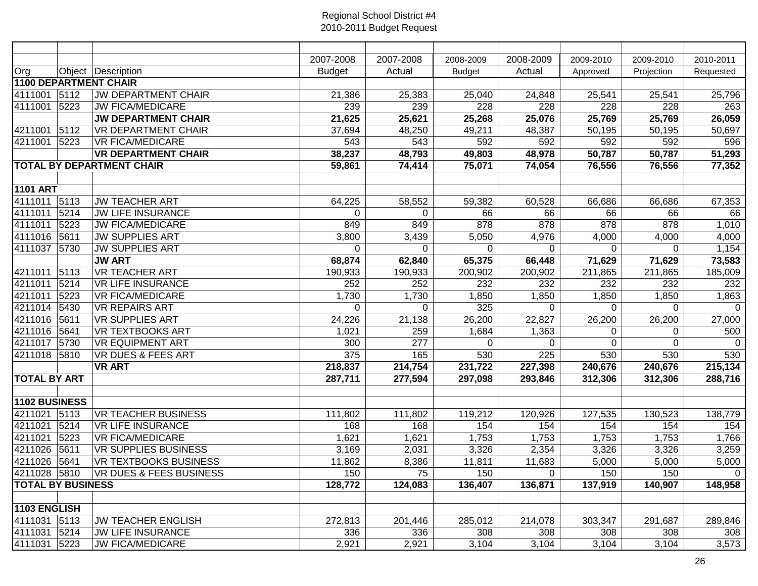|                          |      |                                      | 2007-2008     | 2007-2008 | 2008-2009     | 2008-2009      | 2009-2010   | 2009-2010  | 2010-2011      |
|--------------------------|------|--------------------------------------|---------------|-----------|---------------|----------------|-------------|------------|----------------|
| Org                      |      | Object Description                   | <b>Budget</b> | Actual    | <b>Budget</b> | Actual         | Approved    | Projection | Requested      |
|                          |      | <b>1100 DEPARTMENT CHAIR</b>         |               |           |               |                |             |            |                |
| 4111001 5112             |      | <b>JW DEPARTMENT CHAIR</b>           | 21,386        | 25,383    | 25,040        | 24,848         | 25,541      | 25,541     | 25,796         |
| 4111001                  | 5223 | <b>JW FICA/MEDICARE</b>              | 239           | 239       | 228           | 228            | 228         | 228        | 263            |
|                          |      | <b>JW DEPARTMENT CHAIR</b>           | 21,625        | 25,621    | 25,268        | 25,076         | 25,769      | 25,769     | 26,059         |
| 4211001                  | 5112 | <b>VR DEPARTMENT CHAIR</b>           | 37,694        | 48,250    | 49,211        | 48,387         | 50,195      | 50,195     | 50,697         |
| 4211001 5223             |      | <b>VR FICA/MEDICARE</b>              | 543           | 543       | 592           | 592            | 592         | 592        | 596            |
|                          |      | <b>VR DEPARTMENT CHAIR</b>           | 38,237        | 48,793    | 49,803        | 48,978         | 50,787      | 50,787     | 51,293         |
|                          |      | <b>TOTAL BY DEPARTMENT CHAIR</b>     | 59,861        | 74,414    | 75,071        | 74,054         | 76,556      | 76,556     | 77,352         |
|                          |      |                                      |               |           |               |                |             |            |                |
| <b>1101 ART</b>          |      |                                      |               |           |               |                |             |            |                |
| 4111011 5113             |      | <b>JW TEACHER ART</b>                | 64,225        | 58,552    | 59,382        | 60,528         | 66,686      | 66,686     | 67,353         |
| 4111011 5214             |      | <b>JW LIFE INSURANCE</b>             | 0             | 0         | 66            | 66             | 66          | 66         | 66             |
| 4111011                  | 5223 | <b>JW FICA/MEDICARE</b>              | 849           | 849       | 878           | 878            | 878         | 878        | 1,010          |
| 4111016                  | 5611 | <b>JW SUPPLIES ART</b>               | 3,800         | 3,439     | 5,050         | 4,976          | 4,000       | 4,000      | 4,000          |
| 4111037                  | 5730 | <b>JW SUPPLIES ART</b>               | 0             | 0         | 0             | $\Omega$       | $\mathbf 0$ | $\Omega$   | 1,154          |
|                          |      | <b>JW ART</b>                        | 68,874        | 62,840    | 65,375        | 66,448         | 71,629      | 71,629     | 73,583         |
| 4211011 5113             |      | <b>VR TEACHER ART</b>                | 190,933       | 190,933   | 200,902       | 200,902        | 211,865     | 211,865    | 185,009        |
| 4211011                  | 5214 | <b>VR LIFE INSURANCE</b>             | 252           | 252       | 232           | 232            | 232         | 232        | 232            |
| 4211011                  | 5223 | <b>VR FICA/MEDICARE</b>              | 1,730         | 1,730     | 1,850         | 1,850          | 1,850       | 1,850      | 1,863          |
| 4211014                  | 5430 | <b>VR REPAIRS ART</b>                | 0             | 0         | 325           | $\mathbf 0$    | 0           | $\Omega$   | 0              |
| 4211016                  | 5611 | <b>VR SUPPLIES ART</b>               | 24,226        | 21,138    | 26,200        | 22,827         | 26,200      | 26,200     | 27,000         |
| 4211016                  | 5641 | <b>VR TEXTBOOKS ART</b>              | 1,021         | 259       | 1,684         | 1,363          | 0           | 0          | 500            |
| 4211017                  | 5730 | <b>VR EQUIPMENT ART</b>              | 300           | 277       | $\Omega$      | $\Omega$       | 0           | $\Omega$   | $\overline{0}$ |
| 4211018 5810             |      | VR DUES & FEES ART                   | 375           | 165       | 530           | 225            | 530         | 530        | 530            |
|                          |      | <b>VR ART</b>                        | 218,837       | 214,754   | 231,722       | 227,398        | 240,676     | 240,676    | 215,134        |
| <b>TOTAL BY ART</b>      |      |                                      | 287,711       | 277,594   | 297,098       | 293,846        | 312,306     | 312,306    | 288,716        |
|                          |      |                                      |               |           |               |                |             |            |                |
| 1102 BUSINESS            |      |                                      |               |           |               |                |             |            |                |
| 4211021 5113             |      | <b>VR TEACHER BUSINESS</b>           | 111,802       | 111,802   | 119,212       | 120,926        | 127,535     | 130,523    | 138,779        |
| 4211021                  | 5214 | <b>VR LIFE INSURANCE</b>             | 168           | 168       | 154           | 154            | 154         | 154        | 154            |
| 4211021                  | 5223 | <b>VR FICA/MEDICARE</b>              | 1,621         | 1,621     | 1,753         | 1,753          | 1,753       | 1,753      | 1,766          |
| 4211026                  | 5611 | <b>VR SUPPLIES BUSINESS</b>          | 3,169         | 2,031     | 3,326         | 2,354          | 3,326       | 3,326      | 3,259          |
| 4211026 5641             |      | <b>VR TEXTBOOKS BUSINESS</b>         | 11,862        | 8,386     | 11,811        | 11,683         | 5,000       | 5,000      | 5,000          |
|                          |      | 4211028 5810 VR DUES & FEES BUSINESS | 150           | 75        | 150           | $\overline{0}$ | 150         | 150        | $\overline{0}$ |
| <b>TOTAL BY BUSINESS</b> |      |                                      | 128,772       | 124,083   | 136,407       | 136,871        | 137,919     | 140,907    | 148,958        |
|                          |      |                                      |               |           |               |                |             |            |                |
| 1103 ENGLISH             |      |                                      |               |           |               |                |             |            |                |
| 4111031 5113             |      | <b>JW TEACHER ENGLISH</b>            | 272,813       | 201,446   | 285,012       | 214,078        | 303,347     | 291,687    | 289,846        |
| 4111031 5214             |      | <b>JW LIFE INSURANCE</b>             | 336           | 336       | 308           | 308            | 308         | 308        | 308            |
| 4111031 5223             |      | <b>JW FICA/MEDICARE</b>              | 2,921         | 2,921     | 3,104         | 3,104          | 3,104       | 3,104      | 3,573          |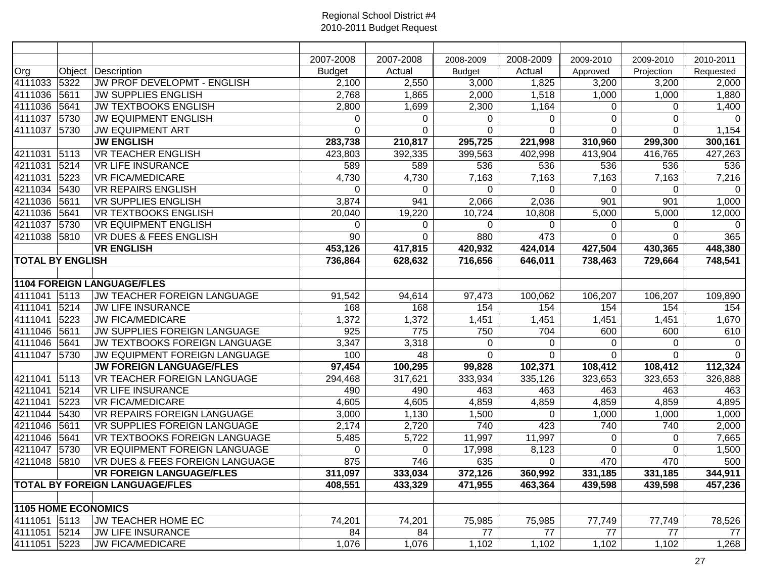|                         |      |                                       | 2007-2008     | 2007-2008 | 2008-2009     | 2008-2009   | 2009-2010   | 2009-2010   | 2010-2011   |
|-------------------------|------|---------------------------------------|---------------|-----------|---------------|-------------|-------------|-------------|-------------|
| Org                     |      | Object Description                    | <b>Budget</b> | Actual    | <b>Budget</b> | Actual      | Approved    | Projection  | Requested   |
| 4111033                 | 5322 | JW PROF DEVELOPMT - ENGLISH           | 2,100         | 2,550     | 3,000         | 1,825       | 3,200       | 3,200       | 2,000       |
| 4111036                 | 5611 | <b>JW SUPPLIES ENGLISH</b>            | 2,768         | 1,865     | 2,000         | 1,518       | 1,000       | 1,000       | 1,880       |
| 4111036                 | 5641 | <b>JW TEXTBOOKS ENGLISH</b>           | 2,800         | 1,699     | 2,300         | 1,164       | 0           | 0           | 1,400       |
| 4111037                 | 5730 | <b>JW EQUIPMENT ENGLISH</b>           | 0             | 0         | 0             | 0           | 0           | 0           | $\Omega$    |
| 4111037                 | 5730 | <b>JW EQUIPMENT ART</b>               | 0             | $\Omega$  | 0             | 0           | $\Omega$    | $\Omega$    | 1,154       |
|                         |      | <b>JW ENGLISH</b>                     | 283,738       | 210,817   | 295,725       | 221,998     | 310,960     | 299,300     | 300,161     |
| 4211031                 | 5113 | <b>VR TEACHER ENGLISH</b>             | 423,803       | 392,335   | 399,563       | 402,998     | 413,904     | 416,765     | 427,263     |
| 4211031                 | 5214 | <b>VR LIFE INSURANCE</b>              | 589           | 589       | 536           | 536         | 536         | 536         | 536         |
| 4211031                 | 5223 | <b>VR FICA/MEDICARE</b>               | 4,730         | 4,730     | 7,163         | 7,163       | 7,163       | 7,163       | 7,216       |
| 4211034                 | 5430 | <b>VR REPAIRS ENGLISH</b>             | 0             | 0         | 0             | 0           | 0           | 0           | $\mathbf 0$ |
| 4211036                 | 5611 | <b>VR SUPPLIES ENGLISH</b>            | 3,874         | 941       | 2,066         | 2,036       | 901         | 901         | 1,000       |
| 4211036                 | 5641 | <b>VR TEXTBOOKS ENGLISH</b>           | 20,040        | 19,220    | 10,724        | 10,808      | 5,000       | 5,000       | 12,000      |
| 4211037                 | 5730 | <b>VR EQUIPMENT ENGLISH</b>           | 0             | 0         | 0             | 0           | 0           | 0           | $\mathbf 0$ |
| 4211038                 | 5810 | <b>VR DUES &amp; FEES ENGLISH</b>     | 90            | 0         | 880           | 473         | $\mathbf 0$ | 0           | 365         |
|                         |      | <b>VR ENGLISH</b>                     | 453,126       | 417,815   | 420,932       | 424,014     | 427,504     | 430,365     | 448,380     |
| <b>TOTAL BY ENGLISH</b> |      |                                       | 736,864       | 628,632   | 716,656       | 646,011     | 738,463     | 729,664     | 748,541     |
|                         |      |                                       |               |           |               |             |             |             |             |
|                         |      | <b>1104 FOREIGN LANGUAGE/FLES</b>     |               |           |               |             |             |             |             |
| 4111041                 | 5113 | <b>JW TEACHER FOREIGN LANGUAGE</b>    | 91,542        | 94,614    | 97,473        | 100,062     | 106,207     | 106,207     | 109,890     |
| 4111041                 | 5214 | <b>JW LIFE INSURANCE</b>              | 168           | 168       | 154           | 154         | 154         | 154         | 154         |
| 4111041                 | 5223 | <b>JW FICA/MEDICARE</b>               | 1,372         | 1,372     | 1,451         | 1,451       | 1,451       | 1,451       | 1,670       |
| 4111046                 | 5611 | <b>JW SUPPLIES FOREIGN LANGUAGE</b>   | 925           | 775       | 750           | 704         | 600         | 600         | 610         |
| 4111046                 | 5641 | JW TEXTBOOKS FOREIGN LANGUAGE         | 3,347         | 3,318     | 0             | 0           | 0           | 0           | $\mathbf 0$ |
| 4111047                 | 5730 | JW EQUIPMENT FOREIGN LANGUAGE         | 100           | 48        | 0             | $\mathbf 0$ | $\mathbf 0$ | $\mathbf 0$ | $\mathbf 0$ |
|                         |      | <b>JW FOREIGN LANGUAGE/FLES</b>       | 97,454        | 100,295   | 99,828        | 102,371     | 108,412     | 108,412     | 112,324     |
| 4211041                 | 5113 | VR TEACHER FOREIGN LANGUAGE           | 294,468       | 317,621   | 333,934       | 335,126     | 323,653     | 323,653     | 326,888     |
| 4211041                 | 5214 | <b>VR LIFE INSURANCE</b>              | 490           | 490       | 463           | 463         | 463         | 463         | 463         |
| 4211041                 | 5223 | <b>VR FICA/MEDICARE</b>               | 4,605         | 4,605     | 4,859         | 4,859       | 4,859       | 4,859       | 4,895       |
| 4211044                 | 5430 | <b>VR REPAIRS FOREIGN LANGUAGE</b>    | 3,000         | 1,130     | 1,500         | 0           | 1,000       | 1,000       | 1,000       |
| 4211046                 | 5611 | <b>VR SUPPLIES FOREIGN LANGUAGE</b>   | 2,174         | 2,720     | 740           | 423         | 740         | 740         | 2,000       |
| 4211046                 | 5641 | VR TEXTBOOKS FOREIGN LANGUAGE         | 5,485         | 5,722     | 11,997        | 11,997      | $\mathbf 0$ | 0           | 7,665       |
| 4211047                 | 5730 | <b>VR EQUIPMENT FOREIGN LANGUAGE</b>  | 0             | 0         | 17,998        | 8,123       | $\pmb{0}$   | $\mathbf 0$ | 1,500       |
| 4211048                 | 5810 | VR DUES & FEES FOREIGN LANGUAGE       | 875           | 746       | 635           | 0           | 470         | 470         | 500         |
|                         |      | <b>VR FOREIGN LANGUAGE/FLES</b>       | 311,097       | 333,034   | 372,126       | 360,992     | 331,185     | 331,185     | 344,911     |
|                         |      | <b>TOTAL BY FOREIGN LANGUAGE/FLES</b> | 408,551       | 433,329   | 471,955       | 463,364     | 439,598     | 439,598     | 457,236     |
|                         |      |                                       |               |           |               |             |             |             |             |
| 1105 HOME ECONOMICS     |      |                                       |               |           |               |             |             |             |             |
| 4111051 5113            |      | <b>JW TEACHER HOME EC</b>             | 74,201        | 74,201    | 75,985        | 75,985      | 77,749      | 77,749      | 78,526      |
| 4111051                 | 5214 | <b>JW LIFE INSURANCE</b>              | 84            | 84        | 77            | 77          | 77          | 77          | 77          |
| 4111051                 | 5223 | <b>JW FICA/MEDICARE</b>               | 1,076         | 1,076     | 1,102         | 1,102       | 1,102       | 1,102       | 1,268       |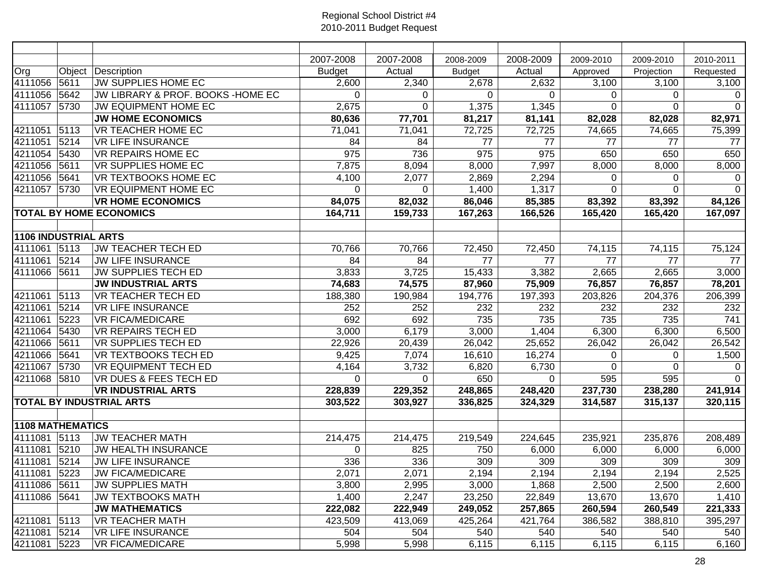|                         |        |                                    | 2007-2008     | 2007-2008 | 2008-2009     | 2008-2009 | 2009-2010 | 2009-2010  | 2010-2011   |
|-------------------------|--------|------------------------------------|---------------|-----------|---------------|-----------|-----------|------------|-------------|
| Org                     | Object | Description                        | <b>Budget</b> | Actual    | <b>Budget</b> | Actual    | Approved  | Projection | Requested   |
| 4111056                 | 5611   | JW SUPPLIES HOME EC                | 2,600         | 2,340     | 2,678         | 2,632     | 3,100     | 3,100      | 3,100       |
| 4111056                 | 5642   | JW LIBRARY & PROF. BOOKS - HOME EC | $\Omega$      | 0         | 0             | $\Omega$  | 0         | 0          | $\mathbf 0$ |
| 4111057                 | 5730   | <b>JW EQUIPMENT HOME EC</b>        | 2,675         | 0         | 1,375         | 1,345     | 0         | 0          | $\mathbf 0$ |
|                         |        | <b>JW HOME ECONOMICS</b>           | 80,636        | 77,701    | 81,217        | 81,141    | 82,028    | 82,028     | 82,971      |
| 4211051                 | 5113   | VR TEACHER HOME EC                 | 71,041        | 71,041    | 72,725        | 72,725    | 74,665    | 74,665     | 75,399      |
| 4211051                 | 5214   | <b>VR LIFE INSURANCE</b>           | 84            | 84        | 77            | 77        | 77        | 77         | 77          |
| 4211054                 | 5430   | <b>VR REPAIRS HOME EC</b>          | 975           | 736       | 975           | 975       | 650       | 650        | 650         |
| 4211056                 | 5611   | VR SUPPLIES HOME EC                | 7,875         | 8,094     | 8,000         | 7,997     | 8,000     | 8,000      | 8,000       |
| 4211056                 | 5641   | VR TEXTBOOKS HOME EC               | 4,100         | 2,077     | 2,869         | 2,294     | 0         | 0          | $\mathbf 0$ |
| 4211057                 | 5730   | VR EQUIPMENT HOME EC               | 0             | 0         | 1,400         | 1,317     | 0         | $\Omega$   | $\mathbf 0$ |
|                         |        | <b>VR HOME ECONOMICS</b>           | 84,075        | 82,032    | 86,046        | 85,385    | 83,392    | 83,392     | 84,126      |
|                         |        | <b>TOTAL BY HOME ECONOMICS</b>     | 164,711       | 159,733   | 167,263       | 166,526   | 165,420   | 165,420    | 167,097     |
|                         |        |                                    |               |           |               |           |           |            |             |
| 1106 INDUSTRIAL ARTS    |        |                                    |               |           |               |           |           |            |             |
| 4111061                 | 5113   | <b>JW TEACHER TECH ED</b>          | 70,766        | 70,766    | 72,450        | 72,450    | 74,115    | 74,115     | 75,124      |
| 4111061                 | 5214   | <b>JW LIFE INSURANCE</b>           | 84            | 84        | 77            | 77        | 77        | 77         | $77\,$      |
| 4111066                 | 5611   | JW SUPPLIES TECH ED                | 3,833         | 3,725     | 15,433        | 3,382     | 2,665     | 2,665      | 3,000       |
|                         |        | <b>JW INDUSTRIAL ARTS</b>          | 74,683        | 74,575    | 87,960        | 75,909    | 76,857    | 76,857     | 78,201      |
| 4211061                 | 5113   | <b>VR TEACHER TECH ED</b>          | 188,380       | 190,984   | 194,776       | 197,393   | 203,826   | 204,376    | 206,399     |
| 4211061                 | 5214   | <b>VR LIFE INSURANCE</b>           | 252           | 252       | 232           | 232       | 232       | 232        | 232         |
| 4211061                 | 5223   | <b>VR FICA/MEDICARE</b>            | 692           | 692       | 735           | 735       | 735       | 735        | 741         |
| 4211064                 | 5430   | VR REPAIRS TECH ED                 | 3,000         | 6,179     | 3,000         | 1,404     | 6,300     | 6,300      | 6,500       |
| 4211066                 | 5611   | VR SUPPLIES TECH ED                | 22,926        | 20,439    | 26,042        | 25,652    | 26,042    | 26,042     | 26,542      |
| 4211066                 | 5641   | VR TEXTBOOKS TECH ED               | 9,425         | 7,074     | 16,610        | 16,274    | 0         | 0          | 1,500       |
| 4211067                 | 5730   | <b>VR EQUIPMENT TECH ED</b>        | 4,164         | 3,732     | 6,820         | 6,730     | 0         | $\Omega$   | $\mathbf 0$ |
| 4211068                 | 5810   | VR DUES & FEES TECH ED             | $\Omega$      | 0         | 650           | $\Omega$  | 595       | 595        | $\Omega$    |
|                         |        | <b>VR INDUSTRIAL ARTS</b>          | 228,839       | 229,352   | 248,865       | 248,420   | 237,730   | 238,280    | 241,914     |
|                         |        | <b>TOTAL BY INDUSTRIAL ARTS</b>    | 303,522       | 303,927   | 336,825       | 324,329   | 314,587   | 315,137    | 320,115     |
|                         |        |                                    |               |           |               |           |           |            |             |
| <b>1108 MATHEMATICS</b> |        |                                    |               |           |               |           |           |            |             |
| 4111081 5113            | 5210   | <b>JW TEACHER MATH</b>             | 214,475       | 214,475   | 219,549       | 224,645   | 235,921   | 235,876    | 208,489     |
| 4111081                 | 5214   | <b>JW HEALTH INSURANCE</b>         | 0             | 825       | 750           | 6,000     | 6,000     | 6,000      | 6,000       |
| 4111081                 |        | <b>JW LIFE INSURANCE</b>           | 336           | 336       | 309           | 309       | 309       | 309        | 309         |
| 4111081 5223            |        | <b>JW FICA/MEDICARE</b>            | 2,071         | 2,071     | 2,194         | 2,194     | 2,194     | 2,194      | 2,525       |
| 4111086 5611            |        | <b>JW SUPPLIES MATH</b>            | 3,800         | 2,995     | 3,000         | 1,868     | 2,500     | 2,500      | 2,600       |
| 4111086 5641            |        | <b>JW TEXTBOOKS MATH</b>           | 1,400         | 2,247     | 23,250        | 22,849    | 13,670    | 13,670     | 1,410       |
|                         |        | <b>JW MATHEMATICS</b>              | 222,082       | 222,949   | 249,052       | 257,865   | 260,594   | 260,549    | 221,333     |
| 4211081 5113            |        | <b>VR TEACHER MATH</b>             | 423,509       | 413,069   | 425,264       | 421,764   | 386,582   | 388,810    | 395,297     |
| 4211081                 | 5214   | <b>VR LIFE INSURANCE</b>           | 504           | 504       | 540           | 540       | 540       | 540        | 540         |
| 4211081                 | 5223   | <b>VR FICA/MEDICARE</b>            | 5,998         | 5,998     | 6,115         | 6,115     | 6,115     | 6,115      | 6,160       |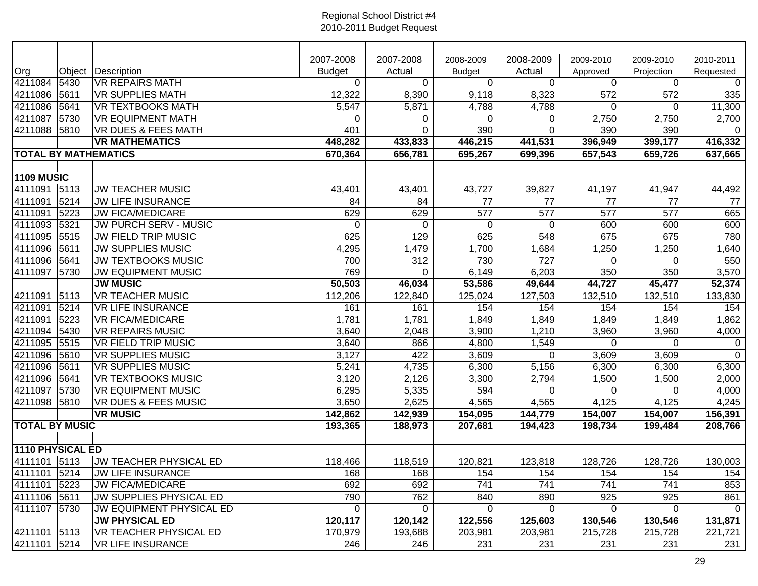|                       |        |                                 | 2007-2008     | 2007-2008 | 2008-2009     | 2008-2009   | 2009-2010 | 2009-2010    | 2010-2011      |
|-----------------------|--------|---------------------------------|---------------|-----------|---------------|-------------|-----------|--------------|----------------|
| Org                   | Object | Description                     | <b>Budget</b> | Actual    | <b>Budget</b> | Actual      | Approved  | Projection   | Requested      |
| 4211084               | 5430   | <b>VR REPAIRS MATH</b>          | 0             | 0         | $\mathbf 0$   | $\Omega$    | 0         | 0            | $\mathbf 0$    |
| 4211086               | 5611   | <b>VR SUPPLIES MATH</b>         | 12,322        | 8,390     | 9,118         | 8,323       | 572       | 572          | 335            |
| 4211086               | 5641   | <b>VR TEXTBOOKS MATH</b>        | 5,547         | 5,871     | 4,788         | 4,788       | 0         | $\mathbf{0}$ | 11,300         |
| 4211087               | 5730   | <b>VR EQUIPMENT MATH</b>        | 0             | 0         | $\Omega$      | $\mathbf 0$ | 2,750     | 2,750        | 2,700          |
| 4211088               | 5810   | VR DUES & FEES MATH             | 401           | 0         | 390           | $\Omega$    | 390       | 390          | $\Omega$       |
|                       |        | <b>VR MATHEMATICS</b>           | 448,282       | 433,833   | 446,215       | 441,531     | 396,949   | 399,177      | 416,332        |
|                       |        | <b>TOTAL BY MATHEMATICS</b>     | 670,364       | 656,781   | 695,267       | 699,396     | 657,543   | 659,726      | 637,665        |
|                       |        |                                 |               |           |               |             |           |              |                |
| <b>1109 MUSIC</b>     |        |                                 |               |           |               |             |           |              |                |
| 4111091               | 5113   | <b>JW TEACHER MUSIC</b>         | 43,401        | 43,401    | 43,727        | 39,827      | 41,197    | 41,947       | 44,492         |
| 4111091               | 5214   | <b>JW LIFE INSURANCE</b>        | 84            | 84        | 77            | 77          | 77        | 77           | 77             |
| 4111091               | 5223   | <b>JW FICA/MEDICARE</b>         | 629           | 629       | 577           | 577         | 577       | 577          | 665            |
| 4111093               | 5321   | <b>JW PURCH SERV - MUSIC</b>    | 0             | 0         | 0             | 0           | 600       | 600          | 600            |
| 4111095               | 5515   | <b>JW FIELD TRIP MUSIC</b>      | 625           | 129       | 625           | 548         | 675       | 675          | 780            |
| 4111096               | 5611   | <b>JW SUPPLIES MUSIC</b>        | 4,295         | 1,479     | 1,700         | 1,684       | 1,250     | 1,250        | 1,640          |
| 4111096               | 5641   | <b>JW TEXTBOOKS MUSIC</b>       | 700           | 312       | 730           | 727         | 0         | 0            | 550            |
| 4111097               | 5730   | <b>JW EQUIPMENT MUSIC</b>       | 769           | 0         | 6,149         | 6,203       | 350       | 350          | 3,570          |
|                       |        | <b>JW MUSIC</b>                 | 50,503        | 46,034    | 53,586        | 49,644      | 44,727    | 45,477       | 52,374         |
| 4211091               | 5113   | <b>VR TEACHER MUSIC</b>         | 112,206       | 122,840   | 125,024       | 127,503     | 132,510   | 132,510      | 133,830        |
| 4211091               | 5214   | <b>VR LIFE INSURANCE</b>        | 161           | 161       | 154           | 154         | 154       | 154          | 154            |
| 4211091               | 5223   | <b>VR FICA/MEDICARE</b>         | 1,781         | 1,781     | 1,849         | 1,849       | 1,849     | 1,849        | 1,862          |
| 4211094               | 5430   | <b>VR REPAIRS MUSIC</b>         | 3,640         | 2,048     | 3,900         | 1,210       | 3,960     | 3,960        | 4,000          |
| 4211095               | 5515   | VR FIELD TRIP MUSIC             | 3,640         | 866       | 4,800         | 1,549       | 0         | 0            | $\mathbf 0$    |
| 4211096               | 5610   | <b>VR SUPPLIES MUSIC</b>        | 3,127         | 422       | 3,609         | 0           | 3,609     | 3,609        | $\mathbf 0$    |
| 4211096               | 5611   | <b>VR SUPPLIES MUSIC</b>        | 5,241         | 4,735     | 6,300         | 5,156       | 6,300     | 6,300        | 6,300          |
| 4211096               | 5641   | <b>VR TEXTBOOKS MUSIC</b>       | 3,120         | 2,126     | 3,300         | 2,794       | 1,500     | 1,500        | 2,000          |
| 4211097               | 5730   | <b>VR EQUIPMENT MUSIC</b>       | 6,295         | 5,335     | 594           | $\Omega$    | 0         | 0            | 4,000          |
| 4211098               | 5810   | VR DUES & FEES MUSIC            | 3,650         | 2,625     | 4,565         | 4,565       | 4,125     | 4,125        | 4,245          |
|                       |        | <b>VR MUSIC</b>                 | 142,862       | 142,939   | 154,095       | 144,779     | 154,007   | 154,007      | 156,391        |
| <b>TOTAL BY MUSIC</b> |        |                                 | 193,365       | 188,973   | 207,681       | 194,423     | 198,734   | 199,484      | 208,766        |
|                       |        |                                 |               |           |               |             |           |              |                |
| 1110 PHYSICAL ED      |        |                                 |               |           |               |             |           |              |                |
| 4111101 5113          |        | <b>JW TEACHER PHYSICAL ED</b>   | 118,466       | 118,519   | 120,821       | 123,818     | 128,726   | 128,726      | 130,003        |
| 4111101 5214          |        | <b>JW LIFE INSURANCE</b>        | 168           | 168       | 154           | 154         | 154       | 154          | 154            |
| 4111101 5223          |        | <b>JW FICA/MEDICARE</b>         | 692           | 692       | 741           | 741         | 741       | 741          | 853            |
| 4111106               | 5611   | <b>JW SUPPLIES PHYSICAL ED</b>  | 790           | 762       | 840           | 890         | 925       | 925          | 861            |
| 4111107 5730          |        | <b>JW EQUIPMENT PHYSICAL ED</b> | 0             | 0         | $\mathbf 0$   | 0           | 0         | 0            | $\overline{0}$ |
|                       |        | <b>JW PHYSICAL ED</b>           | 120,117       | 120,142   | 122,556       | 125,603     | 130,546   | 130,546      | 131,871        |
| 4211101 5113          |        | VR TEACHER PHYSICAL ED          | 170,979       | 193,688   | 203,981       | 203,981     | 215,728   | 215,728      | 221,721        |
| 4211101 5214          |        | <b>VR LIFE INSURANCE</b>        | 246           | 246       | 231           | 231         | 231       | 231          | 231            |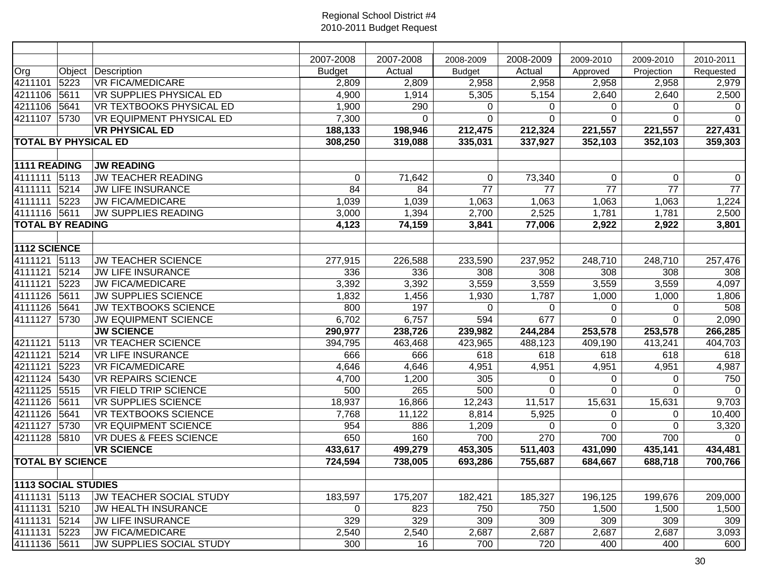|                             |        |                                   | 2007-2008     | 2007-2008 | 2008-2009     | 2008-2009 | 2009-2010   | 2009-2010   | 2010-2011   |
|-----------------------------|--------|-----------------------------------|---------------|-----------|---------------|-----------|-------------|-------------|-------------|
| Org                         | Object | Description                       | <b>Budget</b> | Actual    | <b>Budget</b> | Actual    | Approved    | Projection  | Requested   |
| 4211101                     | 5223   | <b>VR FICA/MEDICARE</b>           | 2,809         | 2,809     | 2,958         | 2,958     | 2,958       | 2,958       | 2,979       |
| 4211106                     | 5611   | VR SUPPLIES PHYSICAL ED           | 4,900         | 1,914     | 5,305         | 5,154     | 2,640       | 2,640       | 2,500       |
| 4211106                     | 5641   | VR TEXTBOOKS PHYSICAL ED          | 1,900         | 290       | 0             | 0         | 0           | 0           | $\mathbf 0$ |
| 4211107                     | 5730   | VR EQUIPMENT PHYSICAL ED          | 7,300         | 0         | $\Omega$      | 0         | 0           | 0           | $\Omega$    |
|                             |        | <b>VR PHYSICAL ED</b>             | 188,133       | 198,946   | 212,475       | 212,324   | 221,557     | 221,557     | 227,431     |
| <b>TOTAL BY PHYSICAL ED</b> |        |                                   | 308,250       | 319,088   | 335,031       | 337,927   | 352,103     | 352,103     | 359,303     |
|                             |        |                                   |               |           |               |           |             |             |             |
| 1111 READING                |        | <b>JW READING</b>                 |               |           |               |           |             |             |             |
| 4111111 5113                |        | <b>JW TEACHER READING</b>         | 0             | 71,642    | 0             | 73,340    | 0           | 0           | $\mathbf 0$ |
| 4111111                     | 5214   | <b>JW LIFE INSURANCE</b>          | 84            | 84        | 77            | 77        | 77          | 77          | 77          |
| 4111111                     | 5223   | <b>JW FICA/MEDICARE</b>           | 1,039         | 1,039     | 1,063         | 1,063     | 1,063       | 1,063       | 1,224       |
| 4111116 5611                |        | <b>JW SUPPLIES READING</b>        | 3,000         | 1,394     | 2,700         | 2,525     | 1,781       | 1,781       | 2,500       |
| <b>TOTAL BY READING</b>     |        |                                   | 4,123         | 74,159    | 3,841         | 77,006    | 2,922       | 2,922       | 3,801       |
|                             |        |                                   |               |           |               |           |             |             |             |
| 1112 SCIENCE                |        |                                   |               |           |               |           |             |             |             |
| 4111121                     | 5113   | <b>JW TEACHER SCIENCE</b>         | 277,915       | 226,588   | 233,590       | 237,952   | 248,710     | 248,710     | 257,476     |
| 4111121                     | 5214   | <b>JW LIFE INSURANCE</b>          | 336           | 336       | 308           | 308       | 308         | 308         | 308         |
| 4111121                     | 5223   | <b>JW FICA/MEDICARE</b>           | 3,392         | 3,392     | 3,559         | 3,559     | 3,559       | 3,559       | 4,097       |
| 4111126                     | 5611   | <b>JW SUPPLIES SCIENCE</b>        | 1,832         | 1,456     | 1,930         | 1,787     | 1,000       | 1,000       | 1,806       |
| 4111126                     | 5641   | <b>JW TEXTBOOKS SCIENCE</b>       | 800           | 197       | 0             | 0         | 0           | 0           | 508         |
| 4111127                     | 5730   | <b>JW EQUIPMENT SCIENCE</b>       | 6,702         | 6,757     | 594           | 677       | 0           | 0           | 2,090       |
|                             |        | <b>JW SCIENCE</b>                 | 290,977       | 238,726   | 239,982       | 244,284   | 253,578     | 253,578     | 266,285     |
| 4211121                     | 5113   | <b>VR TEACHER SCIENCE</b>         | 394,795       | 463,468   | 423,965       | 488,123   | 409,190     | 413,241     | 404,703     |
| 4211121                     | 5214   | <b>VR LIFE INSURANCE</b>          | 666           | 666       | 618           | 618       | 618         | 618         | 618         |
| 4211121                     | 5223   | <b>VR FICA/MEDICARE</b>           | 4,646         | 4,646     | 4,951         | 4,951     | 4,951       | 4,951       | 4,987       |
| 4211124                     | 5430   | <b>VR REPAIRS SCIENCE</b>         | 4,700         | 1,200     | 305           | 0         | 0           | 0           | 750         |
| 4211125                     | 5515   | VR FIELD TRIP SCIENCE             | 500           | 265       | 500           | 0         | 0           | $\mathbf 0$ | $\mathbf 0$ |
| 4211126                     | 5611   | <b>VR SUPPLIES SCIENCE</b>        | 18,937        | 16,866    | 12,243        | 11,517    | 15,631      | 15,631      | 9,703       |
| 4211126                     | 5641   | <b>VR TEXTBOOKS SCIENCE</b>       | 7,768         | 11,122    | 8,814         | 5,925     | $\mathbf 0$ | 0           | 10,400      |
| 4211127                     | 5730   | <b>VR EQUIPMENT SCIENCE</b>       | 954           | 886       | 1,209         | 0         | 0           | $\mathbf 0$ | 3,320       |
| 4211128                     | 5810   | <b>VR DUES &amp; FEES SCIENCE</b> | 650           | 160       | 700           | 270       | 700         | 700         | $\Omega$    |
|                             |        | <b>VR SCIENCE</b>                 | 433,617       | 499,279   | 453,305       | 511,403   | 431,090     | 435,141     | 434,481     |
| <b>TOTAL BY SCIENCE</b>     |        |                                   | 724,594       | 738,005   | 693,286       | 755,687   | 684,667     | 688,718     | 700,766     |
|                             |        |                                   |               |           |               |           |             |             |             |
| <b>1113 SOCIAL STUDIES</b>  |        |                                   |               |           |               |           |             |             |             |
| 4111131 5113                |        | <b>JW TEACHER SOCIAL STUDY</b>    | 183,597       | 175,207   | 182,421       | 185,327   | 196,125     | 199,676     | 209,000     |
| 4111131 5210                |        | <b>JW HEALTH INSURANCE</b>        | 0             | 823       | 750           | 750       | 1,500       | 1,500       | 1,500       |
| 4111131                     | 5214   | <b>JW LIFE INSURANCE</b>          | 329           | 329       | 309           | 309       | 309         | 309         | 309         |
| 4111131                     | 5223   | <b>JW FICA/MEDICARE</b>           | 2,540         | 2,540     | 2,687         | 2,687     | 2,687       | 2,687       | 3,093       |
| 4111136 5611                |        | <b>JW SUPPLIES SOCIAL STUDY</b>   | 300           | 16        | 700           | 720       | 400         | 400         | 600         |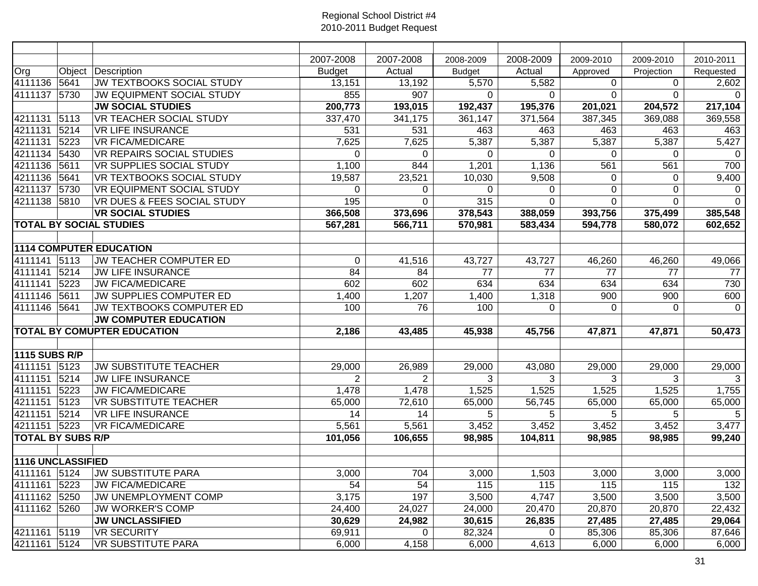|                          |        |                                    | 2007-2008      | 2007-2008      | 2008-2009     | 2008-2009      | 2009-2010      | 2009-2010      | 2010-2011    |
|--------------------------|--------|------------------------------------|----------------|----------------|---------------|----------------|----------------|----------------|--------------|
| Org                      | Object | Description                        | <b>Budget</b>  | Actual         | <b>Budget</b> | Actual         | Approved       | Projection     | Requested    |
| 4111136                  | 5641   | JW TEXTBOOKS SOCIAL STUDY          | 13,151         | 13,192         | 5,570         | 5,582          | $\Omega$       | 0              | 2,602        |
| 4111137                  | 5730   | <b>JW EQUIPMENT SOCIAL STUDY</b>   | 855            | 907            | 0             | $\Omega$       | $\overline{0}$ | 0              | $\Omega$     |
|                          |        | <b>JW SOCIAL STUDIES</b>           | 200,773        | 193,015        | 192,437       | 195,376        | 201,021        | 204,572        | 217,104      |
| 4211131                  | 5113   | VR TEACHER SOCIAL STUDY            | 337,470        | 341,175        | 361,147       | 371,564        | 387,345        | 369,088        | 369,558      |
| 4211131                  | 5214   | <b>VR LIFE INSURANCE</b>           | 531            | 531            | 463           | 463            | 463            | 463            | 463          |
| 4211131                  | 5223   | <b>VR FICA/MEDICARE</b>            | 7,625          | 7,625          | 5,387         | 5,387          | 5,387          | 5,387          | 5,427        |
| 4211134                  | 5430   | <b>VR REPAIRS SOCIAL STUDIES</b>   | $\Omega$       | 0              | $\Omega$      | $\Omega$       | 0              | 0              | $\mathbf 0$  |
| 4211136                  | 5611   | VR SUPPLIES SOCIAL STUDY           | 1,100          | 844            | 1,201         | 1,136          | 561            | 561            | 700          |
| 4211136                  | 5641   | VR TEXTBOOKS SOCIAL STUDY          | 19,587         | 23,521         | 10,030        | 9,508          | 0              | 0              | 9,400        |
| 4211137                  | 5730   | VR EQUIPMENT SOCIAL STUDY          | 0              | 0              | $\Omega$      | 0              | 0              | 0              | $\mathbf 0$  |
| 4211138                  | 5810   | VR DUES & FEES SOCIAL STUDY        | 195            | 0              | 315           | $\overline{0}$ | $\mathbf 0$    | $\overline{0}$ | $\mathbf{0}$ |
|                          |        | <b>VR SOCIAL STUDIES</b>           | 366,508        | 373,696        | 378,543       | 388,059        | 393,756        | 375,499        | 385,548      |
|                          |        | <b>TOTAL BY SOCIAL STUDIES</b>     | 567,281        | 566,711        | 570,981       | 583,434        | 594,778        | 580,072        | 602,652      |
|                          |        |                                    |                |                |               |                |                |                |              |
|                          |        | 1114 COMPUTER EDUCATION            |                |                |               |                |                |                |              |
| 4111141 5113             |        | JW TEACHER COMPUTER ED             | 0              | 41,516         | 43,727        | 43,727         | 46,260         | 46,260         | 49,066       |
| 4111141                  | 5214   | <b>JW LIFE INSURANCE</b>           | 84             | 84             | 77            | 77             | 77             | 77             | 77           |
| 4111141                  | 5223   | <b>JW FICA/MEDICARE</b>            | 602            | 602            | 634           | 634            | 634            | 634            | 730          |
| 4111146                  | 5611   | JW SUPPLIES COMPUTER ED            | 1,400          | 1,207          | 1,400         | 1,318          | 900            | 900            | 600          |
| 4111146                  | 5641   | JW TEXTBOOKS COMPUTER ED           | 100            | 76             | 100           | $\Omega$       | $\mathbf 0$    | $\Omega$       | $\mathbf 0$  |
|                          |        | <b>JW COMPUTER EDUCATION</b>       |                |                |               |                |                |                |              |
|                          |        | <b>TOTAL BY COMUPTER EDUCATION</b> | 2,186          | 43,485         | 45,938        | 45,756         | 47,871         | 47,871         | 50,473       |
|                          |        |                                    |                |                |               |                |                |                |              |
| 1115 SUBS R/P            |        |                                    |                |                |               |                |                |                |              |
| 4111151 5123             |        | <b>JW SUBSTITUTE TEACHER</b>       | 29,000         | 26,989         | 29,000        | 43,080         | 29,000         | 29,000         | 29,000       |
| 4111151                  | 5214   | <b>JW LIFE INSURANCE</b>           | $\overline{2}$ | $\overline{2}$ | 3             | 3              | 3              | 3              | 3            |
| 4111151                  | 5223   | <b>JW FICA/MEDICARE</b>            | 1,478          | 1,478          | 1,525         | 1,525          | 1,525          | 1,525          | 1,755        |
| 4211151                  | 5123   | <b>VR SUBSTITUTE TEACHER</b>       | 65,000         | 72,610         | 65,000        | 56,745         | 65,000         | 65,000         | 65,000       |
| 4211151                  | 5214   | <b>VR LIFE INSURANCE</b>           | 14             | 14             | 5             | 5              | 5              | 5              | 5            |
| 4211151 5223             |        | <b>VR FICA/MEDICARE</b>            | 5,561          | 5,561          | 3,452         | 3,452          | 3,452          | 3,452          | 3,477        |
| <b>TOTAL BY SUBS R/P</b> |        |                                    | 101,056        | 106,655        | 98,985        | 104,811        | 98,985         | 98,985         | 99,240       |
|                          |        |                                    |                |                |               |                |                |                |              |
| 1116 UNCLASSIFIED        |        |                                    |                |                |               |                |                |                |              |
|                          |        | 4111161 5124 JW SUBSTITUTE PARA    | 3,000          | 704            | 3,000         | 1,503          | 3,000          | 3,000          | 3,000        |
| 4111161 5223             |        | <b>JW FICA/MEDICARE</b>            | 54             | 54             | 115           | 115            | 115            | 115            | 132          |
| 4111162 5250             |        | <b>JW UNEMPLOYMENT COMP</b>        | 3,175          | 197            | 3,500         | 4,747          | 3,500          | 3,500          | 3,500        |
| 4111162 5260             |        | <b>JW WORKER'S COMP</b>            | 24,400         | 24,027         | 24,000        | 20,470         | 20,870         | 20,870         | 22,432       |
|                          |        | <b>JW UNCLASSIFIED</b>             | 30,629         | 24,982         | 30,615        | 26,835         | 27,485         | 27,485         | 29,064       |
| 4211161 5119             |        | <b>VR SECURITY</b>                 | 69,911         | 0              | 82,324        | $\mathbf 0$    | 85,306         | 85,306         | 87,646       |
| 4211161 5124             |        | <b>VR SUBSTITUTE PARA</b>          | 6,000          | 4,158          | 6,000         | 4,613          | 6,000          | 6,000          | 6,000        |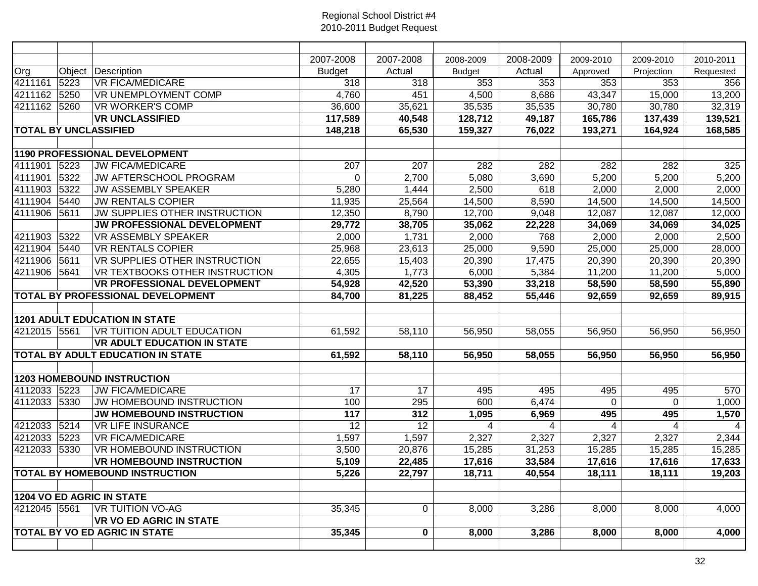|                                   |        |                                          | 2007-2008     | 2007-2008   | 2008-2009     | 2008-2009 | 2009-2010   | 2009-2010  | 2010-2011 |
|-----------------------------------|--------|------------------------------------------|---------------|-------------|---------------|-----------|-------------|------------|-----------|
| Org                               | Object | Description                              | <b>Budget</b> | Actual      | <b>Budget</b> | Actual    | Approved    | Projection | Requested |
| 4211161                           | 5223   | <b>VR FICA/MEDICARE</b>                  | 318           | 318         | 353           | 353       | 353         | 353        | 356       |
| 4211162                           | 5250   | VR UNEMPLOYMENT COMP                     | 4,760         | 451         | 4,500         | 8,686     | 43,347      | 15,000     | 13,200    |
| 4211162                           | 5260   | <b>VR WORKER'S COMP</b>                  | 36,600        | 35,621      | 35,535        | 35,535    | 30,780      | 30,780     | 32,319    |
|                                   |        | <b>VR UNCLASSIFIED</b>                   | 117,589       | 40,548      | 128,712       | 49,187    | 165,786     | 137,439    | 139,521   |
|                                   |        | <b>TOTAL BY UNCLASSIFIED</b>             | 148,218       | 65,530      | 159,327       | 76,022    | 193,271     | 164,924    | 168,585   |
|                                   |        |                                          |               |             |               |           |             |            |           |
|                                   |        | 1190 PROFESSIONAL DEVELOPMENT            |               |             |               |           |             |            |           |
| 4111901                           | 5223   | <b>JW FICA/MEDICARE</b>                  | 207           | 207         | 282           | 282       | 282         | 282        | 325       |
| 4111901                           | 5322   | <b>JW AFTERSCHOOL PROGRAM</b>            | $\Omega$      | 2,700       | 5,080         | 3,690     | 5,200       | 5,200      | 5,200     |
| 4111903                           | 5322   | <b>JW ASSEMBLY SPEAKER</b>               | 5,280         | 1,444       | 2,500         | 618       | 2,000       | 2,000      | 2,000     |
| 4111904                           | 5440   | <b>JW RENTALS COPIER</b>                 | 11,935        | 25,564      | 14,500        | 8,590     | 14,500      | 14,500     | 14,500    |
| 4111906                           | 5611   | JW SUPPLIES OTHER INSTRUCTION            | 12,350        | 8,790       | 12,700        | 9,048     | 12,087      | 12,087     | 12,000    |
|                                   |        | JW PROFESSIONAL DEVELOPMENT              | 29,772        | 38,705      | 35,062        | 22,228    | 34,069      | 34,069     | 34,025    |
| 4211903                           | 5322   | <b>VR ASSEMBLY SPEAKER</b>               | 2,000         | 1,731       | 2,000         | 768       | 2,000       | 2,000      | 2,500     |
| 4211904                           | 5440   | <b>VR RENTALS COPIER</b>                 | 25,968        | 23,613      | 25,000        | 9,590     | 25,000      | 25,000     | 28,000    |
| 4211906                           | 5611   | VR SUPPLIES OTHER INSTRUCTION            | 22,655        | 15,403      | 20,390        | 17,475    | 20,390      | 20,390     | 20,390    |
| 4211906                           | 5641   | VR TEXTBOOKS OTHER INSTRUCTION           | 4,305         | 1,773       | 6,000         | 5,384     | 11,200      | 11,200     | 5,000     |
|                                   |        | VR PROFESSIONAL DEVELOPMENT              | 54,928        | 42,520      | 53,390        | 33,218    | 58,590      | 58,590     | 55,890    |
| TOTAL BY PROFESSIONAL DEVELOPMENT |        |                                          | 84,700        | 81,225      | 88,452        | 55,446    | 92,659      | 92,659     | 89,915    |
|                                   |        |                                          |               |             |               |           |             |            |           |
|                                   |        | 1201 ADULT EDUCATION IN STATE            |               |             |               |           |             |            |           |
| 4212015 5561                      |        | <b>VR TUITION ADULT EDUCATION</b>        | 61,592        | 58,110      | 56,950        | 58,055    | 56,950      | 56,950     | 56,950    |
|                                   |        | <b>VR ADULT EDUCATION IN STATE</b>       |               |             |               |           |             |            |           |
|                                   |        | <b>TOTAL BY ADULT EDUCATION IN STATE</b> | 61,592        | 58,110      | 56,950        | 58,055    | 56,950      | 56,950     | 56,950    |
|                                   |        |                                          |               |             |               |           |             |            |           |
|                                   |        | 1203 HOMEBOUND INSTRUCTION               |               |             |               |           |             |            |           |
| 4112033                           | 5223   | <b>JW FICA/MEDICARE</b>                  | 17            | 17          | 495           | 495       | 495         | 495        | 570       |
| 4112033                           | 5330   | JW HOMEBOUND INSTRUCTION                 | 100           | 295         | 600           | 6,474     | $\mathbf 0$ | 0          | 1,000     |
|                                   |        | <b>JW HOMEBOUND INSTRUCTION</b>          | 117           | 312         | 1,095         | 6,969     | 495         | 495        | 1,570     |
| 4212033                           | 5214   | <b>VR LIFE INSURANCE</b>                 | 12            | 12          | 4             | 4         | 4           | 4          | 4         |
| 4212033                           | 5223   | <b>VR FICA/MEDICARE</b>                  | 1,597         | 1,597       | 2,327         | 2,327     | 2,327       | 2,327      | 2,344     |
| 4212033                           | 5330   | VR HOMEBOUND INSTRUCTION                 | 3,500         | 20,876      | 15,285        | 31,253    | 15,285      | 15,285     | 15,285    |
|                                   |        | <b>VR HOMEBOUND INSTRUCTION</b>          | 5,109         | 22,485      | 17,616        | 33,584    | 17,616      | 17,616     | 17,633    |
|                                   |        | <b>TOTAL BY HOMEBOUND INSTRUCTION</b>    | 5,226         | 22,797      | 18,711        | 40,554    | 18,111      | 18,111     | 19,203    |
|                                   |        |                                          |               |             |               |           |             |            |           |
|                                   |        | 1204 VO ED AGRIC IN STATE                |               |             |               |           |             |            |           |
| 4212045 5561                      |        | <b>VR TUITION VO-AG</b>                  | 35,345        | 0           | 8,000         | 3,286     | 8,000       | 8,000      | 4,000     |
|                                   |        | <b>VR VO ED AGRIC IN STATE</b>           |               |             |               |           |             |            |           |
|                                   |        | <b>TOTAL BY VO ED AGRIC IN STATE</b>     | 35,345        | $\mathbf 0$ | 8,000         | 3,286     | 8,000       | 8,000      | 4,000     |
|                                   |        |                                          |               |             |               |           |             |            |           |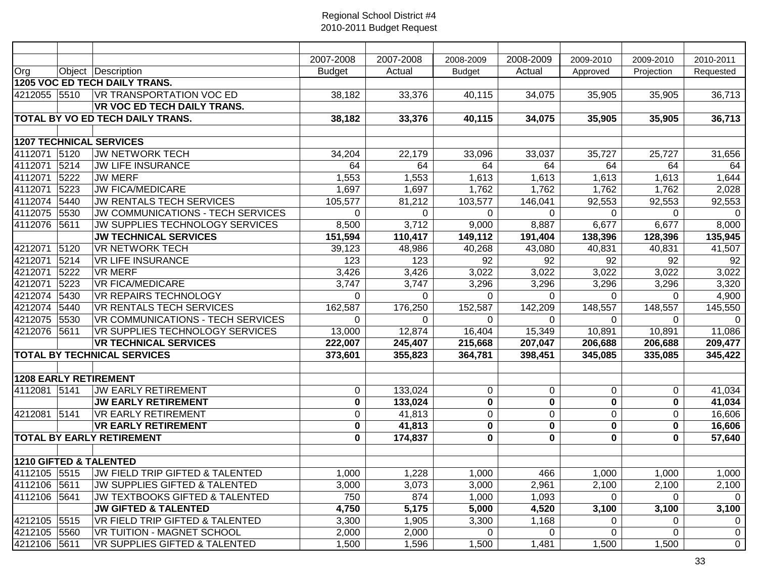|                       |      |                                              | 2007-2008     | 2007-2008 | 2008-2009     | 2008-2009   | 2009-2010   | 2009-2010   | 2010-2011      |
|-----------------------|------|----------------------------------------------|---------------|-----------|---------------|-------------|-------------|-------------|----------------|
| Org                   |      | Object   Description                         | <b>Budget</b> | Actual    | <b>Budget</b> | Actual      | Approved    | Projection  | Requested      |
|                       |      | 1205 VOC ED TECH DAILY TRANS.                |               |           |               |             |             |             |                |
| 4212055 5510          |      | VR TRANSPORTATION VOC ED                     | 38,182        | 33,376    | 40,115        | 34,075      | 35,905      | 35,905      | 36,713         |
|                       |      | VR VOC ED TECH DAILY TRANS.                  |               |           |               |             |             |             |                |
|                       |      | TOTAL BY VO ED TECH DAILY TRANS.             | 38,182        | 33,376    | 40,115        | 34,075      | 35,905      | 35,905      | 36,713         |
|                       |      |                                              |               |           |               |             |             |             |                |
|                       |      | <b>1207 TECHNICAL SERVICES</b>               |               |           |               |             |             |             |                |
| 4112071               | 5120 | <b>JW NETWORK TECH</b>                       | 34,204        | 22,179    | 33,096        | 33,037      | 35,727      | 25,727      | 31,656         |
| 4112071               | 5214 | <b>JW LIFE INSURANCE</b>                     | 64            | 64        | 64            | 64          | 64          | 64          | 64             |
| 4112071               | 5222 | <b>JW MERF</b>                               | 1,553         | 1,553     | 1,613         | 1,613       | 1,613       | 1,613       | 1,644          |
| 4112071               | 5223 | <b>JW FICA/MEDICARE</b>                      | 1,697         | 1,697     | 1,762         | 1,762       | 1,762       | 1,762       | 2,028          |
| 4112074               | 5440 | <b>JW RENTALS TECH SERVICES</b>              | 105,577       | 81,212    | 103,577       | 146,041     | 92,553      | 92,553      | 92,553         |
| 4112075               | 5530 | JW COMMUNICATIONS - TECH SERVICES            | 0             | $\Omega$  | 0             | 0           | 0           | 0           | 0              |
| 4112076               | 5611 | JW SUPPLIES TECHNOLOGY SERVICES              | 8,500         | 3,712     | 9,000         | 8,887       | 6,677       | 6,677       | 8,000          |
|                       |      | <b>JW TECHNICAL SERVICES</b>                 | 151,594       | 110,417   | 149,112       | 191,404     | 138,396     | 128,396     | 135,945        |
| 4212071               | 5120 | <b>VR NETWORK TECH</b>                       | 39,123        | 48,986    | 40,268        | 43,080      | 40,831      | 40,831      | 41,507         |
| 4212071               | 5214 | <b>VR LIFE INSURANCE</b>                     | 123           | 123       | 92            | 92          | 92          | 92          | 92             |
| 4212071               | 5222 | <b>VR MERF</b>                               | 3,426         | 3,426     | 3,022         | 3,022       | 3,022       | 3,022       | 3,022          |
| 4212071               | 5223 | <b>VR FICA/MEDICARE</b>                      | 3,747         | 3,747     | 3,296         | 3,296       | 3,296       | 3,296       | 3,320          |
| 4212074               | 5430 | <b>VR REPAIRS TECHNOLOGY</b>                 | 0             | 0         | 0             | 0           | 0           | 0           | 4,900          |
| 4212074               | 5440 | <b>VR RENTALS TECH SERVICES</b>              | 162,587       | 176,250   | 152,587       | 142,209     | 148,557     | 148,557     | 145,550        |
| 4212075               | 5530 | VR COMMUNICATIONS - TECH SERVICES            | $\Omega$      | $\Omega$  | $\Omega$      | $\Omega$    | $\Omega$    | 0           | $\Omega$       |
| 4212076               | 5611 | VR SUPPLIES TECHNOLOGY SERVICES              | 13,000        | 12,874    | 16,404        | 15,349      | 10,891      | 10,891      | 11,086         |
|                       |      | <b>VR TECHNICAL SERVICES</b>                 | 222,007       | 245,407   | 215,668       | 207,047     | 206,688     | 206,688     | 209,477        |
|                       |      | <b>TOTAL BY TECHNICAL SERVICES</b>           | 373,601       | 355,823   | 364,781       | 398,451     | 345,085     | 335,085     | 345,422        |
|                       |      |                                              |               |           |               |             |             |             |                |
| 1208 EARLY RETIREMENT |      |                                              |               |           |               |             |             |             |                |
| 4112081 5141          |      | <b>JW EARLY RETIREMENT</b>                   | 0             | 133,024   | 0             | $\pmb{0}$   | $\mathbf 0$ | 0           | 41,034         |
|                       |      | <b>JW EARLY RETIREMENT</b>                   | 0             | 133,024   | 0             | $\mathbf 0$ | $\mathbf 0$ | $\mathbf 0$ | 41,034         |
| 4212081               | 5141 | <b>VR EARLY RETIREMENT</b>                   | $\mathbf 0$   | 41,813    | $\mathbf 0$   | $\mathbf 0$ | $\mathbf 0$ | $\mathbf 0$ | 16,606         |
|                       |      | <b>VR EARLY RETIREMENT</b>                   | $\pmb{0}$     | 41,813    | 0             | $\mathbf 0$ | $\mathbf 0$ | $\pmb{0}$   | 16,606         |
|                       |      | <b>TOTAL BY EARLY RETIREMENT</b>             | 0             | 174,837   | $\mathbf 0$   | 0           | $\mathbf 0$ | 0           | 57,640         |
|                       |      |                                              |               |           |               |             |             |             |                |
|                       |      | <b>1210 GIFTED &amp; TALENTED</b>            |               |           |               |             |             |             |                |
|                       |      | 4112105 5515 JW FIELD TRIP GIFTED & TALENTED | 1,000         | 1,228     | 1,000         | 466         | 1,000       | 1,000       | 1,000          |
| 4112106 5611          |      | <b>JW SUPPLIES GIFTED &amp; TALENTED</b>     | 3,000         | 3,073     | 3,000         | 2,961       | 2,100       | 2,100       | 2,100          |
| 4112106 5641          |      | <b>JW TEXTBOOKS GIFTED &amp; TALENTED</b>    | 750           | 874       | 1,000         | 1,093       | 0           | 0           | $\overline{0}$ |
|                       |      | <b>JW GIFTED &amp; TALENTED</b>              | 4,750         | 5,175     | 5,000         | 4,520       | 3,100       | 3,100       | 3,100          |
| 4212105 5515          |      | VR FIELD TRIP GIFTED & TALENTED              | 3,300         | 1,905     | 3,300         | 1,168       | 0           | 0           | 0              |
| 4212105 5560          |      | VR TUITION - MAGNET SCHOOL                   | 2,000         | 2,000     | 0             | 0           | 0           | 0           | $\mathbf 0$    |
| 4212106 5611          |      | VR SUPPLIES GIFTED & TALENTED                | 1,500         | 1,596     | 1,500         | 1,481       | 1,500       | 1,500       | $\mathbf 0$    |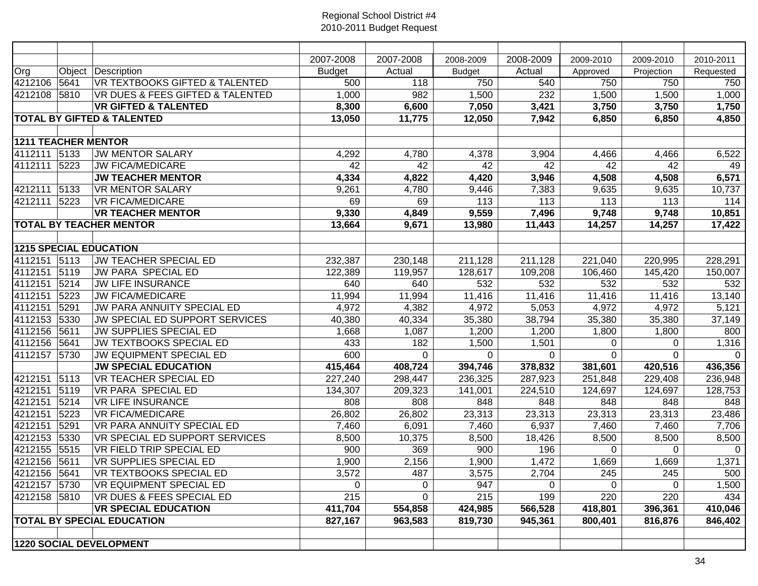|                            |      |                                       | 2007-2008     | 2007-2008 | 2008-2009     | 2008-2009 | 2009-2010 | 2009-2010   | 2010-2011   |
|----------------------------|------|---------------------------------------|---------------|-----------|---------------|-----------|-----------|-------------|-------------|
| Org                        |      | Object   Description                  | <b>Budget</b> | Actual    | <b>Budget</b> | Actual    | Approved  | Projection  | Requested   |
| 4212106                    | 5641 | VR TEXTBOOKS GIFTED & TALENTED        | 500           | 118       | 750           | 540       | 750       | 750         | 750         |
| 4212108                    | 5810 | VR DUES & FEES GIFTED & TALENTED      | 1,000         | 982       | 1,500         | 232       | 1,500     | 1,500       | 1,000       |
|                            |      | <b>VR GIFTED &amp; TALENTED</b>       | 8,300         | 6,600     | 7,050         | 3,421     | 3,750     | 3,750       | 1,750       |
|                            |      | <b>TOTAL BY GIFTED &amp; TALENTED</b> | 13,050        | 11,775    | 12,050        | 7,942     | 6,850     | 6,850       | 4,850       |
|                            |      |                                       |               |           |               |           |           |             |             |
| <b>1211 TEACHER MENTOR</b> |      |                                       |               |           |               |           |           |             |             |
| 4112111 5133               |      | <b>JW MENTOR SALARY</b>               | 4,292         | 4,780     | 4,378         | 3,904     | 4,466     | 4,466       | 6,522       |
| 4112111                    | 5223 | <b>JW FICA/MEDICARE</b>               | 42            | 42        | 42            | 42        | 42        | 42          | 49          |
|                            |      | <b>JW TEACHER MENTOR</b>              | 4,334         | 4,822     | 4,420         | 3,946     | 4,508     | 4,508       | 6,571       |
| 4212111                    | 5133 | <b>VR MENTOR SALARY</b>               | 9,261         | 4,780     | 9,446         | 7,383     | 9,635     | 9,635       | 10,737      |
| 4212111                    | 5223 | <b>VR FICA/MEDICARE</b>               | 69            | 69        | 113           | 113       | 113       | 113         | 114         |
|                            |      | <b>VR TEACHER MENTOR</b>              | 9,330         | 4,849     | 9,559         | 7,496     | 9,748     | 9,748       | 10,851      |
|                            |      | <b>TOTAL BY TEACHER MENTOR</b>        | 13,664        | 9,671     | 13,980        | 11,443    | 14,257    | 14,257      | 17,422      |
|                            |      |                                       |               |           |               |           |           |             |             |
|                            |      | <b>1215 SPECIAL EDUCATION</b>         |               |           |               |           |           |             |             |
| 4112151 5113               |      | <b>JW TEACHER SPECIAL ED</b>          | 232,387       | 230,148   | 211,128       | 211,128   | 221,040   | 220,995     | 228,291     |
| 4112151                    | 5119 | JW PARA SPECIAL ED                    | 122,389       | 119,957   | 128,617       | 109,208   | 106,460   | 145,420     | 150,007     |
| 4112151                    | 5214 | <b>JW LIFE INSURANCE</b>              | 640           | 640       | 532           | 532       | 532       | 532         | 532         |
| 4112151                    | 5223 | <b>JW FICA/MEDICARE</b>               | 11,994        | 11,994    | 11,416        | 11,416    | 11,416    | 11,416      | 13,140      |
| 4112151                    | 5291 | JW PARA ANNUITY SPECIAL ED            | 4,972         | 4,382     | 4,972         | 5,053     | 4,972     | 4,972       | 5,121       |
| 4112153                    | 5330 | JW SPECIAL ED SUPPORT SERVICES        | 40,380        | 40,334    | 35,380        | 38,794    | 35,380    | 35,380      | 37,149      |
| 4112156                    | 5611 | <b>JW SUPPLIES SPECIAL ED</b>         | 1,668         | 1,087     | 1,200         | 1,200     | 1,800     | 1,800       | 800         |
| 4112156                    | 5641 | JW TEXTBOOKS SPECIAL ED               | 433           | 182       | 1,500         | 1,501     | 0         | 0           | 1,316       |
| 4112157                    | 5730 | <b>JW EQUIPMENT SPECIAL ED</b>        | 600           | 0         | $\Omega$      | 0         | 0         | $\mathbf 0$ | $\Omega$    |
|                            |      | <b>JW SPECIAL EDUCATION</b>           | 415,464       | 408,724   | 394,746       | 378,832   | 381,601   | 420,516     | 436,356     |
| 4212151                    | 5113 | VR TEACHER SPECIAL ED                 | 227,240       | 298,447   | 236,325       | 287,923   | 251,848   | 229,408     | 236,948     |
| 4212151                    | 5119 | VR PARA SPECIAL ED                    | 134,307       | 209,323   | 141,001       | 224,510   | 124,697   | 124,697     | 128,753     |
| 4212151                    | 5214 | <b>VR LIFE INSURANCE</b>              | 808           | 808       | 848           | 848       | 848       | 848         | 848         |
| 4212151                    | 5223 | <b>VR FICA/MEDICARE</b>               | 26,802        | 26,802    | 23,313        | 23,313    | 23,313    | 23,313      | 23,486      |
| 4212151                    | 5291 | VR PARA ANNUITY SPECIAL ED            | 7,460         | 6,091     | 7,460         | 6,937     | 7,460     | 7,460       | 7,706       |
| 4212153                    | 5330 | VR SPECIAL ED SUPPORT SERVICES        | 8,500         | 10,375    | 8,500         | 18,426    | 8,500     | 8,500       | 8,500       |
| 4212155                    | 5515 | VR FIELD TRIP SPECIAL ED              | 900           | 369       | 900           | 196       | 0         | 0           | $\mathbf 0$ |
| 4212156                    | 5611 | <b>VR SUPPLIES SPECIAL ED</b>         | 1,900         | 2,156     | 1,900         | 1,472     | 1,669     | 1,669       | 1,371       |
| 4212156 5641               |      | <b>VR TEXTBOOKS SPECIAL ED</b>        | 3,572         | 487       | 3,575         | 2,704     | 245       | 245         | 500         |
| 4212157 5730               |      | <b>VR EQUIPMENT SPECIAL ED</b>        | 0             | 0         | 947           | 0         | 0         | 0           | 1,500       |
| 4212158 5810               |      | VR DUES & FEES SPECIAL ED             | 215           | 0         | 215           | 199       | 220       | 220         | 434         |
|                            |      | <b>VR SPECIAL EDUCATION</b>           | 411,704       | 554,858   | 424,985       | 566,528   | 418,801   | 396,361     | 410,046     |
|                            |      | <b>TOTAL BY SPECIAL EDUCATION</b>     | 827,167       | 963,583   | 819,730       | 945,361   | 800,401   | 816,876     | 846,402     |
|                            |      |                                       |               |           |               |           |           |             |             |
|                            |      | 1220 SOCIAL DEVELOPMENT               |               |           |               |           |           |             |             |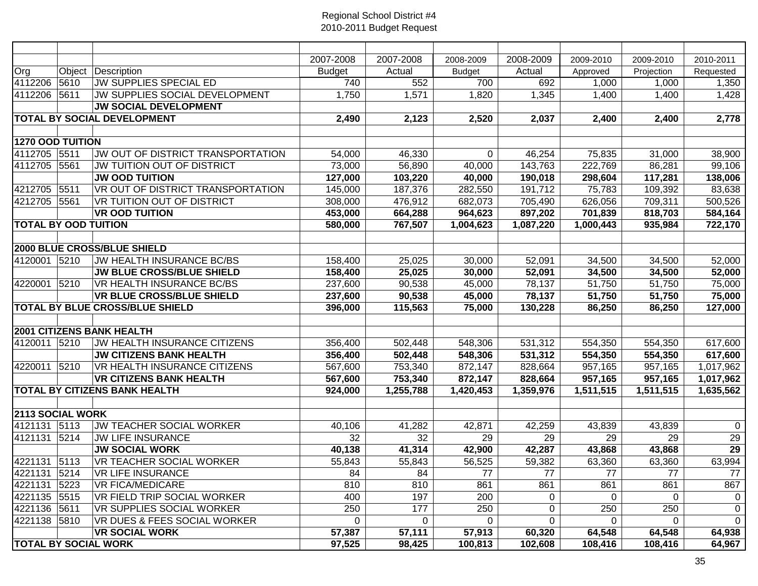|                             |        |                                        | 2007-2008     | 2007-2008 | 2008-2009     | 2008-2009 | 2009-2010 | 2009-2010  | 2010-2011       |
|-----------------------------|--------|----------------------------------------|---------------|-----------|---------------|-----------|-----------|------------|-----------------|
| Org                         | Object | Description                            | <b>Budget</b> | Actual    | <b>Budget</b> | Actual    | Approved  | Projection | Requested       |
| 4112206                     | 5610   | <b>JW SUPPLIES SPECIAL ED</b>          | 740           | 552       | 700           | 692       | 1,000     | 1,000      | 1,350           |
| 4112206                     | 5611   | JW SUPPLIES SOCIAL DEVELOPMENT         | 1,750         | 1,571     | 1,820         | 1,345     | 1,400     | 1,400      | 1,428           |
|                             |        | <b>JW SOCIAL DEVELOPMENT</b>           |               |           |               |           |           |            |                 |
|                             |        | <b>TOTAL BY SOCIAL DEVELOPMENT</b>     | 2,490         | 2,123     | 2,520         | 2,037     | 2,400     | 2,400      | 2,778           |
|                             |        |                                        |               |           |               |           |           |            |                 |
| 1270 OOD TUITION            |        |                                        |               |           |               |           |           |            |                 |
| 4112705                     | 5511   | JW OUT OF DISTRICT TRANSPORTATION      | 54,000        | 46,330    | 0             | 46,254    | 75,835    | 31,000     | 38,900          |
| 4112705                     | 5561   | JW TUITION OUT OF DISTRICT             | 73,000        | 56,890    | 40,000        | 143,763   | 222,769   | 86,281     | 99,106          |
|                             |        | <b>JW OOD TUITION</b>                  | 127,000       | 103,220   | 40,000        | 190,018   | 298,604   | 117,281    | 138,006         |
| 4212705                     | 5511   | VR OUT OF DISTRICT TRANSPORTATION      | 145,000       | 187,376   | 282,550       | 191,712   | 75,783    | 109,392    | 83,638          |
| 4212705                     | 5561   | VR TUITION OUT OF DISTRICT             | 308,000       | 476,912   | 682,073       | 705,490   | 626,056   | 709,311    | 500,526         |
|                             |        | <b>VR OOD TUITION</b>                  | 453,000       | 664,288   | 964,623       | 897,202   | 701,839   | 818,703    | 584,164         |
| <b>TOTAL BY OOD TUITION</b> |        |                                        | 580,000       | 767,507   | 1,004,623     | 1,087,220 | 1,000,443 | 935,984    | 722,170         |
|                             |        |                                        |               |           |               |           |           |            |                 |
|                             |        | 2000 BLUE CROSS/BLUE SHIELD            |               |           |               |           |           |            |                 |
| 4120001                     | 5210   | <b>JW HEALTH INSURANCE BC/BS</b>       | 158,400       | 25,025    | 30,000        | 52,091    | 34,500    | 34,500     | 52,000          |
|                             |        | <b>JW BLUE CROSS/BLUE SHIELD</b>       | 158,400       | 25,025    | 30,000        | 52,091    | 34,500    | 34,500     | 52,000          |
| 4220001                     | 5210   | VR HEALTH INSURANCE BC/BS              | 237,600       | 90,538    | 45,000        | 78,137    | 51,750    | 51,750     | 75,000          |
|                             |        | <b>VR BLUE CROSS/BLUE SHIELD</b>       | 237,600       | 90,538    | 45,000        | 78,137    | 51,750    | 51,750     | 75,000          |
|                             |        | <b>TOTAL BY BLUE CROSS/BLUE SHIELD</b> | 396,000       | 115,563   | 75,000        | 130,228   | 86,250    | 86,250     | 127,000         |
|                             |        |                                        |               |           |               |           |           |            |                 |
|                             |        | <b>2001 CITIZENS BANK HEALTH</b>       |               |           |               |           |           |            |                 |
| 4120011                     | 5210   | JW HEALTH INSURANCE CITIZENS           | 356,400       | 502,448   | 548,306       | 531,312   | 554,350   | 554,350    | 617,600         |
|                             |        | <b>JW CITIZENS BANK HEALTH</b>         | 356,400       | 502,448   | 548,306       | 531,312   | 554,350   | 554,350    | 617,600         |
| 4220011                     | 5210   | VR HEALTH INSURANCE CITIZENS           | 567,600       | 753,340   | 872,147       | 828,664   | 957,165   | 957,165    | 1,017,962       |
|                             |        | <b>VR CITIZENS BANK HEALTH</b>         | 567,600       | 753,340   | 872,147       | 828,664   | 957,165   | 957,165    | 1,017,962       |
|                             |        | <b>TOTAL BY CITIZENS BANK HEALTH</b>   | 924,000       | 1,255,788 | 1,420,453     | 1,359,976 | 1,511,515 | 1,511,515  | 1,635,562       |
|                             |        |                                        |               |           |               |           |           |            |                 |
| 2113 SOCIAL WORK            |        |                                        |               |           |               |           |           |            |                 |
| 4121131 5113                |        | <b>JW TEACHER SOCIAL WORKER</b>        | 40,106        | 41,282    | 42,871        | 42,259    | 43,839    | 43,839     | $\mathbf 0$     |
| 4121131                     | 5214   | <b>JW LIFE INSURANCE</b>               | 32            | 32        | 29            | 29        | 29        | 29         | 29              |
|                             |        | <b>JW SOCIAL WORK</b>                  | 40,138        | 41,314    | 42,900        | 42,287    | 43,868    | 43,868     | $\overline{29}$ |
| 4221131 5113                |        | <b>VR TEACHER SOCIAL WORKER</b>        | 55,843        | 55,843    | 56,525        | 59,382    | 63,360    | 63,360     | 63,994          |
| 4221131 5214                |        | VR LIFE INSURANCE                      | 84            | 84        | 77            | 77        | 77        | 77         | 77              |
| 4221131 5223                |        | <b>VR FICA/MEDICARE</b>                | 810           | 810       | 861           | 861       | 861       | 861        | 867             |
| 4221135 5515                |        | VR FIELD TRIP SOCIAL WORKER            | 400           | 197       | 200           | 0         | 0         | 0          | $\overline{0}$  |
| 4221136 5611                |        | <b>VR SUPPLIES SOCIAL WORKER</b>       | 250           | 177       | 250           | 0         | 250       | 250        | $\mathbf 0$     |
| 4221138 5810                |        | VR DUES & FEES SOCIAL WORKER           | 0             | 0         | $\mathbf 0$   | $\Omega$  | 0         | $\Omega$   | $\overline{0}$  |
|                             |        | <b>VR SOCIAL WORK</b>                  | 57,387        | 57,111    | 57,913        | 60,320    | 64,548    | 64,548     | 64,938          |
| <b>TOTAL BY SOCIAL WORK</b> |        |                                        | 97,525        | 98,425    | 100,813       | 102,608   | 108,416   | 108,416    | 64,967          |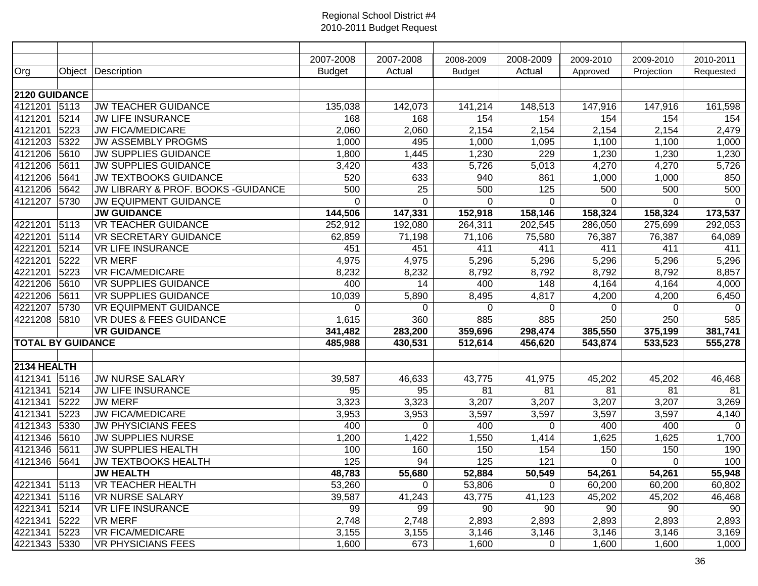|                          |      |                                     | 2007-2008     | 2007-2008 | 2008-2009     | 2008-2009 | 2009-2010 | 2009-2010  | 2010-2011 |
|--------------------------|------|-------------------------------------|---------------|-----------|---------------|-----------|-----------|------------|-----------|
| Org                      |      | Object Description                  | <b>Budget</b> | Actual    | <b>Budget</b> | Actual    | Approved  | Projection | Requested |
|                          |      |                                     |               |           |               |           |           |            |           |
| 2120 GUIDANCE            |      |                                     |               |           |               |           |           |            |           |
| 4121201 5113             |      | <b>JW TEACHER GUIDANCE</b>          | 135,038       | 142,073   | 141,214       | 148,513   | 147,916   | 147,916    | 161,598   |
| 4121201                  | 5214 | <b>JW LIFE INSURANCE</b>            | 168           | 168       | 154           | 154       | 154       | 154        | 154       |
| 4121201                  | 5223 | <b>JW FICA/MEDICARE</b>             | 2,060         | 2,060     | 2,154         | 2,154     | 2,154     | 2,154      | 2,479     |
| 4121203                  | 5322 | <b>JW ASSEMBLY PROGMS</b>           | 1,000         | 495       | 1,000         | 1,095     | 1,100     | 1,100      | 1,000     |
| 4121206                  | 5610 | <b>JW SUPPLIES GUIDANCE</b>         | 1,800         | 1,445     | 1,230         | 229       | 1,230     | 1,230      | 1,230     |
| 4121206                  | 5611 | <b>JW SUPPLIES GUIDANCE</b>         | 3,420         | 433       | 5,726         | 5,013     | 4,270     | 4,270      | 5,726     |
| 4121206                  | 5641 | <b>JW TEXTBOOKS GUIDANCE</b>        | 520           | 633       | 940           | 861       | 1,000     | 1,000      | 850       |
| 4121206                  | 5642 | JW LIBRARY & PROF. BOOKS - GUIDANCE | 500           | 25        | 500           | 125       | 500       | 500        | 500       |
| 4121207                  | 5730 | <b>JW EQUIPMENT GUIDANCE</b>        | $\Omega$      | 0         | $\Omega$      | 0         | 0         | 0          | $\Omega$  |
|                          |      | <b>JW GUIDANCE</b>                  | 144,506       | 147,331   | 152,918       | 158,146   | 158,324   | 158,324    | 173,537   |
| 4221201                  | 5113 | <b>VR TEACHER GUIDANCE</b>          | 252,912       | 192,080   | 264,311       | 202,545   | 286,050   | 275,699    | 292,053   |
| 4221201                  | 5114 | <b>VR SECRETARY GUIDANCE</b>        | 62,859        | 71,198    | 71,106        | 75,580    | 76,387    | 76,387     | 64,089    |
| 4221201                  | 5214 | <b>VR LIFE INSURANCE</b>            | 451           | 451       | 411           | 411       | 411       | 411        | 411       |
| 4221201                  | 5222 | <b>VR MERF</b>                      | 4,975         | 4,975     | 5,296         | 5,296     | 5,296     | 5,296      | 5,296     |
| 4221201                  | 5223 | <b>VR FICA/MEDICARE</b>             | 8,232         | 8,232     | 8,792         | 8,792     | 8,792     | 8,792      | 8,857     |
| 4221206                  | 5610 | <b>VR SUPPLIES GUIDANCE</b>         | 400           | 14        | 400           | 148       | 4,164     | 4,164      | 4,000     |
| 4221206                  | 5611 | <b>VR SUPPLIES GUIDANCE</b>         | 10,039        | 5,890     | 8,495         | 4,817     | 4,200     | 4,200      | 6,450     |
| 4221207                  | 5730 | <b>VR EQUIPMENT GUIDANCE</b>        | 0             | 0         | 0             | 0         | 0         | 0          | 0         |
| 4221208                  | 5810 | <b>VR DUES &amp; FEES GUIDANCE</b>  | 1,615         | 360       | 885           | 885       | 250       | 250        | 585       |
|                          |      | <b>VR GUIDANCE</b>                  | 341,482       | 283,200   | 359,696       | 298,474   | 385,550   | 375,199    | 381,741   |
| <b>TOTAL BY GUIDANCE</b> |      |                                     | 485,988       | 430,531   | 512,614       | 456,620   | 543,874   | 533,523    | 555,278   |
|                          |      |                                     |               |           |               |           |           |            |           |
| 2134 HEALTH              |      |                                     |               |           |               |           |           |            |           |
| 4121341                  | 5116 | <b>JW NURSE SALARY</b>              | 39,587        | 46,633    | 43,775        | 41,975    | 45,202    | 45,202     | 46,468    |
| 4121341                  | 5214 | <b>JW LIFE INSURANCE</b>            | 95            | 95        | 81            | 81        | 81        | 81         | 81        |
| 4121341                  | 5222 | <b>JW MERF</b>                      | 3,323         | 3,323     | 3,207         | 3,207     | 3,207     | 3,207      | 3,269     |
| 4121341                  | 5223 | <b>JW FICA/MEDICARE</b>             | 3,953         | 3,953     | 3,597         | 3,597     | 3,597     | 3,597      | 4,140     |
| 4121343                  | 5330 | <b>JW PHYSICIANS FEES</b>           | 400           | 0         | 400           | 0         | 400       | 400        | $\Omega$  |
| 4121346                  | 5610 | <b>JW SUPPLIES NURSE</b>            | 1,200         | 1,422     | 1,550         | 1,414     | 1,625     | 1,625      | 1,700     |
| 4121346                  | 5611 | <b>JW SUPPLIES HEALTH</b>           | 100           | 160       | 150           | 154       | 150       | 150        | 190       |
| 4121346                  | 5641 | <b>JW TEXTBOOKS HEALTH</b>          | 125           | 94        | 125           | 121       | 0         | 0          | 100       |
|                          |      | <b>JW HEALTH</b>                    | 48,783        | 55,680    | 52,884        | 50,549    | 54,261    | 54,261     | 55,948    |
| 4221341 5113             |      | <b>VR TEACHER HEALTH</b>            | 53,260        | 0         | 53,806        | 0         | 60,200    | 60,200     | 60,802    |
| 4221341 5116             |      | <b>VR NURSE SALARY</b>              | 39,587        | 41,243    | 43,775        | 41,123    | 45,202    | 45,202     | 46,468    |
| 4221341 5214             |      | <b>VR LIFE INSURANCE</b>            | 99            | 99        | 90            | 90        | 90        | 90         | 90        |
| 4221341                  | 5222 | <b>VR MERF</b>                      | 2,748         | 2,748     | 2,893         | 2,893     | 2,893     | 2,893      | 2,893     |
| 4221341                  | 5223 | <b>VR FICA/MEDICARE</b>             | 3,155         | 3,155     | 3,146         | 3,146     | 3,146     | 3,146      | 3,169     |
| 4221343 5330             |      | <b>VR PHYSICIANS FEES</b>           | 1,600         | 673       | 1,600         | 0         | 1,600     | 1,600      | 1,000     |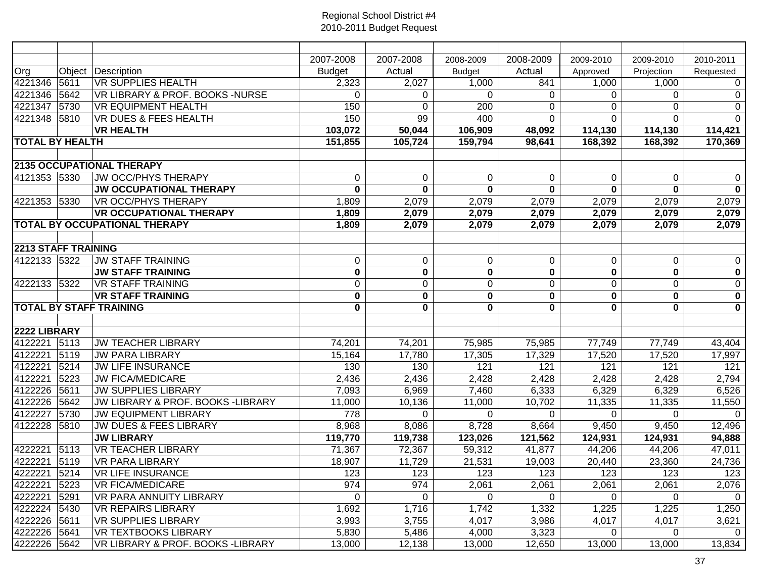|                            |      |                                      | 2007-2008     | 2007-2008   | 2008-2009     | 2008-2009 | 2009-2010   | 2009-2010   | 2010-2011   |
|----------------------------|------|--------------------------------------|---------------|-------------|---------------|-----------|-------------|-------------|-------------|
| Org                        |      | Object Description                   | <b>Budget</b> | Actual      | <b>Budget</b> | Actual    | Approved    | Projection  | Requested   |
| 4221346                    | 5611 | <b>VR SUPPLIES HEALTH</b>            | 2,323         | 2,027       | 1,000         | 841       | 1,000       | 1,000       | 0           |
| 4221346                    | 5642 | VR LIBRARY & PROF. BOOKS -NURSE      | 0             | 0           | $\Omega$      | 0         | $\Omega$    | 0           | $\mathbf 0$ |
| 4221347                    | 5730 | <b>VR EQUIPMENT HEALTH</b>           | 150           | $\Omega$    | 200           | $\Omega$  | 0           | 0           | $\mathbf 0$ |
| 4221348                    | 5810 | VR DUES & FEES HEALTH                | 150           | 99          | 400           | $\Omega$  | $\Omega$    | $\mathbf 0$ | $\mathbf 0$ |
|                            |      | <b>VR HEALTH</b>                     | 103,072       | 50,044      | 106,909       | 48,092    | 114,130     | 114,130     | 114,421     |
| <b>TOTAL BY HEALTH</b>     |      |                                      | 151,855       | 105,724     | 159,794       | 98,641    | 168,392     | 168,392     | 170,369     |
|                            |      |                                      |               |             |               |           |             |             |             |
|                            |      | 2135 OCCUPATIONAL THERAPY            |               |             |               |           |             |             |             |
| 4121353 5330               |      | <b>JW OCC/PHYS THERAPY</b>           | 0             | 0           | $\pmb{0}$     | 0         | $\mathbf 0$ | 0           | $\mathbf 0$ |
|                            |      | <b>JW OCCUPATIONAL THERAPY</b>       | $\mathbf 0$   | 0           | 0             | 0         | $\mathbf 0$ | $\mathbf 0$ | $\mathbf 0$ |
| 4221353                    | 5330 | <b>VR OCC/PHYS THERAPY</b>           | 1,809         | 2,079       | 2,079         | 2,079     | 2,079       | 2,079       | 2,079       |
|                            |      | <b>VR OCCUPATIONAL THERAPY</b>       | 1,809         | 2,079       | 2,079         | 2,079     | 2,079       | 2,079       | 2,079       |
|                            |      | <b>TOTAL BY OCCUPATIONAL THERAPY</b> | 1,809         | 2,079       | 2,079         | 2,079     | 2,079       | 2,079       | 2,079       |
|                            |      |                                      |               |             |               |           |             |             |             |
| <b>2213 STAFF TRAINING</b> |      |                                      |               |             |               |           |             |             |             |
| 4122133 5322               |      | <b>JW STAFF TRAINING</b>             | 0             | 0           | 0             | 0         | $\mathbf 0$ | $\mathbf 0$ | $\mathbf 0$ |
|                            |      | <b>JW STAFF TRAINING</b>             | $\pmb{0}$     | $\mathbf 0$ | $\mathbf 0$   | $\pmb{0}$ | $\mathbf 0$ | 0           | $\mathbf 0$ |
| 4222133                    | 5322 | <b>VR STAFF TRAINING</b>             | 0             | $\mathbf 0$ | 0             | 0         | $\mathsf 0$ | 0           | $\pmb{0}$   |
|                            |      | <b>VR STAFF TRAINING</b>             | 0             | $\mathbf 0$ | $\mathbf 0$   | 0         | $\mathbf 0$ | 0           | $\mathbf 0$ |
|                            |      | <b>TOTAL BY STAFF TRAINING</b>       | $\mathbf 0$   | 0           | $\mathbf 0$   | 0         | $\mathbf 0$ | 0           | $\mathbf 0$ |
|                            |      |                                      |               |             |               |           |             |             |             |
| 2222 LIBRARY               |      |                                      |               |             |               |           |             |             |             |
| 4122221                    | 5113 | <b>JW TEACHER LIBRARY</b>            | 74,201        | 74,201      | 75,985        | 75,985    | 77,749      | 77,749      | 43,404      |
| 4122221                    | 5119 | <b>JW PARA LIBRARY</b>               | 15,164        | 17,780      | 17,305        | 17,329    | 17,520      | 17,520      | 17,997      |
| 4122221                    | 5214 | <b>JW LIFE INSURANCE</b>             | 130           | 130         | 121           | 121       | 121         | 121         | 121         |
| 4122221                    | 5223 | <b>JW FICA/MEDICARE</b>              | 2,436         | 2,436       | 2,428         | 2,428     | 2,428       | 2,428       | 2,794       |
| 4122226                    | 5611 | <b>JW SUPPLIES LIBRARY</b>           | 7,093         | 6,969       | 7,460         | 6,333     | 6,329       | 6,329       | 6,526       |
| 4122226                    | 5642 | JW LIBRARY & PROF. BOOKS -LIBRARY    | 11,000        | 10,136      | 11,000        | 10,702    | 11,335      | 11,335      | 11,550      |
| 4122227                    | 5730 | <b>JW EQUIPMENT LIBRARY</b>          | 778           | 0           | 0             | 0         | 0           | 0           | $\Omega$    |
| 4122228                    | 5810 | JW DUES & FEES LIBRARY               | 8,968         | 8,086       | 8,728         | 8,664     | 9,450       | 9,450       | 12,496      |
|                            |      | <b>JW LIBRARY</b>                    | 119,770       | 119,738     | 123,026       | 121,562   | 124,931     | 124,931     | 94,888      |
| 4222221                    | 5113 | <b>VR TEACHER LIBRARY</b>            | 71,367        | 72,367      | 59,312        | 41,877    | 44,206      | 44,206      | 47,011      |
| 4222221                    | 5119 | <b>VR PARA LIBRARY</b>               | 18,907        | 11,729      | 21,531        | 19,003    | 20,440      | 23,360      | 24,736      |
| 4222221 5214               |      | <b>VR LIFE INSURANCE</b>             | 123           | 123         | 123           | 123       | 123         | 123         | 123         |
| 4222221                    | 5223 | <b>VR FICA/MEDICARE</b>              | 974           | 974         | 2,061         | 2,061     | 2,061       | 2,061       | 2,076       |
| 4222221                    | 5291 | VR PARA ANNUITY LIBRARY              | 0             | 0           | $\Omega$      | 0         | 0           | 0           | $\mathbf 0$ |
| 4222224                    | 5430 | <b>VR REPAIRS LIBRARY</b>            | 1,692         | 1,716       | 1,742         | 1,332     | 1,225       | 1,225       | 1,250       |
| 4222226                    | 5611 | <b>VR SUPPLIES LIBRARY</b>           | 3,993         | 3,755       | 4,017         | 3,986     | 4,017       | 4,017       | 3,621       |
| 4222226                    | 5641 | <b>VR TEXTBOOKS LIBRARY</b>          | 5,830         | 5,486       | 4,000         | 3,323     | 0           | 0           | $\Omega$    |
| 4222226                    | 5642 | VR LIBRARY & PROF. BOOKS - LIBRARY   | 13,000        | 12,138      | 13,000        | 12,650    | 13,000      | 13,000      | 13,834      |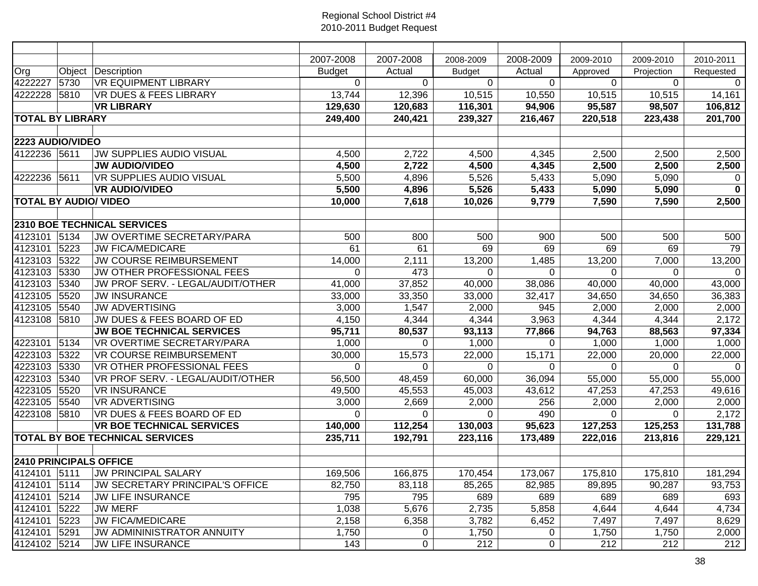|                              |      |                                        | 2007-2008     | 2007-2008    | 2008-2009     | 2008-2009   | 2009-2010 | 2009-2010    | 2010-2011    |
|------------------------------|------|----------------------------------------|---------------|--------------|---------------|-------------|-----------|--------------|--------------|
| Org                          |      | Object Description                     | <b>Budget</b> | Actual       | <b>Budget</b> | Actual      | Approved  | Projection   | Requested    |
| 4222227                      | 5730 | <b>VR EQUIPMENT LIBRARY</b>            | 0             | $\mathbf{0}$ | 0             | 0           | $\Omega$  | 0            | $\Omega$     |
| 4222228                      | 5810 | VR DUES & FEES LIBRARY                 | 13,744        | 12,396       | 10,515        | 10,550      | 10,515    | 10,515       | 14,161       |
|                              |      | <b>VR LIBRARY</b>                      | 129,630       | 120,683      | 116,301       | 94,906      | 95,587    | 98,507       | 106,812      |
| <b>TOTAL BY LIBRARY</b>      |      |                                        | 249,400       | 240,421      | 239,327       | 216,467     | 220,518   | 223,438      | 201,700      |
|                              |      |                                        |               |              |               |             |           |              |              |
| 2223 AUDIO/VIDEO             |      |                                        |               |              |               |             |           |              |              |
| 4122236                      | 5611 | <b>JW SUPPLIES AUDIO VISUAL</b>        | 4,500         | 2,722        | 4,500         | 4,345       | 2,500     | 2,500        | 2,500        |
|                              |      | <b>JW AUDIO/VIDEO</b>                  | 4,500         | 2,722        | 4,500         | 4,345       | 2,500     | 2,500        | 2,500        |
| 4222236                      | 5611 | <b>VR SUPPLIES AUDIO VISUAL</b>        | 5,500         | 4,896        | 5,526         | 5,433       | 5,090     | 5,090        | 0            |
|                              |      | <b>VR AUDIO/VIDEO</b>                  | 5,500         | 4,896        | 5,526         | 5,433       | 5,090     | 5,090        | $\mathbf{0}$ |
| <b>TOTAL BY AUDIO/ VIDEO</b> |      |                                        | 10,000        | 7,618        | 10,026        | 9,779       | 7,590     | 7,590        | 2,500        |
|                              |      |                                        |               |              |               |             |           |              |              |
|                              |      | <b>2310 BOE TECHNICAL SERVICES</b>     |               |              |               |             |           |              |              |
| 4123101 5134                 |      | JW OVERTIME SECRETARY/PARA             | 500           | 800          | 500           | 900         | 500       | 500          | 500          |
| 4123101                      | 5223 | <b>JW FICA/MEDICARE</b>                | 61            | 61           | 69            | 69          | 69        | 69           | 79           |
| 4123103                      | 5322 | <b>JW COURSE REIMBURSEMENT</b>         | 14,000        | 2,111        | 13,200        | 1,485       | 13,200    | 7,000        | 13,200       |
| 4123103                      | 5330 | JW OTHER PROFESSIONAL FEES             | 0             | 473          | 0             | $\mathbf 0$ | 0         | 0            | $\mathbf 0$  |
| 4123103                      | 5340 | JW PROF SERV. - LEGAL/AUDIT/OTHER      | 41,000        | 37,852       | 40,000        | 38,086      | 40,000    | 40,000       | 43,000       |
| 4123105                      | 5520 | <b>JW INSURANCE</b>                    | 33,000        | 33,350       | 33,000        | 32,417      | 34,650    | 34,650       | 36,383       |
| 4123105                      | 5540 | <b>JW ADVERTISING</b>                  | 3,000         | 1,547        | 2,000         | 945         | 2,000     | 2,000        | 2,000        |
| 4123108                      | 5810 | JW DUES & FEES BOARD OF ED             | 4,150         | 4,344        | 4,344         | 3,963       | 4,344     | 4,344        | 2,172        |
|                              |      | <b>JW BOE TECHNICAL SERVICES</b>       | 95,711        | 80,537       | 93,113        | 77,866      | 94,763    | 88,563       | 97,334       |
| 4223101                      | 5134 | VR OVERTIME SECRETARY/PARA             | 1,000         | 0            | 1,000         | $\Omega$    | 1,000     | 1,000        | 1,000        |
| 4223103                      | 5322 | <b>VR COURSE REIMBURSEMENT</b>         | 30,000        | 15,573       | 22,000        | 15,171      | 22,000    | 20,000       | 22,000       |
| 4223103                      | 5330 | VR OTHER PROFESSIONAL FEES             | $\Omega$      | 0            | $\Omega$      | $\Omega$    | 0         | $\Omega$     | $\mathbf 0$  |
| 4223103                      | 5340 | VR PROF SERV. - LEGAL/AUDIT/OTHER      | 56,500        | 48,459       | 60,000        | 36,094      | 55,000    | 55,000       | 55,000       |
| 4223105                      | 5520 | <b>VR INSURANCE</b>                    | 49,500        | 45,553       | 45,003        | 43,612      | 47,253    | 47,253       | 49,616       |
| 4223105                      | 5540 | <b>VR ADVERTISING</b>                  | 3,000         | 2,669        | 2,000         | 256         | 2,000     | 2,000        | 2,000        |
| 4223108                      | 5810 | VR DUES & FEES BOARD OF ED             | $\Omega$      | 0            | $\Omega$      | 490         | 0         | $\mathbf{0}$ | 2,172        |
|                              |      | <b>VR BOE TECHNICAL SERVICES</b>       | 140,000       | 112,254      | 130,003       | 95,623      | 127,253   | 125,253      | 131,788      |
|                              |      | <b>TOTAL BY BOE TECHNICAL SERVICES</b> | 235,711       | 192,791      | 223,116       | 173,489     | 222,016   | 213,816      | 229,121      |
|                              |      | <b>2410 PRINCIPALS OFFICE</b>          |               |              |               |             |           |              |              |
|                              |      | 4124101 5111 JW PRINCIPAL SALARY       | 169,506       | 166,875      | 170,454       | 173,067     | 175,810   | 175,810      | 181,294      |
| 4124101 5114                 |      | <b>JW SECRETARY PRINCIPAL'S OFFICE</b> | 82,750        | 83,118       | 85,265        | 82,985      | 89,895    | 90,287       | 93,753       |
| 4124101                      | 5214 | <b>JW LIFE INSURANCE</b>               | 795           | 795          | 689           | 689         | 689       | 689          | 693          |
| 4124101                      | 5222 | <b>JW MERF</b>                         | 1,038         | 5,676        | 2,735         | 5,858       | 4,644     | 4,644        | 4,734        |
| 4124101                      | 5223 | <b>JW FICA/MEDICARE</b>                | 2,158         | 6,358        | 3,782         | 6,452       | 7,497     | 7,497        | 8,629        |
| 4124101                      | 5291 | <b>JW ADMININISTRATOR ANNUITY</b>      | 1,750         | 0            | 1,750         | 0           | 1,750     | 1,750        | 2,000        |
| 4124102 5214                 |      | <b>JW LIFE INSURANCE</b>               | 143           | 0            | 212           | 0           | 212       | 212          | 212          |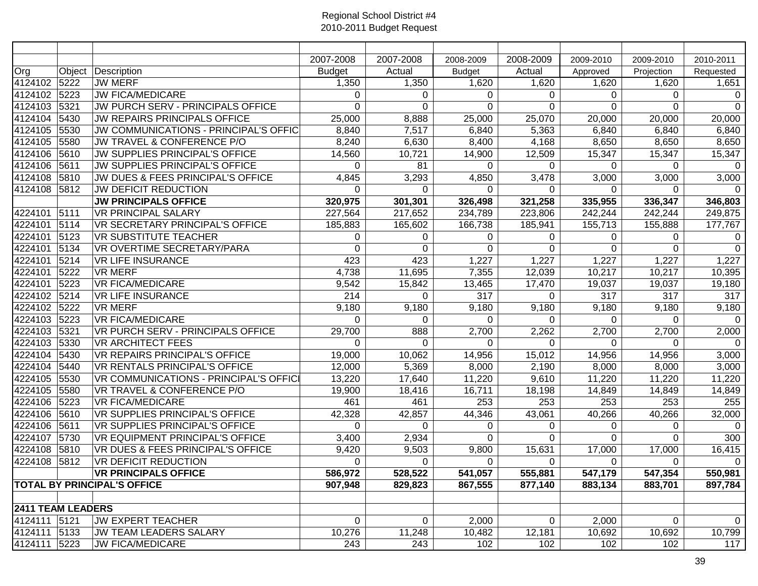|                          |        |                                        | 2007-2008     | 2007-2008 | 2008-2009     | 2008-2009 | 2009-2010   | 2009-2010    | 2010-2011   |
|--------------------------|--------|----------------------------------------|---------------|-----------|---------------|-----------|-------------|--------------|-------------|
| Org                      | Object | Description                            | <b>Budget</b> | Actual    | <b>Budget</b> | Actual    | Approved    | Projection   | Requested   |
| 4124102                  | 5222   | <b>JW MERF</b>                         | 1,350         | 1,350     | 1,620         | 1,620     | 1,620       | 1,620        | 1,651       |
| 4124102                  | 5223   | <b>JW FICA/MEDICARE</b>                | 0             | 0         | 0             | 0         | 0           | $\mathbf{0}$ | 0           |
| 4124103                  | 5321   | JW PURCH SERV - PRINCIPALS OFFICE      | 0             | $\Omega$  | 0             | 0         | $\Omega$    | $\Omega$     | $\Omega$    |
| 4124104                  | 5430   | <b>JW REPAIRS PRINCIPALS OFFICE</b>    | 25,000        | 8,888     | 25,000        | 25,070    | 20,000      | 20,000       | 20,000      |
| 4124105                  | 5530   | JW COMMUNICATIONS - PRINCIPAL'S OFFIC  | 8,840         | 7,517     | 6,840         | 5,363     | 6,840       | 6,840        | 6,840       |
| 4124105                  | 5580   | JW TRAVEL & CONFERENCE P/O             | 8,240         | 6,630     | 8,400         | 4,168     | 8,650       | 8,650        | 8,650       |
| 4124106                  | 5610   | JW SUPPLIES PRINCIPAL'S OFFICE         | 14,560        | 10,721    | 14,900        | 12,509    | 15,347      | 15,347       | 15,347      |
| 4124106                  | 5611   | <b>JW SUPPLIES PRINCIPAL'S OFFICE</b>  | $\Omega$      | 81        | 0             | 0         | $\Omega$    | $\Omega$     | $\Omega$    |
| 4124108                  | 5810   | JW DUES & FEES PRINCIPAL'S OFFICE      | 4,845         | 3,293     | 4,850         | 3,478     | 3,000       | 3,000        | 3,000       |
| 4124108                  | 5812   | <b>JW DEFICIT REDUCTION</b>            | $\Omega$      | 0         | 0             | 0         | $\Omega$    | 0            |             |
|                          |        | <b>JW PRINCIPALS OFFICE</b>            | 320,975       | 301,301   | 326,498       | 321,258   | 335,955     | 336,347      | 346,803     |
| 4224101                  | 5111   | <b>VR PRINCIPAL SALARY</b>             | 227,564       | 217,652   | 234,789       | 223,806   | 242,244     | 242,244      | 249,875     |
| 4224101                  | 5114   | VR SECRETARY PRINCIPAL'S OFFICE        | 185,883       | 165,602   | 166,738       | 185,941   | 155,713     | 155,888      | 177,767     |
| 4224101                  | 5123   | <b>VR SUBSTITUTE TEACHER</b>           | 0             | 0         | 0             | 0         | 0           | 0            | 0           |
| 4224101                  | 5134   | VR OVERTIME SECRETARY/PARA             | 0             | 0         | $\Omega$      | $\Omega$  | $\mathbf 0$ | $\Omega$     | $\Omega$    |
| 4224101                  | 5214   | <b>VR LIFE INSURANCE</b>               | 423           | 423       | 1,227         | 1,227     | 1,227       | 1,227        | 1,227       |
| 4224101                  | 5222   | <b>VR MERF</b>                         | 4,738         | 11,695    | 7,355         | 12,039    | 10,217      | 10,217       | 10,395      |
| 4224101                  | 5223   | <b>VR FICA/MEDICARE</b>                | 9,542         | 15,842    | 13,465        | 17,470    | 19,037      | 19,037       | 19,180      |
| 4224102                  | 5214   | <b>VR LIFE INSURANCE</b>               | 214           | 0         | 317           | 0         | 317         | 317          | 317         |
| 4224102                  | 5222   | <b>VR MERF</b>                         | 9,180         | 9,180     | 9,180         | 9,180     | 9,180       | 9,180        | 9,180       |
| 4224103                  | 5223   | <b>VR FICA/MEDICARE</b>                | $\Omega$      | 0         | 0             | 0         | $\Omega$    | 0            | $\Omega$    |
| 4224103                  | 5321   | VR PURCH SERV - PRINCIPALS OFFICE      | 29,700        | 888       | 2,700         | 2,262     | 2,700       | 2,700        | 2,000       |
| 4224103                  | 5330   | <b>VR ARCHITECT FEES</b>               | $\Omega$      | $\Omega$  | $\Omega$      | 0         | $\Omega$    | $\Omega$     | $\Omega$    |
| 4224104                  | 5430   | <b>VR REPAIRS PRINCIPAL'S OFFICE</b>   | 19,000        | 10,062    | 14,956        | 15,012    | 14,956      | 14,956       | 3,000       |
| 4224104                  | 5440   | VR RENTALS PRINCIPAL'S OFFICE          | 12,000        | 5,369     | 8,000         | 2,190     | 8,000       | 8,000        | 3,000       |
| 4224105                  | 5530   | VR COMMUNICATIONS - PRINCIPAL'S OFFICI | 13,220        | 17,640    | 11,220        | 9,610     | 11,220      | 11,220       | 11,220      |
| 4224105                  | 5580   | VR TRAVEL & CONFERENCE P/O             | 19,900        | 18,416    | 16,711        | 18,198    | 14,849      | 14,849       | 14,849      |
| 4224106                  | 5223   | <b>VR FICA/MEDICARE</b>                | 461           | 461       | 253           | 253       | 253         | 253          | 255         |
| 4224106                  | 5610   | VR SUPPLIES PRINCIPAL'S OFFICE         | 42,328        | 42,857    | 44,346        | 43,061    | 40,266      | 40,266       | 32,000      |
| 4224106                  | 5611   | VR SUPPLIES PRINCIPAL'S OFFICE         | $\Omega$      | $\Omega$  | 0             | 0         | 0           | 0            | $\Omega$    |
| 4224107                  | 5730   | VR EQUIPMENT PRINCIPAL'S OFFICE        | 3,400         | 2,934     | 0             | $\Omega$  | $\Omega$    | $\Omega$     | 300         |
| 4224108                  | 5810   | VR DUES & FEES PRINCIPAL'S OFFICE      | 9,420         | 9,503     | 9,800         | 15,631    | 17,000      | 17,000       | 16,415      |
| 4224108                  | 5812   | <b>VR DEFICIT REDUCTION</b>            | 0             | 0         | 0             | 0         | 0           | 0            | $\mathbf 0$ |
|                          |        | <b>VR PRINCIPALS OFFICE</b>            | 586,972       | 528,522   | 541,057       | 555,881   | 547,179     | 547,354      | 550,981     |
|                          |        | <b>TOTAL BY PRINCIPAL'S OFFICE</b>     | 907,948       | 829,823   | 867,555       | 877,140   | 883,134     | 883,701      | 897,784     |
|                          |        |                                        |               |           |               |           |             |              |             |
| <b>2411 TEAM LEADERS</b> |        |                                        |               |           |               |           |             |              |             |
| 4124111 5121             |        | <b>JW EXPERT TEACHER</b>               | 0             | $\Omega$  | 2,000         | $\Omega$  | 2,000       | 0            | 0           |
| 4124111 5133             |        | <b>JW TEAM LEADERS SALARY</b>          | 10,276        | 11,248    | 10,482        | 12,181    | 10,692      | 10,692       | 10,799      |
| 4124111 5223             |        | <b>JW FICA/MEDICARE</b>                | 243           | 243       | 102           | 102       | 102         | 102          | 117         |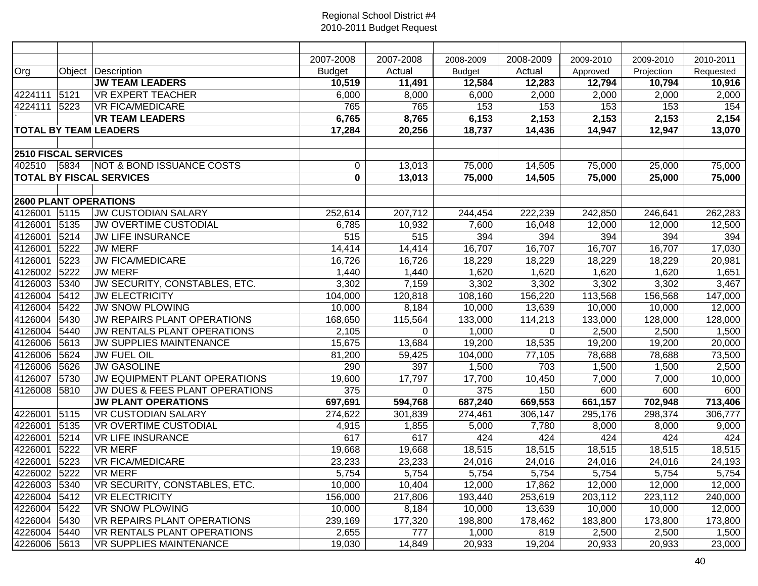|                             |      |                                    | 2007-2008     | 2007-2008 | 2008-2009     | 2008-2009 | 2009-2010 | 2009-2010  | 2010-2011 |
|-----------------------------|------|------------------------------------|---------------|-----------|---------------|-----------|-----------|------------|-----------|
| Org                         |      | Object   Description               | <b>Budget</b> | Actual    | <b>Budget</b> | Actual    | Approved  | Projection | Requested |
|                             |      | <b>JW TEAM LEADERS</b>             | 10,519        | 11,491    | 12,584        | 12,283    | 12,794    | 10,794     | 10,916    |
| 4224111                     | 5121 | <b>VR EXPERT TEACHER</b>           | 6,000         | 8,000     | 6,000         | 2,000     | 2,000     | 2,000      | 2,000     |
| 4224111 5223                |      | <b>VR FICA/MEDICARE</b>            | 765           | 765       | 153           | 153       | 153       | 153        | 154       |
|                             |      | <b>VR TEAM LEADERS</b>             | 6,765         | 8,765     | 6,153         | 2,153     | 2,153     | 2,153      | 2,154     |
|                             |      | <b>TOTAL BY TEAM LEADERS</b>       | 17,284        | 20,256    | 18,737        | 14,436    | 14,947    | 12,947     | 13,070    |
|                             |      |                                    |               |           |               |           |           |            |           |
| <b>2510 FISCAL SERVICES</b> |      |                                    |               |           |               |           |           |            |           |
| 402510                      | 5834 | NOT & BOND ISSUANCE COSTS          | 0             | 13,013    | 75,000        | 14,505    | 75,000    | 25,000     | 75,000    |
|                             |      | <b>TOTAL BY FISCAL SERVICES</b>    | 0             | 13,013    | 75,000        | 14,505    | 75,000    | 25,000     | 75,000    |
|                             |      |                                    |               |           |               |           |           |            |           |
|                             |      | <b>2600 PLANT OPERATIONS</b>       |               |           |               |           |           |            |           |
| 4126001 5115                |      | <b>JW CUSTODIAN SALARY</b>         | 252,614       | 207,712   | 244,454       | 222,239   | 242,850   | 246,641    | 262,283   |
| 4126001                     | 5135 | <b>JW OVERTIME CUSTODIAL</b>       | 6,785         | 10,932    | 7,600         | 16,048    | 12,000    | 12,000     | 12,500    |
| 4126001                     | 5214 | <b>JW LIFE INSURANCE</b>           | 515           | 515       | 394           | 394       | 394       | 394        | 394       |
| 4126001                     | 5222 | <b>JW MERF</b>                     | 14,414        | 14,414    | 16,707        | 16,707    | 16,707    | 16,707     | 17,030    |
| 4126001                     | 5223 | <b>JW FICA/MEDICARE</b>            | 16,726        | 16,726    | 18,229        | 18,229    | 18,229    | 18,229     | 20,981    |
| 4126002                     | 5222 | <b>JW MERF</b>                     | 1,440         | 1,440     | 1,620         | 1,620     | 1,620     | 1,620      | 1,651     |
| 4126003                     | 5340 | JW SECURITY, CONSTABLES, ETC.      | 3,302         | 7,159     | 3,302         | 3,302     | 3,302     | 3,302      | 3,467     |
| 4126004                     | 5412 | <b>JW ELECTRICITY</b>              | 104,000       | 120,818   | 108,160       | 156,220   | 113,568   | 156,568    | 147,000   |
| 4126004                     | 5422 | <b>JW SNOW PLOWING</b>             | 10,000        | 8,184     | 10,000        | 13,639    | 10,000    | 10,000     | 12,000    |
| 4126004                     | 5430 | <b>JW REPAIRS PLANT OPERATIONS</b> | 168,650       | 115,564   | 133,000       | 114,213   | 133,000   | 128,000    | 128,000   |
| 4126004                     | 5440 | <b>JW RENTALS PLANT OPERATIONS</b> | 2,105         | 0         | 1,000         | 0         | 2,500     | 2,500      | 1,500     |
| 4126006                     | 5613 | <b>JW SUPPLIES MAINTENANCE</b>     | 15,675        | 13,684    | 19,200        | 18,535    | 19,200    | 19,200     | 20,000    |
| 4126006                     | 5624 | <b>JW FUEL OIL</b>                 | 81,200        | 59,425    | 104,000       | 77,105    | 78,688    | 78,688     | 73,500    |
| 4126006                     | 5626 | <b>JW GASOLINE</b>                 | 290           | 397       | 1,500         | 703       | 1,500     | 1,500      | 2,500     |
| 4126007                     | 5730 | JW EQUIPMENT PLANT OPERATIONS      | 19,600        | 17,797    | 17,700        | 10,450    | 7,000     | 7,000      | 10,000    |
| 4126008                     | 5810 | JW DUES & FEES PLANT OPERATIONS    | 375           | 0         | 375           | 150       | 600       | 600        | 600       |
|                             |      | <b>JW PLANT OPERATIONS</b>         | 697,691       | 594,768   | 687,240       | 669,553   | 661,157   | 702,948    | 713,406   |
| 4226001                     | 5115 | <b>VR CUSTODIAN SALARY</b>         | 274,622       | 301,839   | 274,461       | 306,147   | 295,176   | 298,374    | 306,777   |
| 4226001                     | 5135 | <b>VR OVERTIME CUSTODIAL</b>       | 4,915         | 1,855     | 5,000         | 7,780     | 8,000     | 8,000      | 9,000     |
| 4226001                     | 5214 | <b>VR LIFE INSURANCE</b>           | 617           | 617       | 424           | 424       | 424       | 424        | 424       |
| 4226001                     | 5222 | <b>VR MERF</b>                     | 19,668        | 19,668    | 18,515        | 18,515    | 18,515    | 18,515     | 18,515    |
| 4226001                     | 5223 | <b>VR FICA/MEDICARE</b>            | 23,233        | 23,233    | 24,016        | 24,016    | 24,016    | 24,016     | 24,193    |
| 4226002 5222                |      | <b>VR MERF</b>                     | 5,754         | 5,754     | 5,754         | 5,754     | 5,754     | 5,754      | 5,754     |
| 4226003 5340                |      | VR SECURITY, CONSTABLES, ETC.      | 10,000        | 10,404    | 12,000        | 17,862    | 12,000    | 12,000     | 12,000    |
| 4226004 5412                |      | <b>VR ELECTRICITY</b>              | 156,000       | 217,806   | 193,440       | 253,619   | 203,112   | 223,112    | 240,000   |
| 4226004 5422                |      | <b>VR SNOW PLOWING</b>             | 10,000        | 8,184     | 10,000        | 13,639    | 10,000    | 10,000     | 12,000    |
| 4226004 5430                |      | VR REPAIRS PLANT OPERATIONS        | 239,169       | 177,320   | 198,800       | 178,462   | 183,800   | 173,800    | 173,800   |
| 4226004 5440                |      | VR RENTALS PLANT OPERATIONS        | 2,655         | 777       | 1,000         | 819       | 2,500     | 2,500      | 1,500     |
| 4226006                     | 5613 | <b>VR SUPPLIES MAINTENANCE</b>     | 19,030        | 14,849    | 20,933        | 19,204    | 20,933    | 20,933     | 23,000    |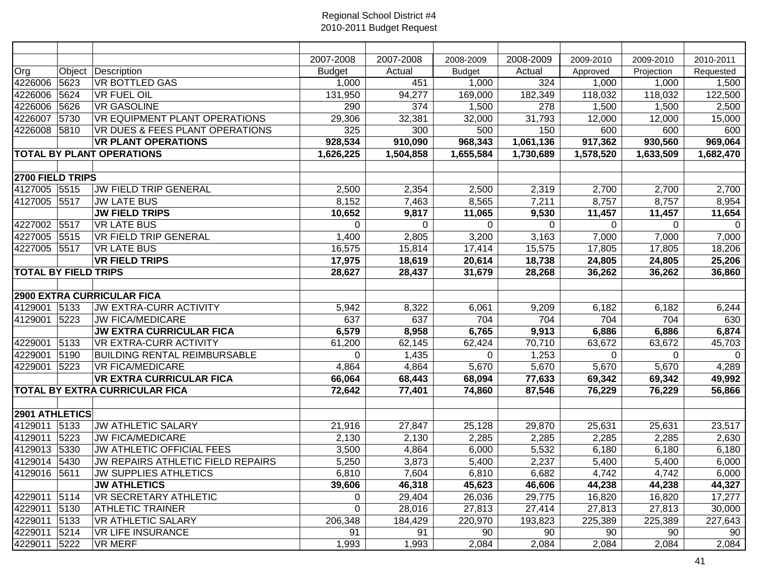|                                  |      |                                     | 2007-2008      | 2007-2008      | 2008-2009      | 2008-2009      | 2009-2010       | 2009-2010      | 2010-2011      |
|----------------------------------|------|-------------------------------------|----------------|----------------|----------------|----------------|-----------------|----------------|----------------|
| Org                              |      | Object Description                  | <b>Budget</b>  | Actual         | <b>Budget</b>  | Actual         | Approved        | Projection     | Requested      |
| 4226006                          | 5623 | <b>VR BOTTLED GAS</b>               | 1,000          | 451            | 1,000          | 324            | 1,000           | 1,000          | 1,500          |
| 4226006                          | 5624 | <b>VR FUEL OIL</b>                  | 131,950        | 94,277         | 169,000        | 182,349        | 118,032         | 118,032        | 122,500        |
| 4226006                          | 5626 | <b>VR GASOLINE</b>                  | 290            | 374            | 1,500          | 278            | 1,500           | 1,500          | 2,500          |
| 4226007                          | 5730 | VR EQUIPMENT PLANT OPERATIONS       | 29,306         | 32,381         | 32,000         | 31,793         | 12,000          | 12,000         | 15,000         |
| 4226008                          | 5810 | VR DUES & FEES PLANT OPERATIONS     | 325            | 300            | 500            | 150            | 600             | 600            | 600            |
|                                  |      | <b>VR PLANT OPERATIONS</b>          | 928,534        | 910,090        | 968,343        | 1,061,136      | 917,362         | 930,560        | 969,064        |
| <b>TOTAL BY PLANT OPERATIONS</b> |      | 1,626,225                           | 1,504,858      | 1,655,584      | 1,730,689      | 1,578,520      | 1,633,509       | 1,682,470      |                |
|                                  |      |                                     |                |                |                |                |                 |                |                |
| 2700 FIELD TRIPS                 |      |                                     |                |                |                |                |                 |                |                |
| 4127005                          | 5515 | JW FIELD TRIP GENERAL               | 2,500          | 2,354          | 2,500          | 2,319          | 2,700           | 2,700          | 2,700          |
| 4127005                          | 5517 | <b>JW LATE BUS</b>                  | 8,152          | 7,463          | 8,565          | 7,211          | 8,757           | 8,757          | 8,954          |
|                                  |      | <b>JW FIELD TRIPS</b>               | 10,652         | 9,817          | 11,065         | 9,530          | 11,457          | 11,457         | 11,654         |
| 4227002                          | 5517 | <b>VR LATE BUS</b>                  | 0              | 0              | $\mathbf 0$    | $\overline{0}$ | $\mathbf 0$     | 0              | $\mathbf 0$    |
| 4227005                          | 5515 | <b>VR FIELD TRIP GENERAL</b>        | 1,400          | 2,805          | 3,200          | 3,163          | 7,000           | 7,000          | 7,000          |
| 4227005                          | 5517 | <b>VR LATE BUS</b>                  | 16,575         | 15,814         | 17,414         | 15,575         | 17,805          | 17,805         | 18,206         |
|                                  |      | <b>VR FIELD TRIPS</b>               | 17,975         | 18,619         | 20,614         | 18,738         | 24,805          | 24,805         | 25,206         |
| <b>TOTAL BY FIELD TRIPS</b>      |      |                                     | 28,627         | 28,437         | 31,679         | 28,268         | 36,262          | 36,262         | 36,860         |
|                                  |      |                                     |                |                |                |                |                 |                |                |
|                                  |      | <b>2900 EXTRA CURRICULAR FICA</b>   |                |                |                |                |                 |                |                |
| 4129001                          | 5133 | <b>JW EXTRA-CURR ACTIVITY</b>       | 5,942          | 8,322          | 6,061          | 9,209          | 6,182           | 6,182          | 6,244          |
| 4129001                          | 5223 | <b>JW FICA/MEDICARE</b>             | 637            | 637            | 704            | 704            | 704             | 704            | 630            |
|                                  |      | <b>JW EXTRA CURRICULAR FICA</b>     | 6,579          | 8,958          | 6,765          | 9,913          | 6,886           | 6,886          | 6,874          |
| 4229001                          | 5133 | VR EXTRA-CURR ACTIVITY              | 61,200         | 62,145         | 62,424         | 70,710         | 63,672          | 63,672         | 45,703         |
| 4229001                          | 5190 | <b>BUILDING RENTAL REIMBURSABLE</b> | 0              | 1,435          | 0              | 1,253          | 0               | 0              | $\mathbf 0$    |
| 4229001                          | 5223 | <b>VR FICA/MEDICARE</b>             | 4,864          | 4,864          | 5,670          | 5,670          | 5,670           | 5,670          | 4,289          |
|                                  |      | <b>VR EXTRA CURRICULAR FICA</b>     | 66,064         | 68,443         | 68,094         | 77,633         | 69,342          | 69,342         | 49,992         |
|                                  |      | TOTAL BY EXTRA CURRICULAR FICA      | 72,642         | 77,401         | 74,860         | 87,546         | 76,229          | 76,229         | 56,866         |
|                                  |      |                                     |                |                |                |                |                 |                |                |
| 2901 ATHLETICS<br>4129011 5133   |      | <b>JW ATHLETIC SALARY</b>           | 21,916         | 27,847         | 25,128         | 29,870         |                 | 25,631         | 23,517         |
| 4129011                          | 5223 | <b>JW FICA/MEDICARE</b>             | 2,130          | 2,130          |                |                | 25,631<br>2,285 |                |                |
| 4129013                          | 5330 | <b>JW ATHLETIC OFFICIAL FEES</b>    |                |                | 2,285          | 2,285          |                 | 2,285          | 2,630          |
| 4129014 5430                     |      | JW REPAIRS ATHLETIC FIELD REPAIRS   | 3,500          | 4,864          | 6,000          | 5,532          | 6,180           | 6,180          | 6,180          |
| 4129016 5611                     |      |                                     | 5,250<br>6,810 | 3,873<br>7,604 | 5,400<br>6,810 | 2,237<br>6,682 | 5,400           | 5,400<br>4,742 | 6,000<br>6,000 |
|                                  |      | <b>JW SUPPLIES ATHLETICS</b>        |                |                |                |                | 4,742           |                |                |
|                                  |      | <b>JW ATHLETICS</b>                 | 39,606         | 46,318         | 45,623         | 46,606         | 44,238          | 44,238         | 44,327         |
| 4229011 5114                     |      | <b>VR SECRETARY ATHLETIC</b>        | 0              | 29,404         | 26,036         | 29,775         | 16,820          | 16,820         | 17,277         |
| 4229011 5130                     |      | <b>ATHLETIC TRAINER</b>             | 0              | 28,016         | 27,813         | 27,414         | 27,813          | 27,813         | 30,000         |
| 4229011                          | 5133 | <b>VR ATHLETIC SALARY</b>           | 206,348        | 184,429        | 220,970        | 193,823        | 225,389         | 225,389        | 227,643        |
| 4229011                          | 5214 | <b>VR LIFE INSURANCE</b>            | 91             | 91             | 90             | 90             | 90              | 90             | 90             |
| 4229011 5222                     |      | <b>VR MERF</b>                      | 1,993          | 1,993          | 2,084          | 2,084          | 2,084           | 2,084          | 2,084          |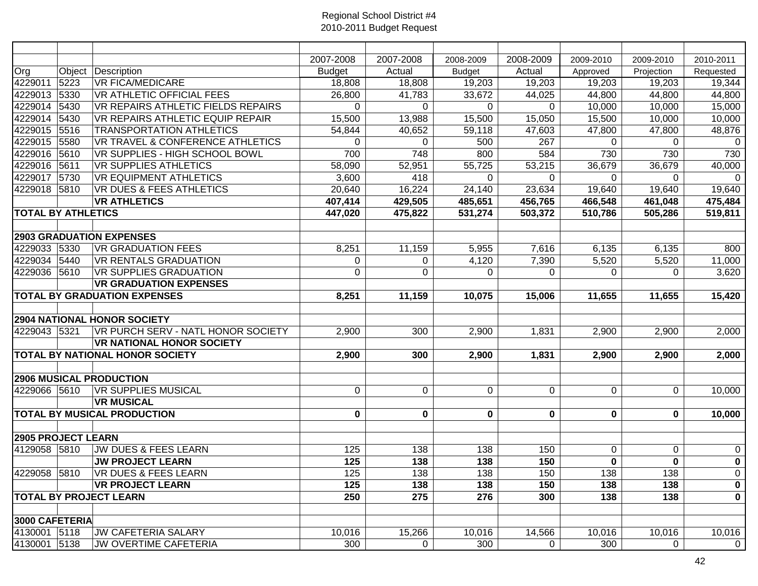|                                 |      |                                         | 2007-2008        | 2007-2008      | 2008-2009     | 2008-2009   | 2009-2010   | 2009-2010   | 2010-2011      |
|---------------------------------|------|-----------------------------------------|------------------|----------------|---------------|-------------|-------------|-------------|----------------|
| Org                             |      | Object Description                      | <b>Budget</b>    | Actual         | <b>Budget</b> | Actual      | Approved    | Projection  | Requested      |
| 4229011                         | 5223 | <b>VR FICA/MEDICARE</b>                 | 18,808           | 18,808         | 19,203        | 19,203      | 19,203      | 19,203      | 19,344         |
| 4229013                         | 5330 | <b>VR ATHLETIC OFFICIAL FEES</b>        | 26,800           | 41,783         | 33,672        | 44,025      | 44,800      | 44,800      | 44,800         |
| 4229014                         | 5430 | VR REPAIRS ATHLETIC FIELDS REPAIRS      | $\Omega$         | 0              | $\Omega$      | 0           | 10,000      | 10,000      | 15,000         |
| 4229014                         | 5430 | <b>VR REPAIRS ATHLETIC EQUIP REPAIR</b> | 15,500           | 13,988         | 15,500        | 15,050      | 15,500      | 10,000      | 10,000         |
| 4229015                         | 5516 | <b>TRANSPORTATION ATHLETICS</b>         | 54,844           | 40,652         | 59,118        | 47,603      | 47,800      | 47,800      | 48,876         |
| 4229015                         | 5580 | VR TRAVEL & CONFERENCE ATHLETICS        | 0                | 0              | 500           | 267         | 0           | $\Omega$    | 0              |
| 4229016                         | 5610 | VR SUPPLIES - HIGH SCHOOL BOWL          | 700              | 748            | 800           | 584         | 730         | 730         | 730            |
| 4229016                         | 5611 | <b>VR SUPPLIES ATHLETICS</b>            | 58,090           | 52,951         | 55,725        | 53,215      | 36,679      | 36,679      | 40,000         |
| 4229017                         | 5730 | <b>VR EQUIPMENT ATHLETICS</b>           | 3,600            | 418            | $\Omega$      | $\Omega$    | 0           | $\Omega$    | 0              |
| 4229018                         | 5810 | <b>VR DUES &amp; FEES ATHLETICS</b>     | 20,640           | 16,224         | 24,140        | 23,634      | 19,640      | 19,640      | 19,640         |
|                                 |      | <b>VR ATHLETICS</b>                     | 407,414          | 429,505        | 485,651       | 456,765     | 466,548     | 461,048     | 475,484        |
| <b>TOTAL BY ATHLETICS</b>       |      |                                         | 447,020          | 475,822        | 531,274       | 503,372     | 510,786     | 505,286     | 519,811        |
|                                 |      |                                         |                  |                |               |             |             |             |                |
|                                 |      | <b>2903 GRADUATION EXPENSES</b>         |                  |                |               |             |             |             |                |
| 4229033                         | 5330 | <b>VR GRADUATION FEES</b>               | 8,251            | 11,159         | 5,955         | 7,616       | 6,135       | 6,135       | 800            |
| 4229034                         | 5440 | <b>VR RENTALS GRADUATION</b>            | 0                | 0              | 4,120         | 7,390       | 5,520       | 5,520       | 11,000         |
| 4229036                         | 5610 | <b>VR SUPPLIES GRADUATION</b>           | 0                | 0              | 0             | 0           | 0           | $\Omega$    | 3,620          |
|                                 |      | <b>VR GRADUATION EXPENSES</b>           |                  |                |               |             |             |             |                |
|                                 |      | <b>TOTAL BY GRADUATION EXPENSES</b>     | 8,251            | 11,159         | 10,075        | 15,006      | 11,655      | 11,655      | 15,420         |
|                                 |      |                                         |                  |                |               |             |             |             |                |
|                                 |      | <b>2904 NATIONAL HONOR SOCIETY</b>      |                  |                |               |             |             |             |                |
| 4229043 5321                    |      | VR PURCH SERV - NATL HONOR SOCIETY      | 2,900            | 300            | 2,900         | 1,831       | 2,900       | 2,900       | 2,000          |
|                                 |      | <b>VR NATIONAL HONOR SOCIETY</b>        |                  |                |               |             |             |             |                |
| TOTAL BY NATIONAL HONOR SOCIETY |      |                                         | 2,900            | 300            | 2,900         | 1,831       | 2,900       | 2,900       | 2,000          |
|                                 |      | <b>2906 MUSICAL PRODUCTION</b>          |                  |                |               |             |             |             |                |
| 4229066 5610                    |      | <b>VR SUPPLIES MUSICAL</b>              | 0                | 0              | $\mathbf 0$   | $\mathbf 0$ | 0           | 0           | 10,000         |
|                                 |      | <b>VR MUSICAL</b>                       |                  |                |               |             |             |             |                |
|                                 |      | <b>TOTAL BY MUSICAL PRODUCTION</b>      | 0                | 0              | 0             | $\mathbf 0$ | 0           | 0           | 10,000         |
|                                 |      |                                         |                  |                |               |             |             |             |                |
| <b>2905 PROJECT LEARN</b>       |      |                                         |                  |                |               |             |             |             |                |
| 4129058 5810                    |      | <b>JW DUES &amp; FEES LEARN</b>         | 125              | 138            | 138           | 150         | 0           | 0           | $\mathbf 0$    |
|                                 |      | <b>JW PROJECT LEARN</b>                 | $\overline{125}$ | 138            | 138           | 150         | $\mathbf 0$ | $\mathbf 0$ | $\mathbf 0$    |
| 4229058 5810                    |      | <b>VR DUES &amp; FEES LEARN</b>         | 125              | 138            | 138           | 150         | 138         | 138         | $\overline{0}$ |
|                                 |      | <b>VR PROJECT LEARN</b>                 | 125              | 138            | 138           | 150         | 138         | 138         | $\mathbf 0$    |
|                                 |      | <b>TOTAL BY PROJECT LEARN</b>           | 250              | 275            | 276           | 300         | 138         | 138         | $\mathbf 0$    |
|                                 |      |                                         |                  |                |               |             |             |             |                |
| 3000 CAFETERIA                  |      |                                         |                  |                |               |             |             |             |                |
| 4130001 5118                    |      | <b>JW CAFETERIA SALARY</b>              | 10,016           | 15,266         | 10,016        | 14,566      | 10,016      | 10,016      | 10,016         |
| 4130001 5138                    |      | <b>JW OVERTIME CAFETERIA</b>            | 300              | $\overline{0}$ | 300           | 0           | 300         | 0           | $\overline{0}$ |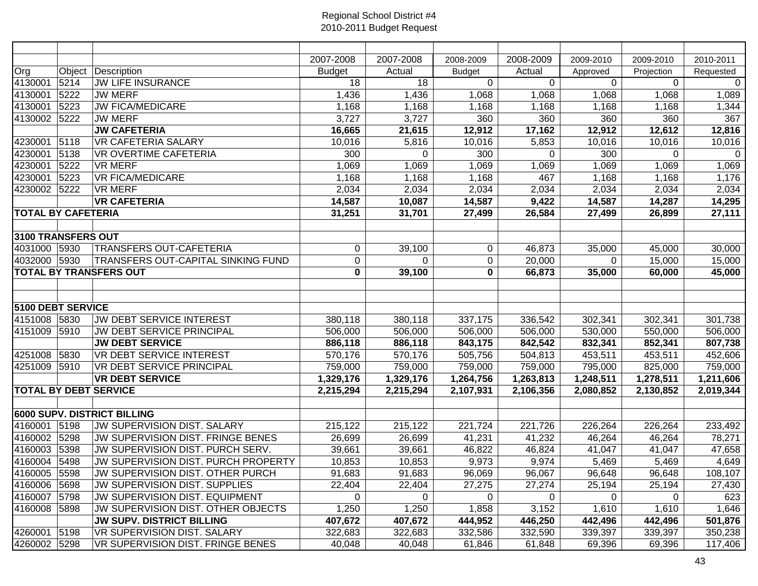|                           |      |                                         | 2007-2008     | 2007-2008 | 2008-2009     | 2008-2009 | 2009-2010   | 2009-2010  | 2010-2011      |
|---------------------------|------|-----------------------------------------|---------------|-----------|---------------|-----------|-------------|------------|----------------|
| Org                       |      | Object Description                      | <b>Budget</b> | Actual    | <b>Budget</b> | Actual    | Approved    | Projection | Requested      |
| 4130001                   | 5214 | <b>JW LIFE INSURANCE</b>                | 18            | 18        | 0             | 0         | 0           | 0          | $\overline{0}$ |
| 4130001                   | 5222 | <b>JW MERF</b>                          | 1,436         | 1,436     | 1,068         | 1,068     | 1,068       | 1,068      | 1,089          |
| 4130001                   | 5223 | <b>JW FICA/MEDICARE</b>                 | 1,168         | 1,168     | 1,168         | 1,168     | 1,168       | 1,168      | 1,344          |
| 4130002                   | 5222 | <b>JW MERF</b>                          | 3,727         | 3,727     | 360           | 360       | 360         | 360        | 367            |
|                           |      | <b>JW CAFETERIA</b>                     | 16,665        | 21,615    | 12,912        | 17,162    | 12,912      | 12,612     | 12,816         |
| 4230001                   | 5118 | <b>VR CAFETERIA SALARY</b>              | 10,016        | 5,816     | 10,016        | 5,853     | 10,016      | 10,016     | 10,016         |
| 4230001                   | 5138 | <b>VR OVERTIME CAFETERIA</b>            | 300           | 0         | 300           | 0         | 300         | 0          | 0              |
| 4230001                   | 5222 | <b>VR MERF</b>                          | 1,069         | 1,069     | 1,069         | 1,069     | 1,069       | 1,069      | 1,069          |
| 4230001                   | 5223 | <b>VR FICA/MEDICARE</b>                 | 1,168         | 1,168     | 1,168         | 467       | 1,168       | 1,168      | 1,176          |
| 4230002                   | 5222 | <b>VR MERF</b>                          | 2,034         | 2,034     | 2,034         | 2,034     | 2,034       | 2,034      | 2,034          |
|                           |      | <b>VR CAFETERIA</b>                     | 14,587        | 10,087    | 14,587        | 9,422     | 14,587      | 14,287     | 14,295         |
| <b>TOTAL BY CAFETERIA</b> |      |                                         | 31,251        | 31,701    | 27,499        | 26,584    | 27,499      | 26,899     | 27,111         |
|                           |      |                                         |               |           |               |           |             |            |                |
| 3100 TRANSFERS OUT        |      |                                         |               |           |               |           |             |            |                |
| 4031000 5930              |      | <b>TRANSFERS OUT-CAFETERIA</b>          | 0             | 39,100    | 0             | 46,873    | 35,000      | 45,000     | 30,000         |
| 4032000 5930              |      | TRANSFERS OUT-CAPITAL SINKING FUND      | 0             | 0         | 0             | 20,000    | $\mathbf 0$ | 15,000     | 15,000         |
|                           |      | <b>TOTAL BY TRANSFERS OUT</b>           | 0             | 39,100    | 0             | 66,873    | 35,000      | 60,000     | 45,000         |
|                           |      |                                         |               |           |               |           |             |            |                |
|                           |      |                                         |               |           |               |           |             |            |                |
| 5100 DEBT SERVICE         |      |                                         |               |           |               |           |             |            |                |
| 4151008                   | 5830 | <b>JW DEBT SERVICE INTEREST</b>         | 380,118       | 380,118   | 337,175       | 336,542   | 302,341     | 302,341    | 301,738        |
| 4151009                   | 5910 | JW DEBT SERVICE PRINCIPAL               | 506,000       | 506,000   | 506,000       | 506,000   | 530,000     | 550,000    | 506,000        |
|                           |      | <b>JW DEBT SERVICE</b>                  | 886,118       | 886,118   | 843,175       | 842,542   | 832,341     | 852,341    | 807,738        |
| 4251008                   | 5830 | VR DEBT SERVICE INTEREST                | 570,176       | 570,176   | 505,756       | 504,813   | 453,511     | 453,511    | 452,606        |
| 4251009                   | 5910 | VR DEBT SERVICE PRINCIPAL               | 759,000       | 759,000   | 759,000       | 759,000   | 795,000     | 825,000    | 759,000        |
|                           |      | <b>VR DEBT SERVICE</b>                  | 1,329,176     | 1,329,176 | 1,264,756     | 1,263,813 | 1,248,511   | 1,278,511  | 1,211,606      |
|                           |      | <b>TOTAL BY DEBT SERVICE</b>            | 2,215,294     | 2,215,294 | 2,107,931     | 2,106,356 | 2,080,852   | 2,130,852  | 2,019,344      |
|                           |      |                                         |               |           |               |           |             |            |                |
|                           |      | 6000 SUPV. DISTRICT BILLING             |               |           |               |           |             |            |                |
| 4160001                   | 5198 | JW SUPERVISION DIST. SALARY             | 215,122       | 215,122   | 221,724       | 221,726   | 226,264     | 226,264    | 233,492        |
| 4160002                   | 5298 | JW SUPERVISION DIST. FRINGE BENES       | 26,699        | 26,699    | 41,231        | 41,232    | 46,264      | 46,264     | 78,271         |
| 4160003                   | 5398 | JW SUPERVISION DIST. PURCH SERV.        | 39,661        | 39,661    | 46,822        | 46,824    | 41,047      | 41,047     | 47,658         |
| 4160004                   | 5498 | JW SUPERVISION DIST. PURCH PROPERTY     | 10,853        | 10,853    | 9,973         | 9,974     | 5,469       | 5,469      | 4,649          |
| 4160005 5598              |      | <b>JW SUPERVISION DIST. OTHER PURCH</b> | 91,683        | 91,683    | 96,069        | 96,067    | 96,648      | 96,648     | 108,107        |
| 4160006                   | 5698 | JW SUPERVISION DIST. SUPPLIES           | 22,404        | 22,404    | 27,275        | 27,274    | 25,194      | 25,194     | 27,430         |
| 4160007                   | 5798 | JW SUPERVISION DIST. EQUIPMENT          | 0             | 0         | 0             | 0         | 0           | 0          | 623            |
| 4160008 5898              |      | JW SUPERVISION DIST. OTHER OBJECTS      | 1,250         | 1,250     | 1,858         | 3,152     | 1,610       | 1,610      | 1,646          |
|                           |      | <b>JW SUPV. DISTRICT BILLING</b>        | 407,672       | 407,672   | 444,952       | 446,250   | 442,496     | 442,496    | 501,876        |
| 4260001                   | 5198 | VR SUPERVISION DIST. SALARY             | 322,683       | 322,683   | 332,586       | 332,590   | 339,397     | 339,397    | 350,238        |
| 4260002 5298              |      | VR SUPERVISION DIST. FRINGE BENES       | 40,048        | 40,048    | 61,846        | 61,848    | 69,396      | 69,396     | 117,406        |